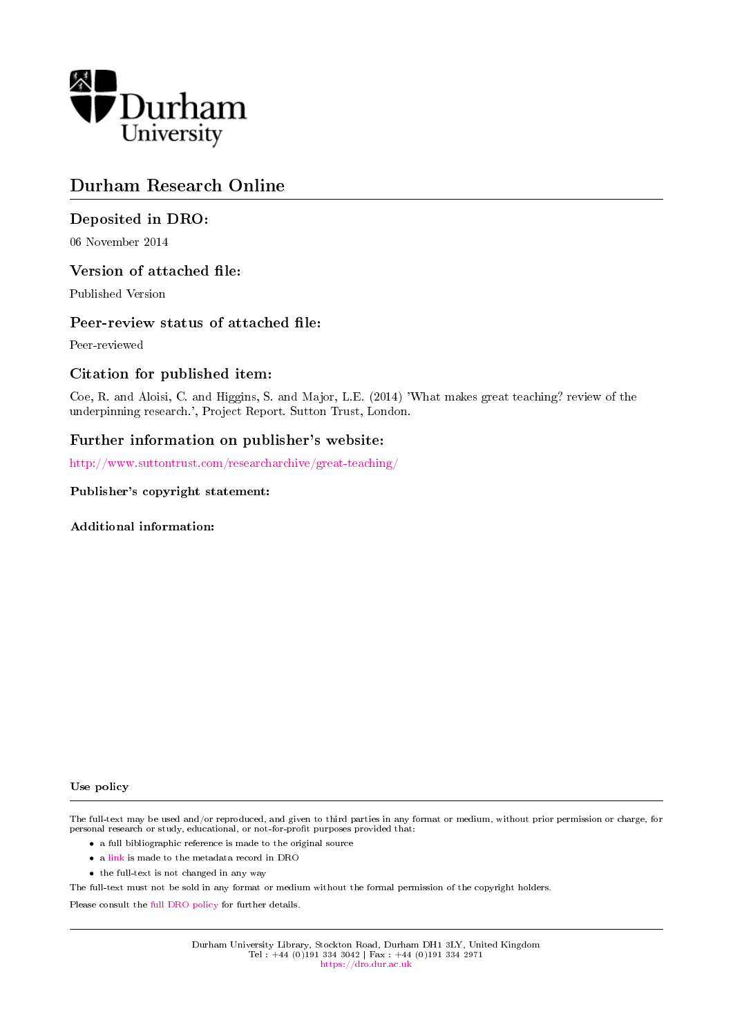

### Durham Research Online

### Deposited in DRO:

06 November 2014

#### Version of attached file:

Published Version

#### Peer-review status of attached file:

Peer-reviewed

#### Citation for published item:

Coe, R. and Aloisi, C. and Higgins, S. and Major, L.E. (2014) 'What makes great teaching? review of the underpinning research.', Project Report. Sutton Trust, London.

#### Further information on publisher's website:

<http://www.suttontrust.com/researcharchive/great-teaching/>

#### Publisher's copyright statement:

Additional information:

#### Use policy

The full-text may be used and/or reproduced, and given to third parties in any format or medium, without prior permission or charge, for personal research or study, educational, or not-for-profit purposes provided that:

- a full bibliographic reference is made to the original source
- a [link](http://dro.dur.ac.uk/13747/) is made to the metadata record in DRO
- the full-text is not changed in any way

The full-text must not be sold in any format or medium without the formal permission of the copyright holders.

Please consult the [full DRO policy](https://dro.dur.ac.uk/policies/usepolicy.pdf) for further details.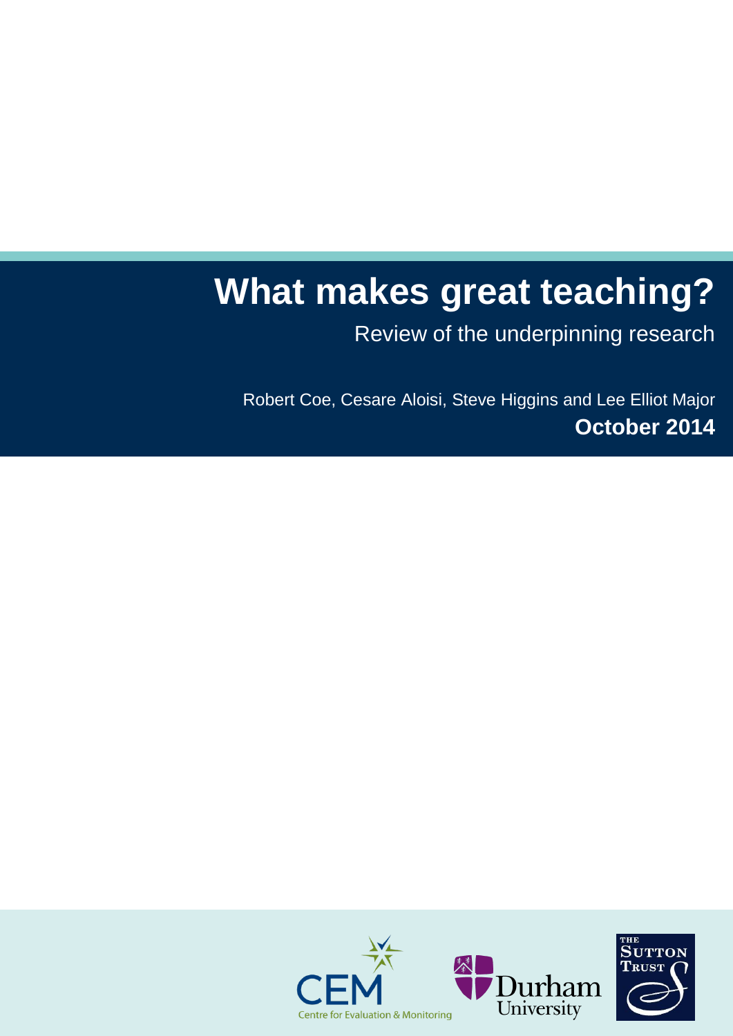# **What makes great teaching?**

Review of the underpinning research

Robert Coe, Cesare Aloisi, Steve Higgins and Lee Elliot Major **October 2014**

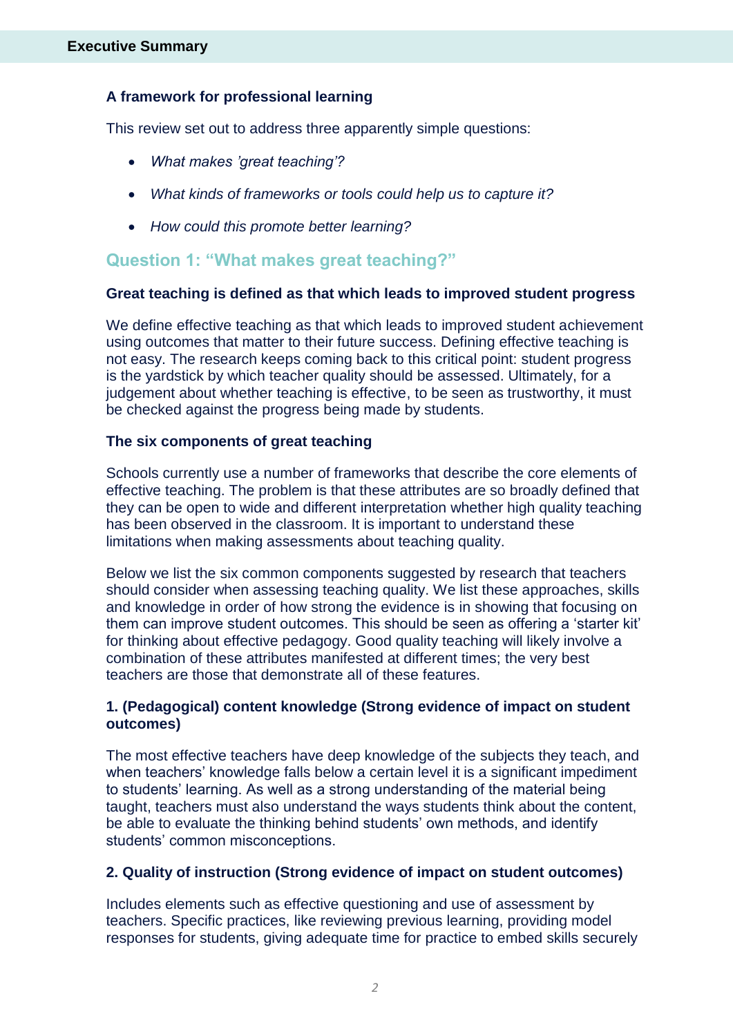### **A framework for professional learning**

This review set out to address three apparently simple questions:

- *What makes 'great teaching'?*
- *What kinds of frameworks or tools could help us to capture it?*
- *How could this promote better learning?*

### **Question 1: "What makes great teaching?"**

### **Great teaching is defined as that which leads to improved student progress**

We define effective teaching as that which leads to improved student achievement using outcomes that matter to their future success. Defining effective teaching is not easy. The research keeps coming back to this critical point: student progress is the yardstick by which teacher quality should be assessed. Ultimately, for a judgement about whether teaching is effective, to be seen as trustworthy, it must be checked against the progress being made by students.

### **The six components of great teaching**

Schools currently use a number of frameworks that describe the core elements of effective teaching. The problem is that these attributes are so broadly defined that they can be open to wide and different interpretation whether high quality teaching has been observed in the classroom. It is important to understand these limitations when making assessments about teaching quality.

Below we list the six common components suggested by research that teachers should consider when assessing teaching quality. We list these approaches, skills and knowledge in order of how strong the evidence is in showing that focusing on them can improve student outcomes. This should be seen as offering a 'starter kit' for thinking about effective pedagogy. Good quality teaching will likely involve a combination of these attributes manifested at different times; the very best teachers are those that demonstrate all of these features.

### **1. (Pedagogical) content knowledge (Strong evidence of impact on student outcomes)**

The most effective teachers have deep knowledge of the subjects they teach, and when teachers' knowledge falls below a certain level it is a significant impediment to students' learning. As well as a strong understanding of the material being taught, teachers must also understand the ways students think about the content, be able to evaluate the thinking behind students' own methods, and identify students' common misconceptions.

### **2. Quality of instruction (Strong evidence of impact on student outcomes)**

Includes elements such as effective questioning and use of assessment by teachers. Specific practices, like reviewing previous learning, providing model responses for students, giving adequate time for practice to embed skills securely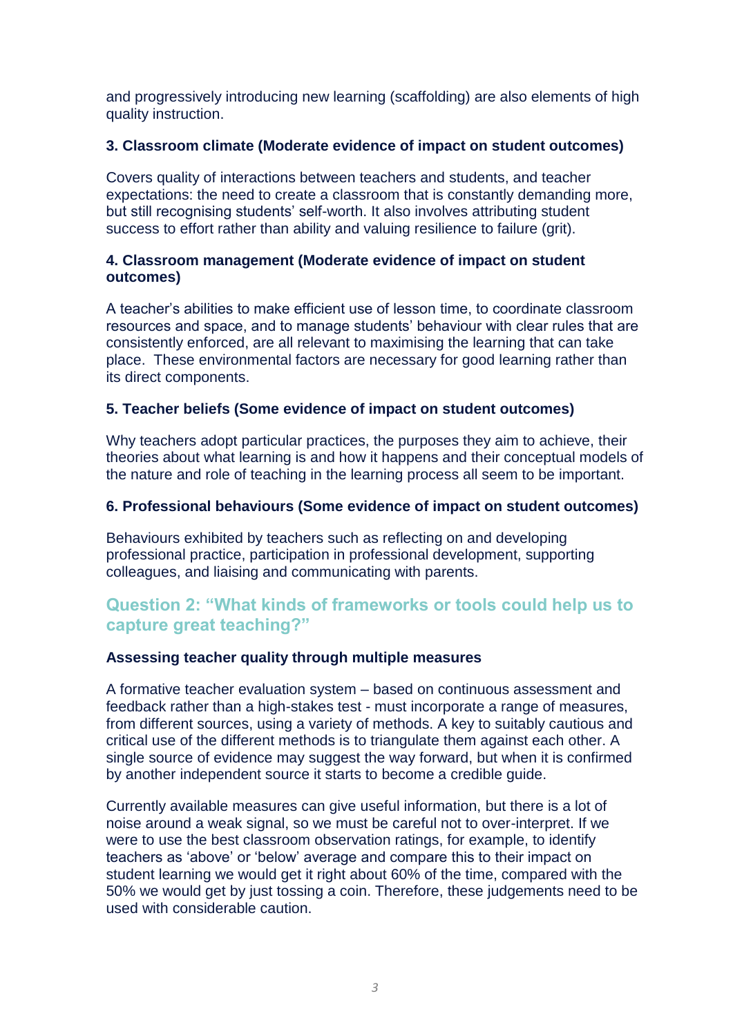and progressively introducing new learning (scaffolding) are also elements of high quality instruction.

### **3. Classroom climate (Moderate evidence of impact on student outcomes)**

Covers quality of interactions between teachers and students, and teacher expectations: the need to create a classroom that is constantly demanding more, but still recognising students' self-worth. It also involves attributing student success to effort rather than ability and valuing resilience to failure (grit).

### **4. Classroom management (Moderate evidence of impact on student outcomes)**

A teacher's abilities to make efficient use of lesson time, to coordinate classroom resources and space, and to manage students' behaviour with clear rules that are consistently enforced, are all relevant to maximising the learning that can take place. These environmental factors are necessary for good learning rather than its direct components.

### **5. Teacher beliefs (Some evidence of impact on student outcomes)**

Why teachers adopt particular practices, the purposes they aim to achieve, their theories about what learning is and how it happens and their conceptual models of the nature and role of teaching in the learning process all seem to be important.

### **6. Professional behaviours (Some evidence of impact on student outcomes)**

Behaviours exhibited by teachers such as reflecting on and developing professional practice, participation in professional development, supporting colleagues, and liaising and communicating with parents.

### **Question 2: "What kinds of frameworks or tools could help us to capture great teaching?"**

### **Assessing teacher quality through multiple measures**

A formative teacher evaluation system – based on continuous assessment and feedback rather than a high-stakes test - must incorporate a range of measures, from different sources, using a variety of methods. A key to suitably cautious and critical use of the different methods is to triangulate them against each other. A single source of evidence may suggest the way forward, but when it is confirmed by another independent source it starts to become a credible guide.

Currently available measures can give useful information, but there is a lot of noise around a weak signal, so we must be careful not to over-interpret. If we were to use the best classroom observation ratings, for example, to identify teachers as 'above' or 'below' average and compare this to their impact on student learning we would get it right about 60% of the time, compared with the 50% we would get by just tossing a coin. Therefore, these judgements need to be used with considerable caution.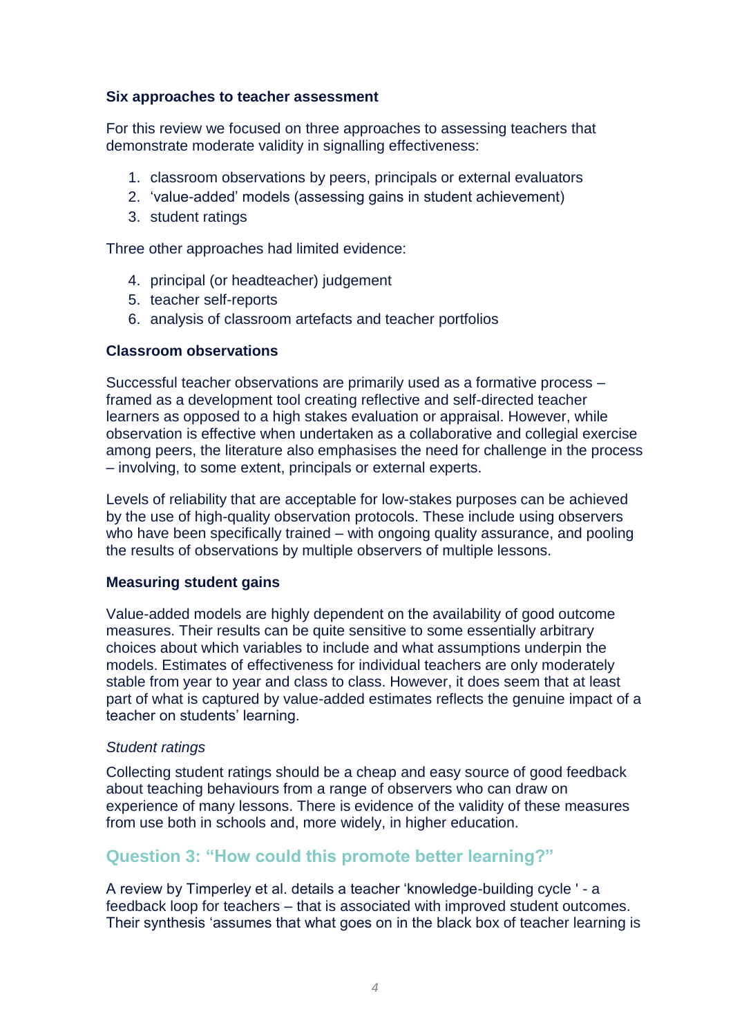### **Six approaches to teacher assessment**

For this review we focused on three approaches to assessing teachers that demonstrate moderate validity in signalling effectiveness:

- 1. classroom observations by peers, principals or external evaluators
- 2. 'value-added' models (assessing gains in student achievement)
- 3. student ratings

Three other approaches had limited evidence:

- 4. principal (or headteacher) judgement
- 5. teacher self-reports
- 6. analysis of classroom artefacts and teacher portfolios

### **Classroom observations**

Successful teacher observations are primarily used as a formative process – framed as a development tool creating reflective and self-directed teacher learners as opposed to a high stakes evaluation or appraisal. However, while observation is effective when undertaken as a collaborative and collegial exercise among peers, the literature also emphasises the need for challenge in the process – involving, to some extent, principals or external experts.

Levels of reliability that are acceptable for low-stakes purposes can be achieved by the use of high-quality observation protocols. These include using observers who have been specifically trained – with ongoing quality assurance, and pooling the results of observations by multiple observers of multiple lessons.

### **Measuring student gains**

Value-added models are highly dependent on the availability of good outcome measures. Their results can be quite sensitive to some essentially arbitrary choices about which variables to include and what assumptions underpin the models. Estimates of effectiveness for individual teachers are only moderately stable from year to year and class to class. However, it does seem that at least part of what is captured by value-added estimates reflects the genuine impact of a teacher on students' learning.

#### *Student ratings*

Collecting student ratings should be a cheap and easy source of good feedback about teaching behaviours from a range of observers who can draw on experience of many lessons. There is evidence of the validity of these measures from use both in schools and, more widely, in higher education.

### **Question 3: "How could this promote better learning?"**

A review by Timperley et al. details a teacher 'knowledge-building cycle ' - a feedback loop for teachers – that is associated with improved student outcomes. Their synthesis 'assumes that what goes on in the black box of teacher learning is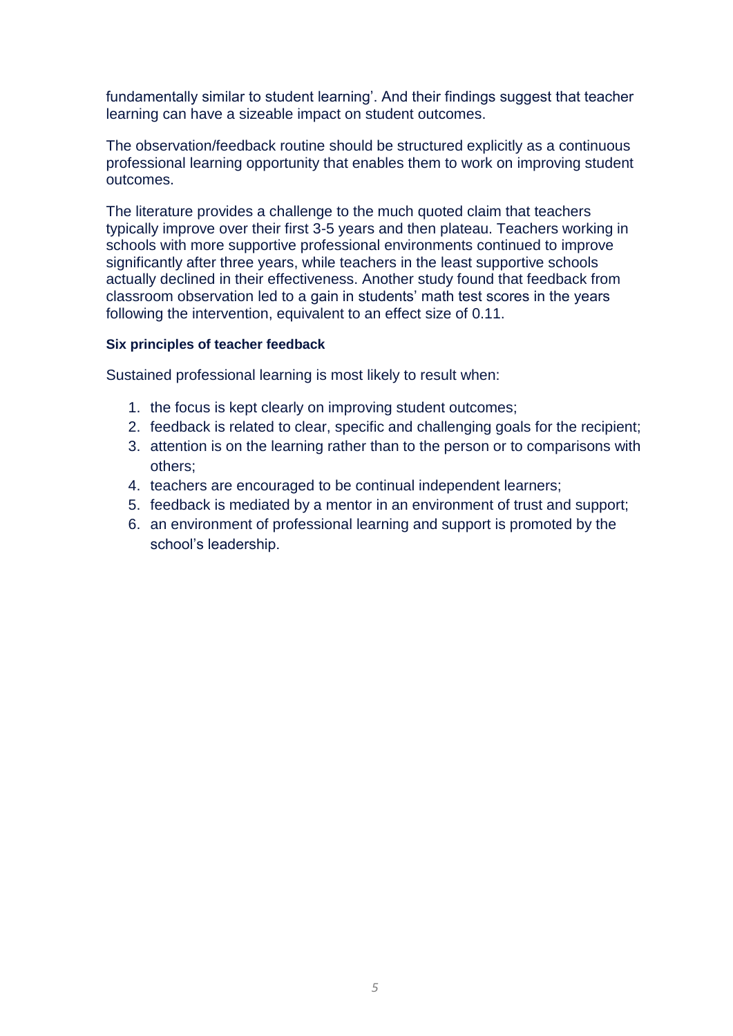fundamentally similar to student learning'. And their findings suggest that teacher learning can have a sizeable impact on student outcomes.

The observation/feedback routine should be structured explicitly as a continuous professional learning opportunity that enables them to work on improving student outcomes.

The literature provides a challenge to the much quoted claim that teachers typically improve over their first 3-5 years and then plateau. Teachers working in schools with more supportive professional environments continued to improve significantly after three years, while teachers in the least supportive schools actually declined in their effectiveness. Another study found that feedback from classroom observation led to a gain in students' math test scores in the years following the intervention, equivalent to an effect size of 0.11.

#### **Six principles of teacher feedback**

Sustained professional learning is most likely to result when:

- 1. the focus is kept clearly on improving student outcomes;
- 2. feedback is related to clear, specific and challenging goals for the recipient;
- 3. attention is on the learning rather than to the person or to comparisons with others;
- 4. teachers are encouraged to be continual independent learners;
- 5. feedback is mediated by a mentor in an environment of trust and support;
- 6. an environment of professional learning and support is promoted by the school's leadership.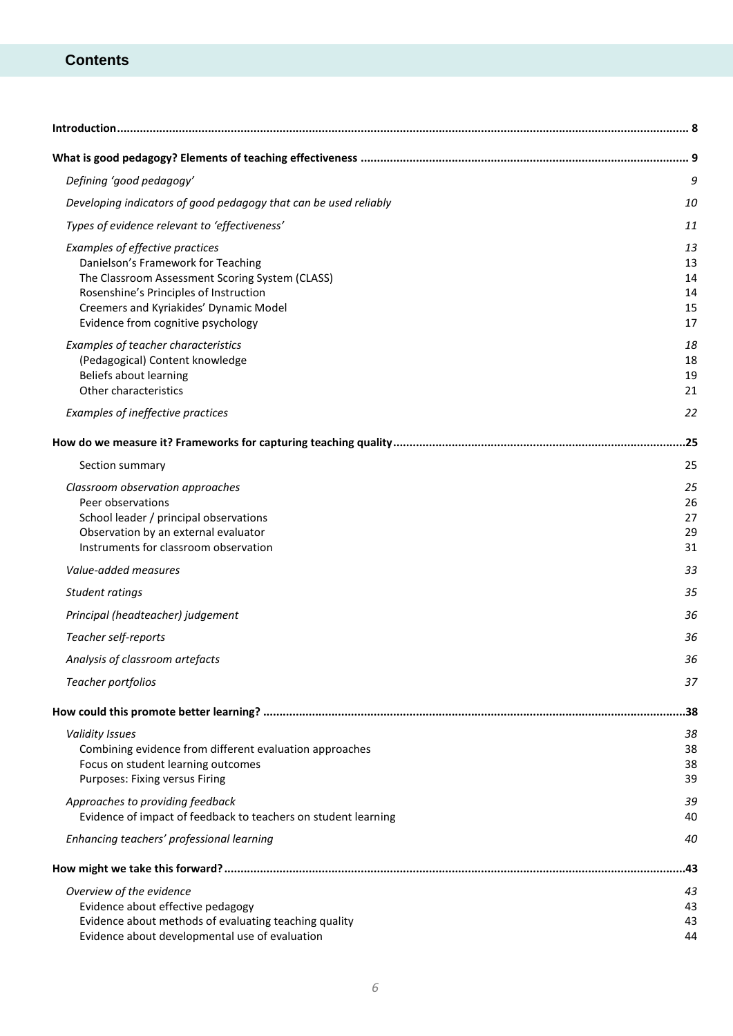### **Contents**

| Introduction                                                                                  |          |
|-----------------------------------------------------------------------------------------------|----------|
|                                                                                               |          |
| Defining 'good pedagogy'                                                                      | 9        |
| Developing indicators of good pedagogy that can be used reliably                              | 10       |
| Types of evidence relevant to 'effectiveness'                                                 | 11       |
| Examples of effective practices                                                               | 13       |
| Danielson's Framework for Teaching                                                            | 13       |
| The Classroom Assessment Scoring System (CLASS)                                               | 14       |
| Rosenshine's Principles of Instruction<br>Creemers and Kyriakides' Dynamic Model              | 14<br>15 |
| Evidence from cognitive psychology                                                            | 17       |
| Examples of teacher characteristics                                                           | 18       |
| (Pedagogical) Content knowledge                                                               | 18       |
| Beliefs about learning                                                                        | 19       |
| Other characteristics                                                                         | 21       |
| Examples of ineffective practices                                                             | 22       |
|                                                                                               |          |
| Section summary                                                                               | 25       |
| Classroom observation approaches                                                              | 25       |
| Peer observations                                                                             | 26       |
| School leader / principal observations                                                        | 27       |
| Observation by an external evaluator<br>Instruments for classroom observation                 | 29<br>31 |
| Value-added measures                                                                          | 33       |
| Student ratings                                                                               | 35       |
| Principal (headteacher) judgement                                                             | 36       |
| Teacher self-reports                                                                          | 36       |
| Analysis of classroom artefacts                                                               | 36       |
| Teacher portfolios                                                                            | 37       |
|                                                                                               |          |
|                                                                                               | 38       |
| <b>Validity Issues</b>                                                                        | 38       |
| Combining evidence from different evaluation approaches<br>Focus on student learning outcomes | 38<br>38 |
| Purposes: Fixing versus Firing                                                                | 39       |
| Approaches to providing feedback                                                              | 39       |
| Evidence of impact of feedback to teachers on student learning                                | 40       |
| Enhancing teachers' professional learning                                                     | 40       |
|                                                                                               | .43      |
| Overview of the evidence                                                                      | 43       |
| Evidence about effective pedagogy                                                             | 43       |
| Evidence about methods of evaluating teaching quality                                         | 43       |
| Evidence about developmental use of evaluation                                                | 44       |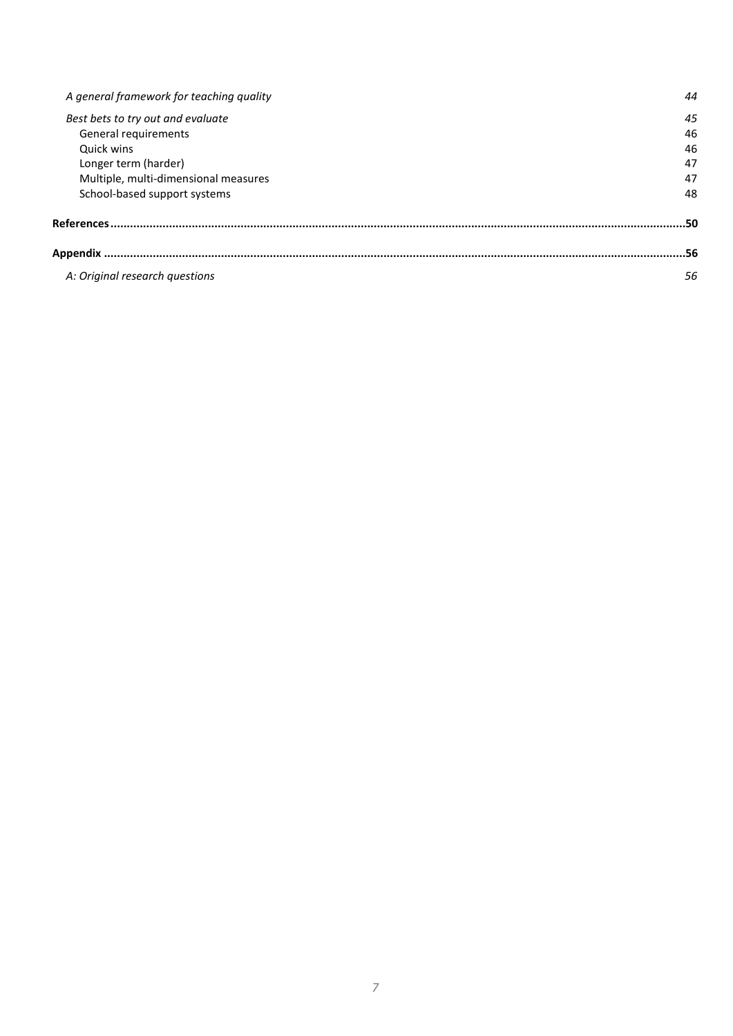| A general framework for teaching quality | 44  |
|------------------------------------------|-----|
| Best bets to try out and evaluate        | 45  |
| General requirements                     | 46  |
| Quick wins                               | 46  |
| Longer term (harder)                     | 47  |
| Multiple, multi-dimensional measures     | 47  |
| School-based support systems             | 48  |
| References                               | .50 |
|                                          | 56  |
| A: Original research questions           | 56  |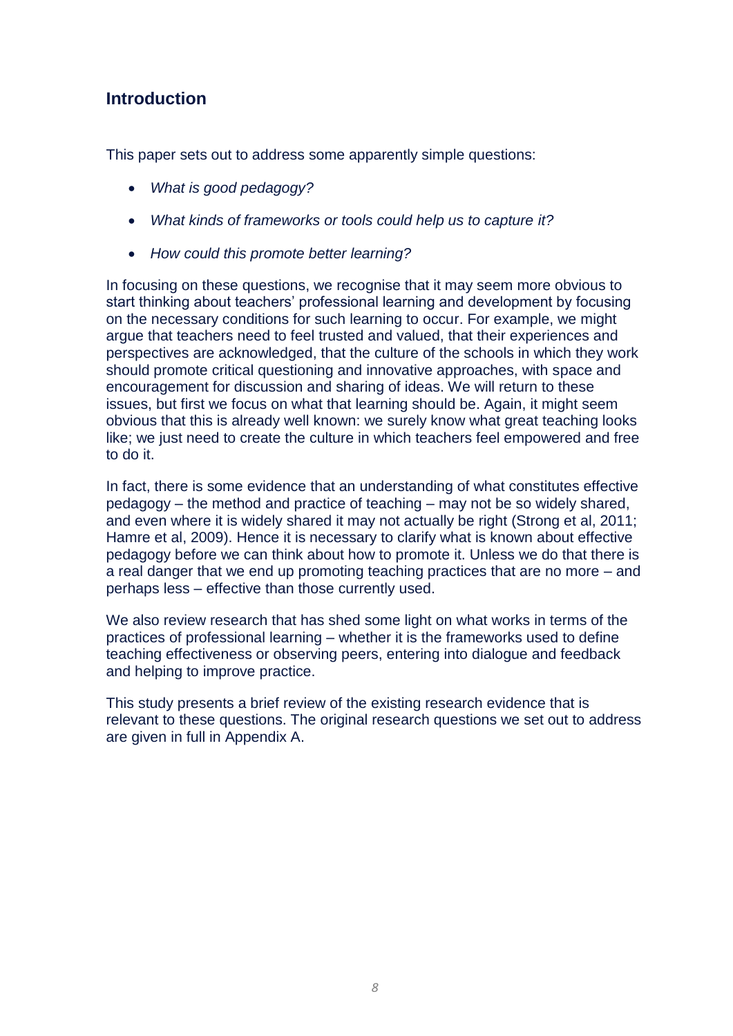### **Introduction**

This paper sets out to address some apparently simple questions:

- *What is good pedagogy?*
- *What kinds of frameworks or tools could help us to capture it?*
- *How could this promote better learning?*

In focusing on these questions, we recognise that it may seem more obvious to start thinking about teachers' professional learning and development by focusing on the necessary conditions for such learning to occur. For example, we might argue that teachers need to feel trusted and valued, that their experiences and perspectives are acknowledged, that the culture of the schools in which they work should promote critical questioning and innovative approaches, with space and encouragement for discussion and sharing of ideas. We will return to these issues, but first we focus on what that learning should be. Again, it might seem obvious that this is already well known: we surely know what great teaching looks like; we just need to create the culture in which teachers feel empowered and free to do it.

In fact, there is some evidence that an understanding of what constitutes effective pedagogy – the method and practice of teaching – may not be so widely shared, and even where it is widely shared it may not actually be right (Strong et al, 2011; Hamre et al, 2009). Hence it is necessary to clarify what is known about effective pedagogy before we can think about how to promote it. Unless we do that there is a real danger that we end up promoting teaching practices that are no more – and perhaps less – effective than those currently used.

We also review research that has shed some light on what works in terms of the practices of professional learning – whether it is the frameworks used to define teaching effectiveness or observing peers, entering into dialogue and feedback and helping to improve practice.

<span id="page-8-0"></span>This study presents a brief review of the existing research evidence that is relevant to these questions. The original research questions we set out to address are given in full in Appendix A.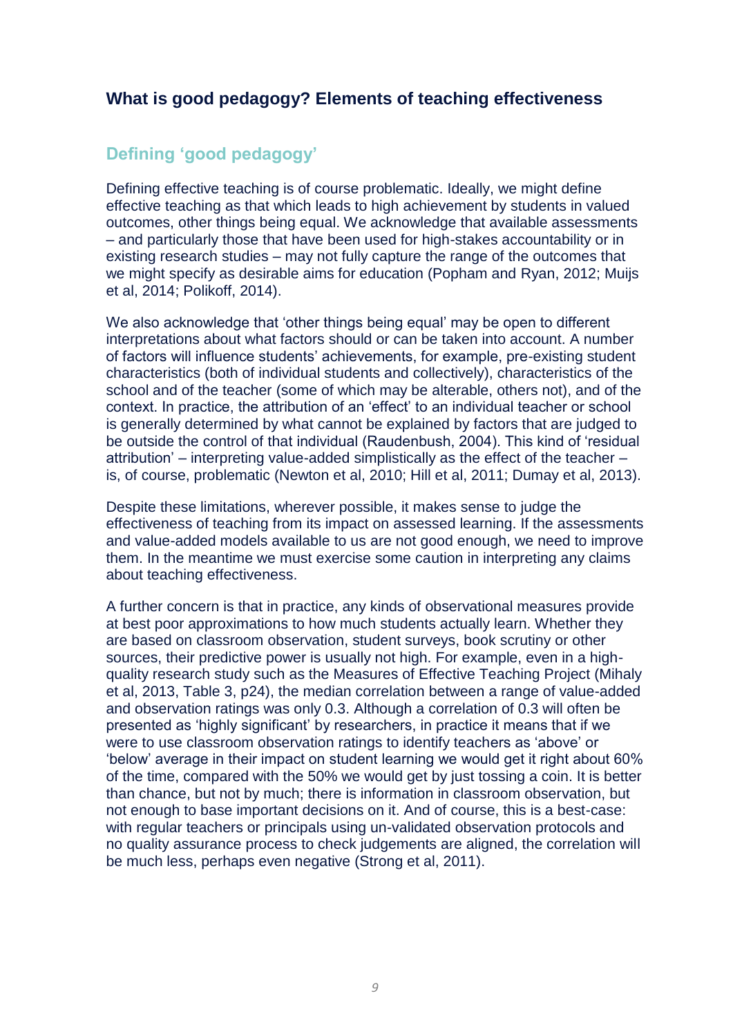### **What is good pedagogy? Elements of teaching effectiveness**

## **Defining 'good pedagogy'**

Defining effective teaching is of course problematic. Ideally, we might define effective teaching as that which leads to high achievement by students in valued outcomes, other things being equal. We acknowledge that available assessments – and particularly those that have been used for high-stakes accountability or in existing research studies – may not fully capture the range of the outcomes that we might specify as desirable aims for education (Popham and Ryan, 2012; Muijs et al, 2014; Polikoff, 2014).

We also acknowledge that 'other things being equal' may be open to different interpretations about what factors should or can be taken into account. A number of factors will influence students' achievements, for example, pre-existing student characteristics (both of individual students and collectively), characteristics of the school and of the teacher (some of which may be alterable, others not), and of the context. In practice, the attribution of an 'effect' to an individual teacher or school is generally determined by what cannot be explained by factors that are judged to be outside the control of that individual (Raudenbush, 2004). This kind of 'residual attribution' – interpreting value-added simplistically as the effect of the teacher – is, of course, problematic (Newton et al, 2010; Hill et al, 2011; Dumay et al, 2013).

Despite these limitations, wherever possible, it makes sense to judge the effectiveness of teaching from its impact on assessed learning. If the assessments and value-added models available to us are not good enough, we need to improve them. In the meantime we must exercise some caution in interpreting any claims about teaching effectiveness.

A further concern is that in practice, any kinds of observational measures provide at best poor approximations to how much students actually learn. Whether they are based on classroom observation, student surveys, book scrutiny or other sources, their predictive power is usually not high. For example, even in a highquality research study such as the Measures of Effective Teaching Project (Mihaly et al, 2013, Table 3, p24), the median correlation between a range of value-added and observation ratings was only 0.3. Although a correlation of 0.3 will often be presented as 'highly significant' by researchers, in practice it means that if we were to use classroom observation ratings to identify teachers as 'above' or 'below' average in their impact on student learning we would get it right about 60% of the time, compared with the 50% we would get by just tossing a coin. It is better than chance, but not by much; there is information in classroom observation, but not enough to base important decisions on it. And of course, this is a best-case: with regular teachers or principals using un-validated observation protocols and no quality assurance process to check judgements are aligned, the correlation will be much less, perhaps even negative (Strong et al, 2011).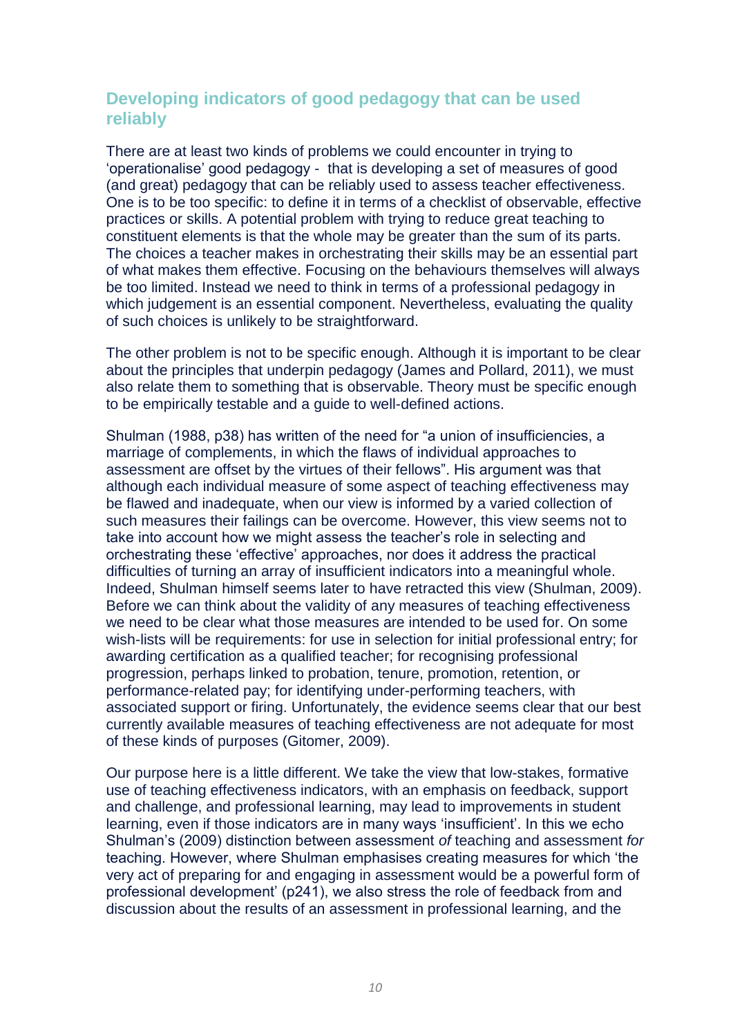### **Developing indicators of good pedagogy that can be used reliably**

There are at least two kinds of problems we could encounter in trying to 'operationalise' good pedagogy - that is developing a set of measures of good (and great) pedagogy that can be reliably used to assess teacher effectiveness. One is to be too specific: to define it in terms of a checklist of observable, effective practices or skills. A potential problem with trying to reduce great teaching to constituent elements is that the whole may be greater than the sum of its parts. The choices a teacher makes in orchestrating their skills may be an essential part of what makes them effective. Focusing on the behaviours themselves will always be too limited. Instead we need to think in terms of a professional pedagogy in which judgement is an essential component. Nevertheless, evaluating the quality of such choices is unlikely to be straightforward.

The other problem is not to be specific enough. Although it is important to be clear about the principles that underpin pedagogy (James and Pollard, 2011), we must also relate them to something that is observable. Theory must be specific enough to be empirically testable and a guide to well-defined actions.

Shulman (1988, p38) has written of the need for "a union of insufficiencies, a marriage of complements, in which the flaws of individual approaches to assessment are offset by the virtues of their fellows". His argument was that although each individual measure of some aspect of teaching effectiveness may be flawed and inadequate, when our view is informed by a varied collection of such measures their failings can be overcome. However, this view seems not to take into account how we might assess the teacher's role in selecting and orchestrating these 'effective' approaches, nor does it address the practical difficulties of turning an array of insufficient indicators into a meaningful whole. Indeed, Shulman himself seems later to have retracted this view (Shulman, 2009). Before we can think about the validity of any measures of teaching effectiveness we need to be clear what those measures are intended to be used for. On some wish-lists will be requirements: for use in selection for initial professional entry; for awarding certification as a qualified teacher; for recognising professional progression, perhaps linked to probation, tenure, promotion, retention, or performance-related pay; for identifying under-performing teachers, with associated support or firing. Unfortunately, the evidence seems clear that our best currently available measures of teaching effectiveness are not adequate for most of these kinds of purposes (Gitomer, 2009).

Our purpose here is a little different. We take the view that low-stakes, formative use of teaching effectiveness indicators, with an emphasis on feedback, support and challenge, and professional learning, may lead to improvements in student learning, even if those indicators are in many ways 'insufficient'. In this we echo Shulman's (2009) distinction between assessment *of* teaching and assessment *for* teaching. However, where Shulman emphasises creating measures for which 'the very act of preparing for and engaging in assessment would be a powerful form of professional development' (p241), we also stress the role of feedback from and discussion about the results of an assessment in professional learning, and the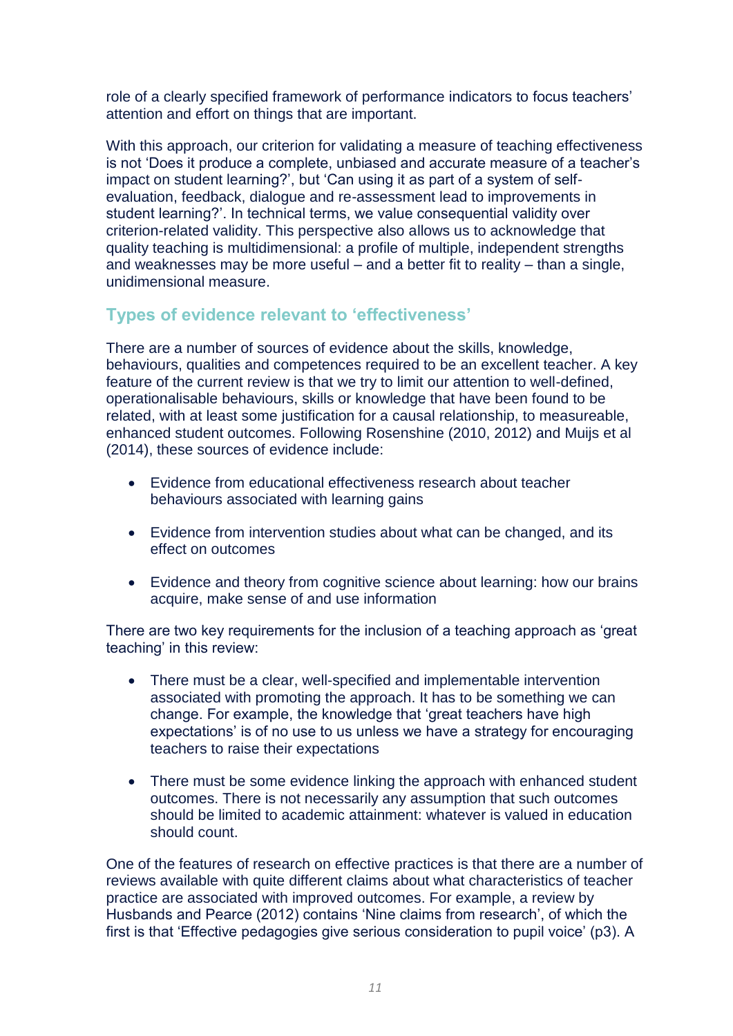role of a clearly specified framework of performance indicators to focus teachers' attention and effort on things that are important.

With this approach, our criterion for validating a measure of teaching effectiveness is not 'Does it produce a complete, unbiased and accurate measure of a teacher's impact on student learning?', but 'Can using it as part of a system of selfevaluation, feedback, dialogue and re-assessment lead to improvements in student learning?'. In technical terms, we value consequential validity over criterion-related validity. This perspective also allows us to acknowledge that quality teaching is multidimensional: a profile of multiple, independent strengths and weaknesses may be more useful – and a better fit to reality – than a single, unidimensional measure.

### **Types of evidence relevant to 'effectiveness'**

There are a number of sources of evidence about the skills, knowledge, behaviours, qualities and competences required to be an excellent teacher. A key feature of the current review is that we try to limit our attention to well-defined, operationalisable behaviours, skills or knowledge that have been found to be related, with at least some justification for a causal relationship, to measureable, enhanced student outcomes. Following Rosenshine (2010, 2012) and Muijs et al (2014), these sources of evidence include:

- Evidence from educational effectiveness research about teacher behaviours associated with learning gains
- Evidence from intervention studies about what can be changed, and its effect on outcomes
- Evidence and theory from cognitive science about learning: how our brains acquire, make sense of and use information

There are two key requirements for the inclusion of a teaching approach as 'great teaching' in this review:

- There must be a clear, well-specified and implementable intervention associated with promoting the approach. It has to be something we can change. For example, the knowledge that 'great teachers have high expectations' is of no use to us unless we have a strategy for encouraging teachers to raise their expectations
- There must be some evidence linking the approach with enhanced student outcomes. There is not necessarily any assumption that such outcomes should be limited to academic attainment: whatever is valued in education should count.

One of the features of research on effective practices is that there are a number of reviews available with quite different claims about what characteristics of teacher practice are associated with improved outcomes. For example, a review by Husbands and Pearce (2012) contains 'Nine claims from research', of which the first is that 'Effective pedagogies give serious consideration to pupil voice' (p3). A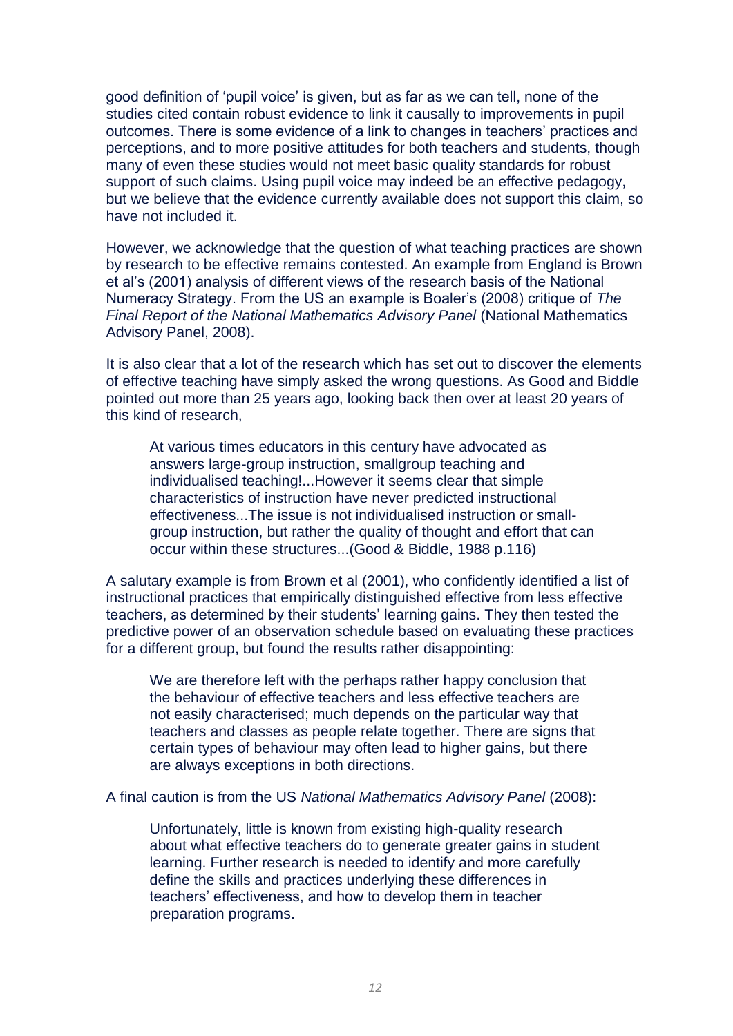good definition of 'pupil voice' is given, but as far as we can tell, none of the studies cited contain robust evidence to link it causally to improvements in pupil outcomes. There is some evidence of a link to changes in teachers' practices and perceptions, and to more positive attitudes for both teachers and students, though many of even these studies would not meet basic quality standards for robust support of such claims. Using pupil voice may indeed be an effective pedagogy, but we believe that the evidence currently available does not support this claim, so have not included it.

However, we acknowledge that the question of what teaching practices are shown by research to be effective remains contested. An example from England is Brown et al's (2001) analysis of different views of the research basis of the National Numeracy Strategy. From the US an example is Boaler's (2008) critique of *The Final Report of the National Mathematics Advisory Panel* (National Mathematics Advisory Panel, 2008).

It is also clear that a lot of the research which has set out to discover the elements of effective teaching have simply asked the wrong questions. As Good and Biddle pointed out more than 25 years ago, looking back then over at least 20 years of this kind of research,

At various times educators in this century have advocated as answers large-group instruction, smallgroup teaching and individualised teaching!...However it seems clear that simple characteristics of instruction have never predicted instructional effectiveness...The issue is not individualised instruction or smallgroup instruction, but rather the quality of thought and effort that can occur within these structures...(Good & Biddle, 1988 p.116)

A salutary example is from Brown et al (2001), who confidently identified a list of instructional practices that empirically distinguished effective from less effective teachers, as determined by their students' learning gains. They then tested the predictive power of an observation schedule based on evaluating these practices for a different group, but found the results rather disappointing:

We are therefore left with the perhaps rather happy conclusion that the behaviour of effective teachers and less effective teachers are not easily characterised; much depends on the particular way that teachers and classes as people relate together. There are signs that certain types of behaviour may often lead to higher gains, but there are always exceptions in both directions.

A final caution is from the US *National Mathematics Advisory Panel* (2008):

Unfortunately, little is known from existing high-quality research about what effective teachers do to generate greater gains in student learning. Further research is needed to identify and more carefully define the skills and practices underlying these differences in teachers' effectiveness, and how to develop them in teacher preparation programs.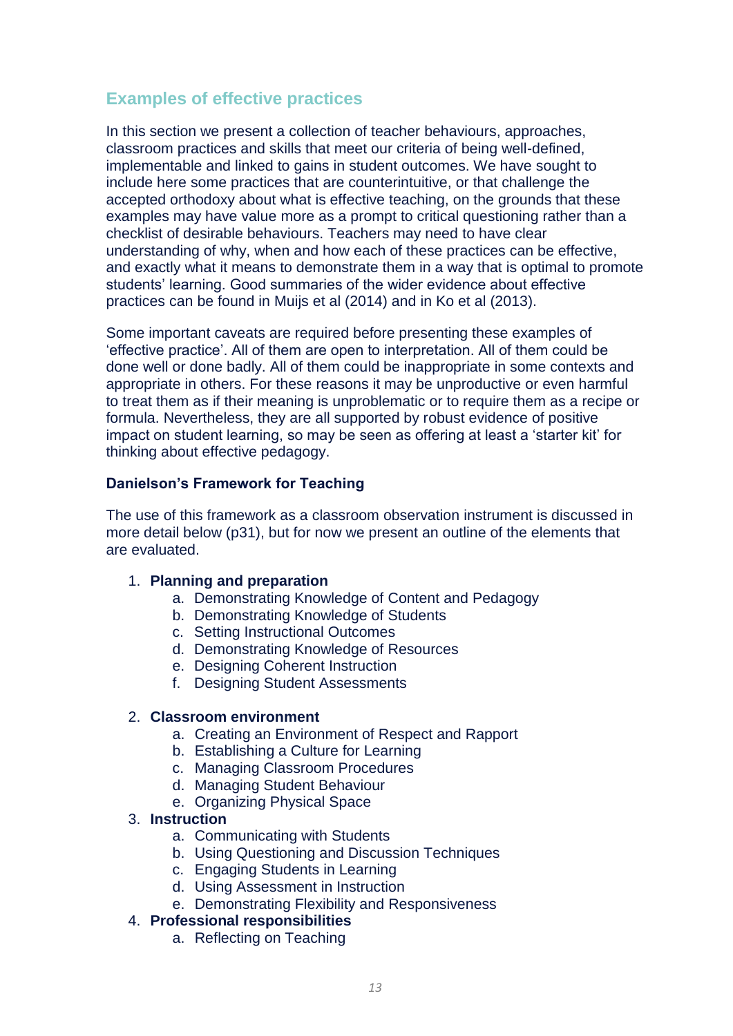### **Examples of effective practices**

In this section we present a collection of teacher behaviours, approaches, classroom practices and skills that meet our criteria of being well-defined, implementable and linked to gains in student outcomes. We have sought to include here some practices that are counterintuitive, or that challenge the accepted orthodoxy about what is effective teaching, on the grounds that these examples may have value more as a prompt to critical questioning rather than a checklist of desirable behaviours. Teachers may need to have clear understanding of why, when and how each of these practices can be effective, and exactly what it means to demonstrate them in a way that is optimal to promote students' learning. Good summaries of the wider evidence about effective practices can be found in Muijs et al (2014) and in Ko et al (2013).

Some important caveats are required before presenting these examples of 'effective practice'. All of them are open to interpretation. All of them could be done well or done badly. All of them could be inappropriate in some contexts and appropriate in others. For these reasons it may be unproductive or even harmful to treat them as if their meaning is unproblematic or to require them as a recipe or formula. Nevertheless, they are all supported by robust evidence of positive impact on student learning, so may be seen as offering at least a 'starter kit' for thinking about effective pedagogy.

### **Danielson's Framework for Teaching**

The use of this framework as a classroom observation instrument is discussed in more detail below ([p31\)](#page-31-0), but for now we present an outline of the elements that are evaluated.

#### 1. **Planning and preparation**

- a. Demonstrating Knowledge of Content and Pedagogy
- b. Demonstrating Knowledge of Students
- c. Setting Instructional Outcomes
- d. Demonstrating Knowledge of Resources
- e. Designing Coherent Instruction
- f. Designing Student Assessments

#### 2. **Classroom environment**

- a. Creating an Environment of Respect and Rapport
- b. Establishing a Culture for Learning
- c. Managing Classroom Procedures
- d. Managing Student Behaviour
- e. Organizing Physical Space

#### 3. **Instruction**

- a. Communicating with Students
- b. Using Questioning and Discussion Techniques
- c. Engaging Students in Learning
- d. Using Assessment in Instruction
- e. Demonstrating Flexibility and Responsiveness

#### 4. **Professional responsibilities**

a. Reflecting on Teaching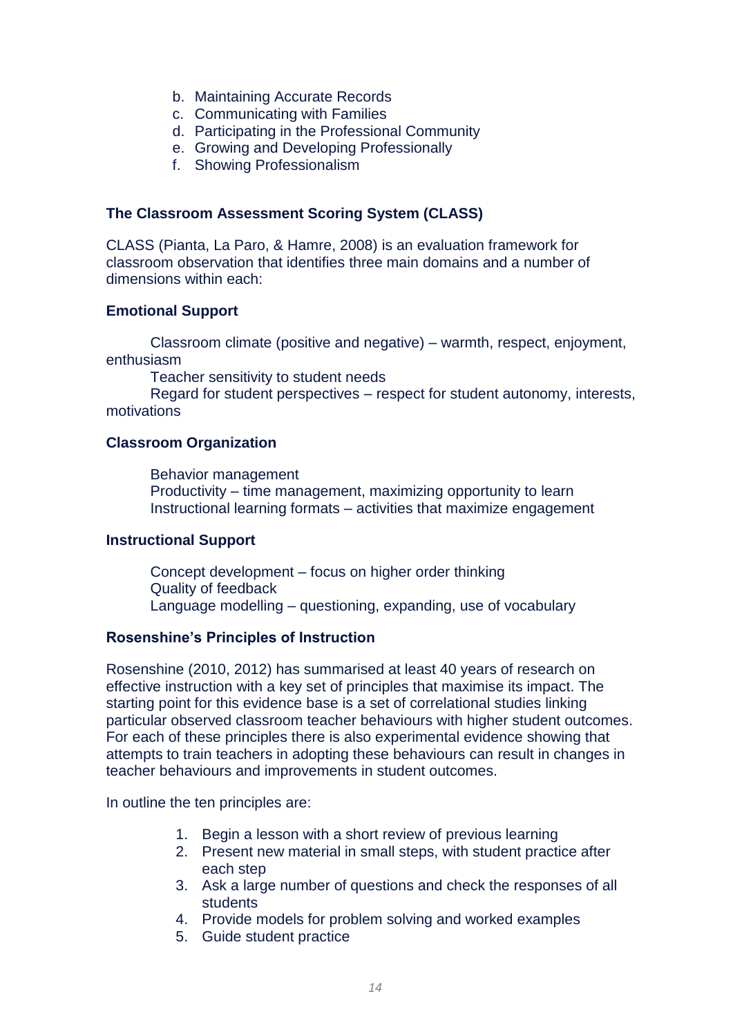- b. Maintaining Accurate Records
- c. Communicating with Families
- d. Participating in the Professional Community
- e. Growing and Developing Professionally
- f. Showing Professionalism

#### **The Classroom Assessment Scoring System (CLASS)**

CLASS (Pianta, La Paro, & Hamre, 2008) is an evaluation framework for classroom observation that identifies three main domains and a number of dimensions within each:

### **Emotional Support**

Classroom climate (positive and negative) – warmth, respect, enjoyment, enthusiasm

Teacher sensitivity to student needs

Regard for student perspectives – respect for student autonomy, interests, motivations

### **Classroom Organization**

Behavior management Productivity – time management, maximizing opportunity to learn Instructional learning formats – activities that maximize engagement

### **Instructional Support**

Concept development – focus on higher order thinking Quality of feedback Language modelling – questioning, expanding, use of vocabulary

### **Rosenshine's Principles of Instruction**

Rosenshine (2010, 2012) has summarised at least 40 years of research on effective instruction with a key set of principles that maximise its impact. The starting point for this evidence base is a set of correlational studies linking particular observed classroom teacher behaviours with higher student outcomes. For each of these principles there is also experimental evidence showing that attempts to train teachers in adopting these behaviours can result in changes in teacher behaviours and improvements in student outcomes.

In outline the ten principles are:

- 1. Begin a lesson with a short review of previous learning
- 2. Present new material in small steps, with student practice after each step
- 3. Ask a large number of questions and check the responses of all students
- 4. Provide models for problem solving and worked examples
- 5. Guide student practice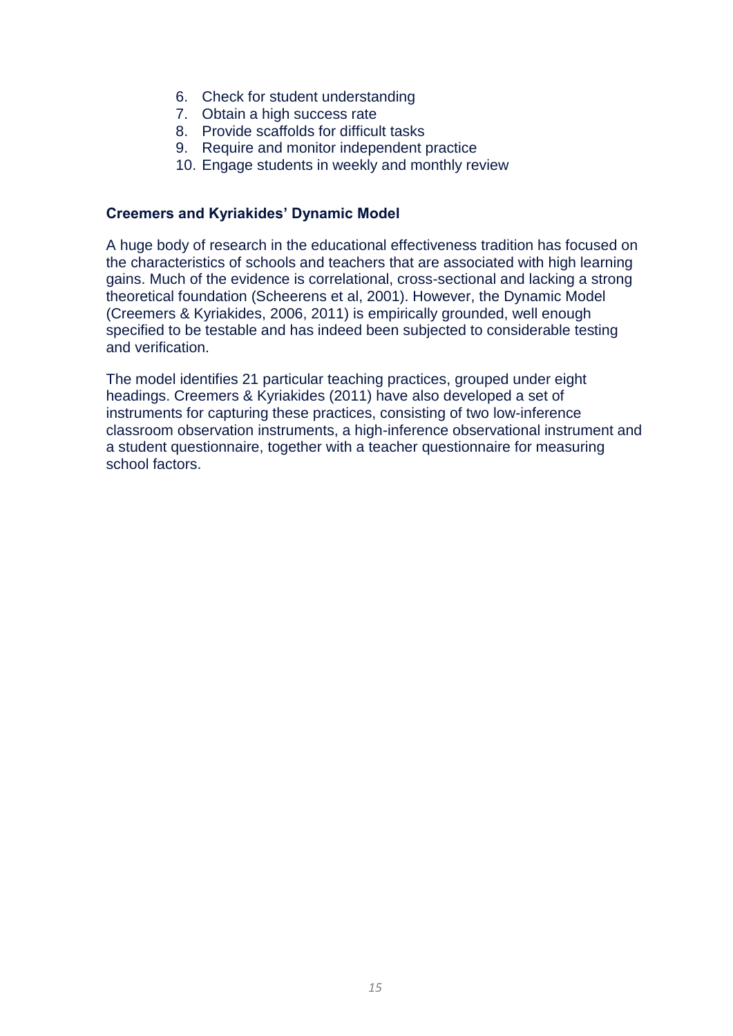- 6. Check for student understanding
- 7. Obtain a high success rate
- 8. Provide scaffolds for difficult tasks
- 9. Require and monitor independent practice
- 10. Engage students in weekly and monthly review

### **Creemers and Kyriakides' Dynamic Model**

A huge body of research in the educational effectiveness tradition has focused on the characteristics of schools and teachers that are associated with high learning gains. Much of the evidence is correlational, cross-sectional and lacking a strong theoretical foundation (Scheerens et al, 2001). However, the Dynamic Model (Creemers & Kyriakides, 2006, 2011) is empirically grounded, well enough specified to be testable and has indeed been subjected to considerable testing and verification.

The model identifies 21 particular teaching practices, grouped under eight headings. Creemers & Kyriakides (2011) have also developed a set of instruments for capturing these practices, consisting of two low-inference classroom observation instruments, a high-inference observational instrument and a student questionnaire, together with a teacher questionnaire for measuring school factors.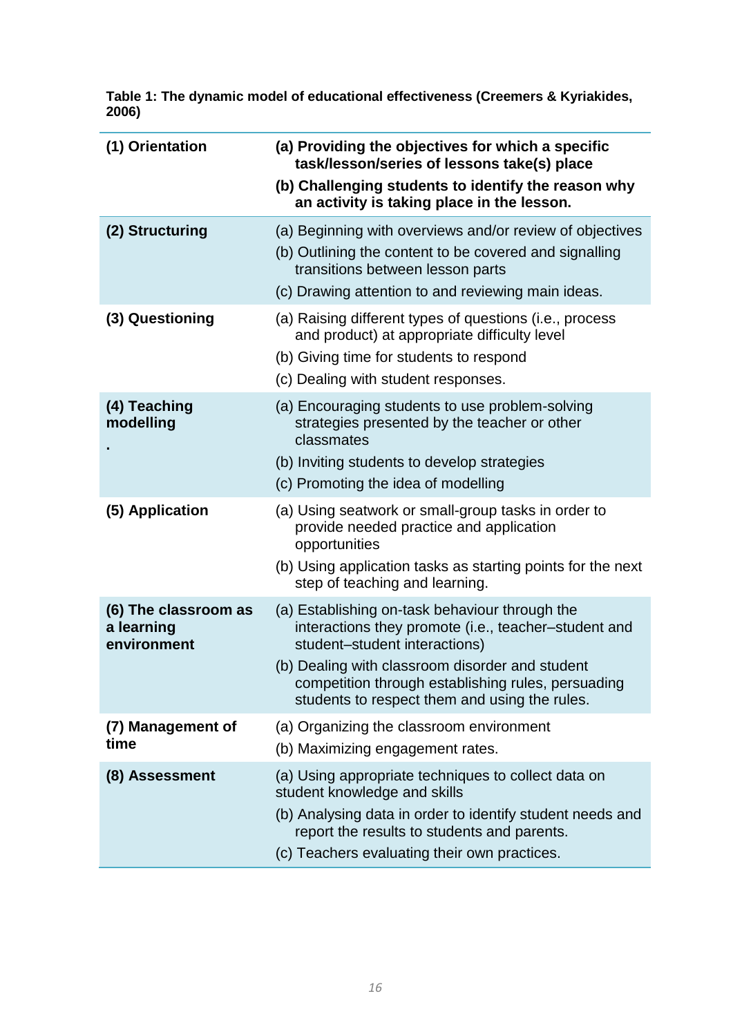| (1) Orientation                                   | (a) Providing the objectives for which a specific<br>task/lesson/series of lessons take(s) place<br>(b) Challenging students to identify the reason why<br>an activity is taking place in the lesson.                                                                                             |
|---------------------------------------------------|---------------------------------------------------------------------------------------------------------------------------------------------------------------------------------------------------------------------------------------------------------------------------------------------------|
| (2) Structuring                                   | (a) Beginning with overviews and/or review of objectives<br>(b) Outlining the content to be covered and signalling<br>transitions between lesson parts                                                                                                                                            |
| (3) Questioning                                   | (c) Drawing attention to and reviewing main ideas.<br>(a) Raising different types of questions (i.e., process<br>and product) at appropriate difficulty level<br>(b) Giving time for students to respond<br>(c) Dealing with student responses.                                                   |
| (4) Teaching<br>modelling                         | (a) Encouraging students to use problem-solving<br>strategies presented by the teacher or other<br>classmates<br>(b) Inviting students to develop strategies<br>(c) Promoting the idea of modelling                                                                                               |
| (5) Application                                   | (a) Using seatwork or small-group tasks in order to<br>provide needed practice and application<br>opportunities<br>(b) Using application tasks as starting points for the next<br>step of teaching and learning.                                                                                  |
| (6) The classroom as<br>a learning<br>environment | (a) Establishing on-task behaviour through the<br>interactions they promote (i.e., teacher-student and<br>student-student interactions)<br>(b) Dealing with classroom disorder and student<br>competition through establishing rules, persuading<br>students to respect them and using the rules. |
| (7) Management of<br>time                         | (a) Organizing the classroom environment<br>(b) Maximizing engagement rates.                                                                                                                                                                                                                      |
| (8) Assessment                                    | (a) Using appropriate techniques to collect data on<br>student knowledge and skills<br>(b) Analysing data in order to identify student needs and<br>report the results to students and parents.<br>(c) Teachers evaluating their own practices.                                                   |

**Table 1: The dynamic model of educational effectiveness (Creemers & Kyriakides, 2006)**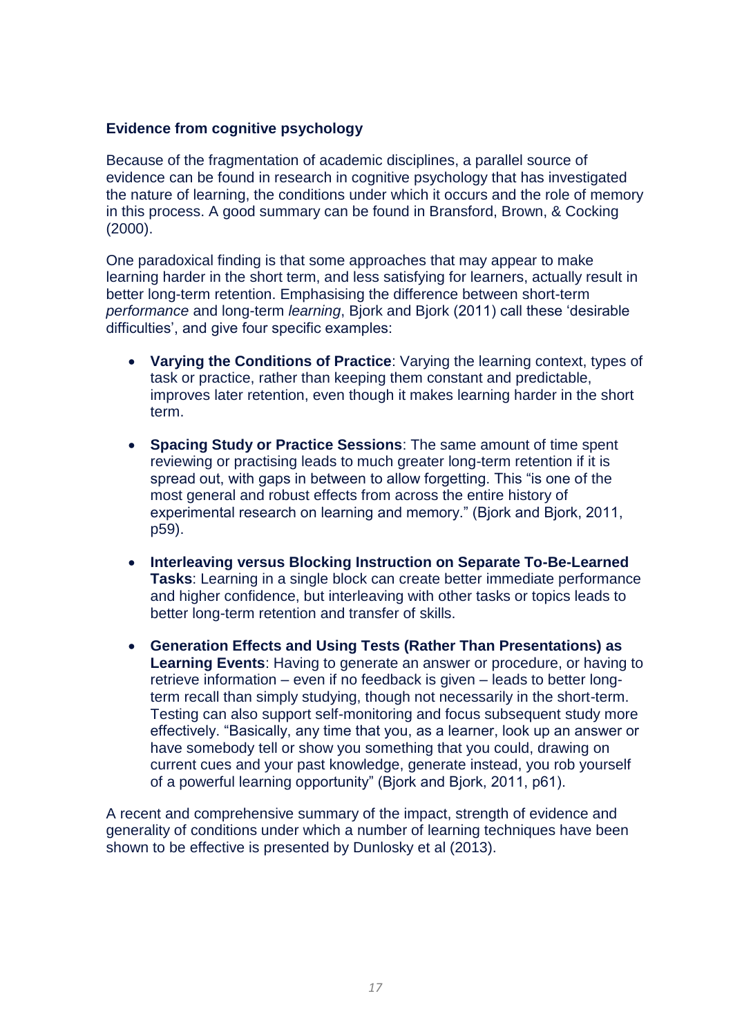### **Evidence from cognitive psychology**

Because of the fragmentation of academic disciplines, a parallel source of evidence can be found in research in cognitive psychology that has investigated the nature of learning, the conditions under which it occurs and the role of memory in this process. A good summary can be found in Bransford, Brown, & Cocking (2000).

One paradoxical finding is that some approaches that may appear to make learning harder in the short term, and less satisfying for learners, actually result in better long-term retention. Emphasising the difference between short-term *performance* and long-term *learning*, Bjork and Bjork (2011) call these 'desirable difficulties', and give four specific examples:

- **Varying the Conditions of Practice**: Varying the learning context, types of task or practice, rather than keeping them constant and predictable, improves later retention, even though it makes learning harder in the short term.
- **Spacing Study or Practice Sessions**: The same amount of time spent reviewing or practising leads to much greater long-term retention if it is spread out, with gaps in between to allow forgetting. This "is one of the most general and robust effects from across the entire history of experimental research on learning and memory." (Bjork and Bjork, 2011, p59).
- **Interleaving versus Blocking Instruction on Separate To-Be-Learned Tasks**: Learning in a single block can create better immediate performance and higher confidence, but interleaving with other tasks or topics leads to better long-term retention and transfer of skills.
- **Generation Effects and Using Tests (Rather Than Presentations) as Learning Events**: Having to generate an answer or procedure, or having to retrieve information – even if no feedback is given – leads to better longterm recall than simply studying, though not necessarily in the short-term. Testing can also support self-monitoring and focus subsequent study more effectively. "Basically, any time that you, as a learner, look up an answer or have somebody tell or show you something that you could, drawing on current cues and your past knowledge, generate instead, you rob yourself of a powerful learning opportunity" (Bjork and Bjork, 2011, p61).

A recent and comprehensive summary of the impact, strength of evidence and generality of conditions under which a number of learning techniques have been shown to be effective is presented by Dunlosky et al (2013).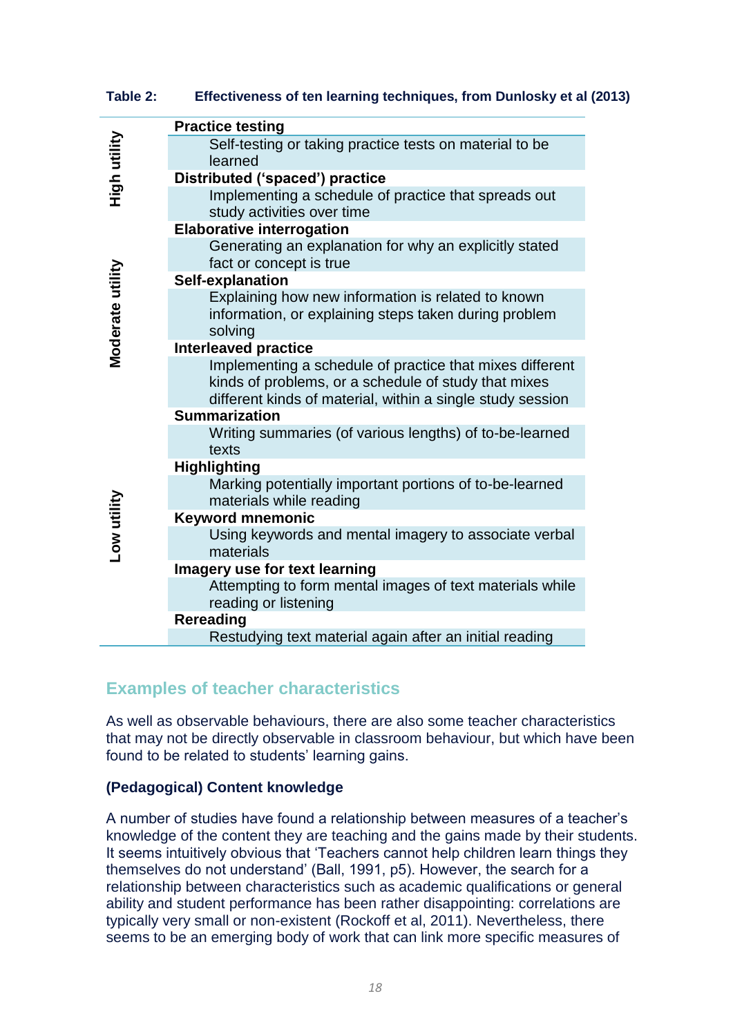**Table 2: Effectiveness of ten learning techniques, from Dunlosky et al (2013)**

|                  | <b>Practice testing</b>                                                            |
|------------------|------------------------------------------------------------------------------------|
| High utility     | Self-testing or taking practice tests on material to be                            |
|                  | learned                                                                            |
|                  | Distributed ('spaced') practice                                                    |
|                  | Implementing a schedule of practice that spreads out<br>study activities over time |
|                  | <b>Elaborative interrogation</b>                                                   |
|                  | Generating an explanation for why an explicitly stated                             |
|                  | fact or concept is true                                                            |
|                  | Self-explanation                                                                   |
|                  | Explaining how new information is related to known                                 |
| Moderate utility | information, or explaining steps taken during problem<br>solving                   |
|                  | <b>Interleaved practice</b>                                                        |
|                  | Implementing a schedule of practice that mixes different                           |
|                  | kinds of problems, or a schedule of study that mixes                               |
|                  | different kinds of material, within a single study session                         |
|                  | <b>Summarization</b>                                                               |
|                  | Writing summaries (of various lengths) of to-be-learned                            |
|                  | texts                                                                              |
|                  | <b>Highlighting</b>                                                                |
|                  | Marking potentially important portions of to-be-learned<br>materials while reading |
|                  | <b>Keyword mnemonic</b>                                                            |
| ow utility       | Using keywords and mental imagery to associate verbal                              |
|                  | materials                                                                          |
|                  | Imagery use for text learning                                                      |
|                  | Attempting to form mental images of text materials while                           |
|                  | reading or listening                                                               |
|                  | Rereading                                                                          |
|                  | Restudying text material again after an initial reading                            |

### **Examples of teacher characteristics**

As well as observable behaviours, there are also some teacher characteristics that may not be directly observable in classroom behaviour, but which have been found to be related to students' learning gains.

### **(Pedagogical) Content knowledge**

A number of studies have found a relationship between measures of a teacher's knowledge of the content they are teaching and the gains made by their students. It seems intuitively obvious that 'Teachers cannot help children learn things they themselves do not understand' (Ball, 1991, p5). However, the search for a relationship between characteristics such as academic qualifications or general ability and student performance has been rather disappointing: correlations are typically very small or non-existent (Rockoff et al, 2011). Nevertheless, there seems to be an emerging body of work that can link more specific measures of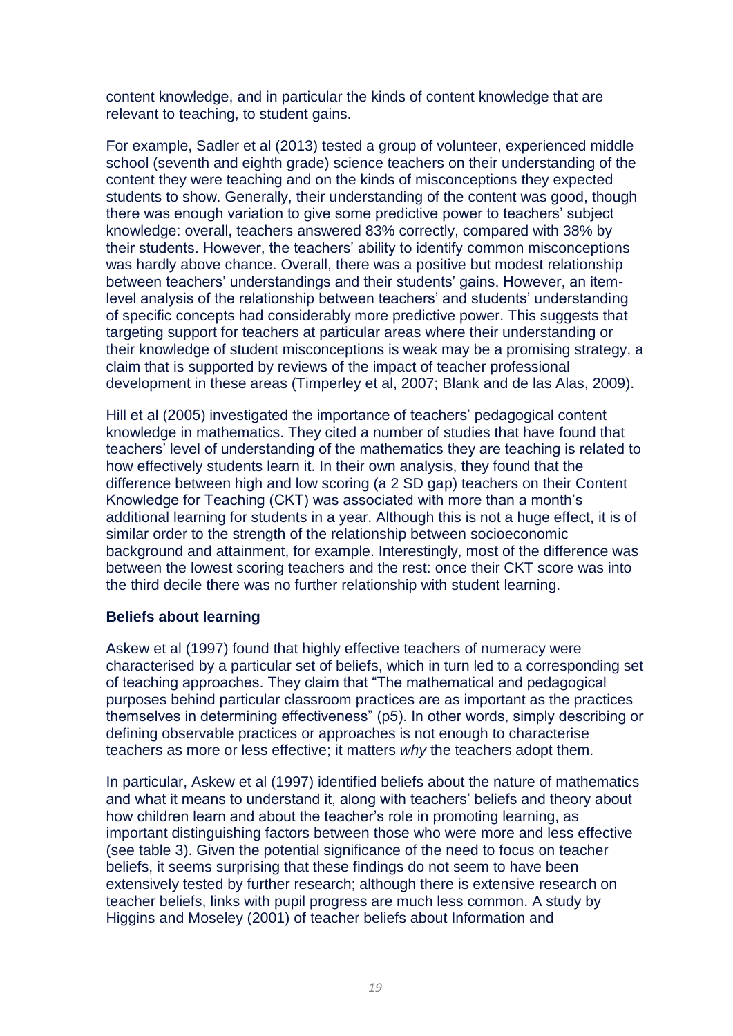content knowledge, and in particular the kinds of content knowledge that are relevant to teaching, to student gains.

For example, Sadler et al (2013) tested a group of volunteer, experienced middle school (seventh and eighth grade) science teachers on their understanding of the content they were teaching and on the kinds of misconceptions they expected students to show. Generally, their understanding of the content was good, though there was enough variation to give some predictive power to teachers' subject knowledge: overall, teachers answered 83% correctly, compared with 38% by their students. However, the teachers' ability to identify common misconceptions was hardly above chance. Overall, there was a positive but modest relationship between teachers' understandings and their students' gains. However, an itemlevel analysis of the relationship between teachers' and students' understanding of specific concepts had considerably more predictive power. This suggests that targeting support for teachers at particular areas where their understanding or their knowledge of student misconceptions is weak may be a promising strategy, a claim that is supported by reviews of the impact of teacher professional development in these areas (Timperley et al, 2007; Blank and de las Alas, 2009).

Hill et al (2005) investigated the importance of teachers' pedagogical content knowledge in mathematics. They cited a number of studies that have found that teachers' level of understanding of the mathematics they are teaching is related to how effectively students learn it. In their own analysis, they found that the difference between high and low scoring (a 2 SD gap) teachers on their Content Knowledge for Teaching (CKT) was associated with more than a month's additional learning for students in a year. Although this is not a huge effect, it is of similar order to the strength of the relationship between socioeconomic background and attainment, for example. Interestingly, most of the difference was between the lowest scoring teachers and the rest: once their CKT score was into the third decile there was no further relationship with student learning.

### **Beliefs about learning**

Askew et al (1997) found that highly effective teachers of numeracy were characterised by a particular set of beliefs, which in turn led to a corresponding set of teaching approaches. They claim that "The mathematical and pedagogical purposes behind particular classroom practices are as important as the practices themselves in determining effectiveness" (p5). In other words, simply describing or defining observable practices or approaches is not enough to characterise teachers as more or less effective; it matters *why* the teachers adopt them.

In particular, Askew et al (1997) identified beliefs about the nature of mathematics and what it means to understand it, along with teachers' beliefs and theory about how children learn and about the teacher's role in promoting learning, as important distinguishing factors between those who were more and less effective (see table 3). Given the potential significance of the need to focus on teacher beliefs, it seems surprising that these findings do not seem to have been extensively tested by further research; although there is extensive research on teacher beliefs, links with pupil progress are much less common. A study by Higgins and Moseley (2001) of teacher beliefs about Information and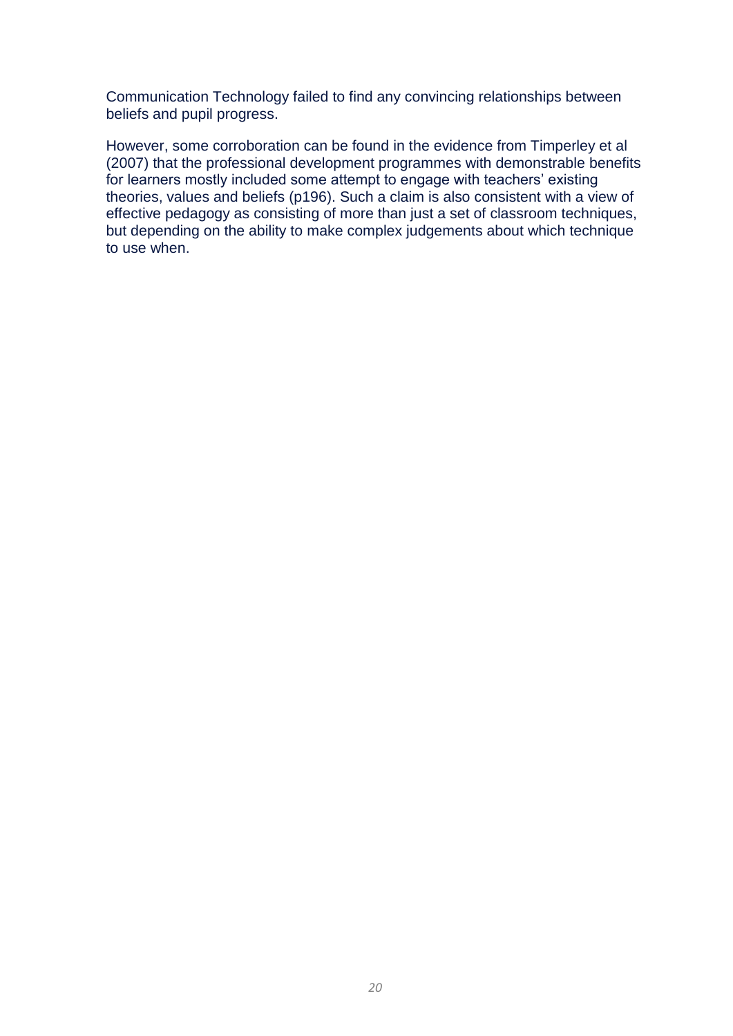Communication Technology failed to find any convincing relationships between beliefs and pupil progress.

However, some corroboration can be found in the evidence from Timperley et al (2007) that the professional development programmes with demonstrable benefits for learners mostly included some attempt to engage with teachers' existing theories, values and beliefs (p196). Such a claim is also consistent with a view of effective pedagogy as consisting of more than just a set of classroom techniques, but depending on the ability to make complex judgements about which technique to use when.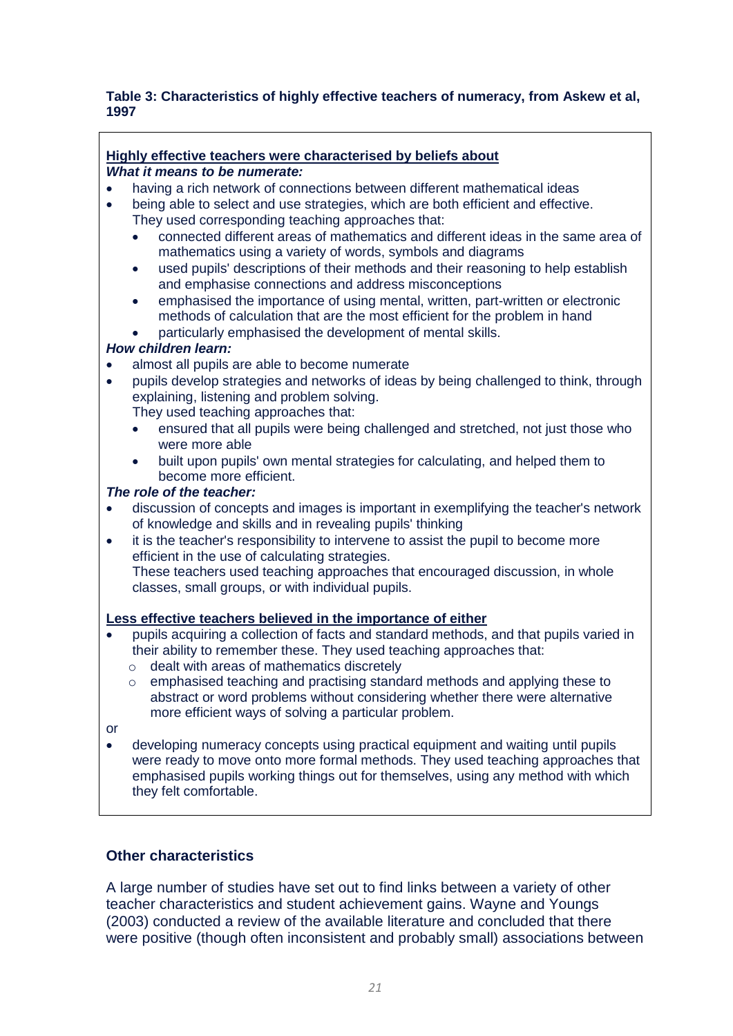#### **Table 3: Characteristics of highly effective teachers of numeracy, from Askew et al, 1997**

# **Highly effective teachers were characterised by beliefs about**

### *What it means to be numerate:*

- having a rich network of connections between different mathematical ideas
- being able to select and use strategies, which are both efficient and effective. They used corresponding teaching approaches that:
	- connected different areas of mathematics and different ideas in the same area of mathematics using a variety of words, symbols and diagrams
	- used pupils' descriptions of their methods and their reasoning to help establish and emphasise connections and address misconceptions
	- emphasised the importance of using mental, written, part-written or electronic methods of calculation that are the most efficient for the problem in hand
	- particularly emphasised the development of mental skills.

### *How children learn:*

- almost all pupils are able to become numerate
- pupils develop strategies and networks of ideas by being challenged to think, through explaining, listening and problem solving.
	- They used teaching approaches that:
	- ensured that all pupils were being challenged and stretched, not just those who were more able
	- built upon pupils' own mental strategies for calculating, and helped them to become more efficient.

### *The role of the teacher:*

- discussion of concepts and images is important in exemplifying the teacher's network of knowledge and skills and in revealing pupils' thinking
- it is the teacher's responsibility to intervene to assist the pupil to become more efficient in the use of calculating strategies. These teachers used teaching approaches that encouraged discussion, in whole classes, small groups, or with individual pupils.

#### **Less effective teachers believed in the importance of either**

- pupils acquiring a collection of facts and standard methods, and that pupils varied in their ability to remember these. They used teaching approaches that:
	- o dealt with areas of mathematics discretely
	- o emphasised teaching and practising standard methods and applying these to abstract or word problems without considering whether there were alternative more efficient ways of solving a particular problem.
- or
- developing numeracy concepts using practical equipment and waiting until pupils were ready to move onto more formal methods. They used teaching approaches that emphasised pupils working things out for themselves, using any method with which they felt comfortable.

### **Other characteristics**

A large number of studies have set out to find links between a variety of other teacher characteristics and student achievement gains. Wayne and Youngs (2003) conducted a review of the available literature and concluded that there were positive (though often inconsistent and probably small) associations between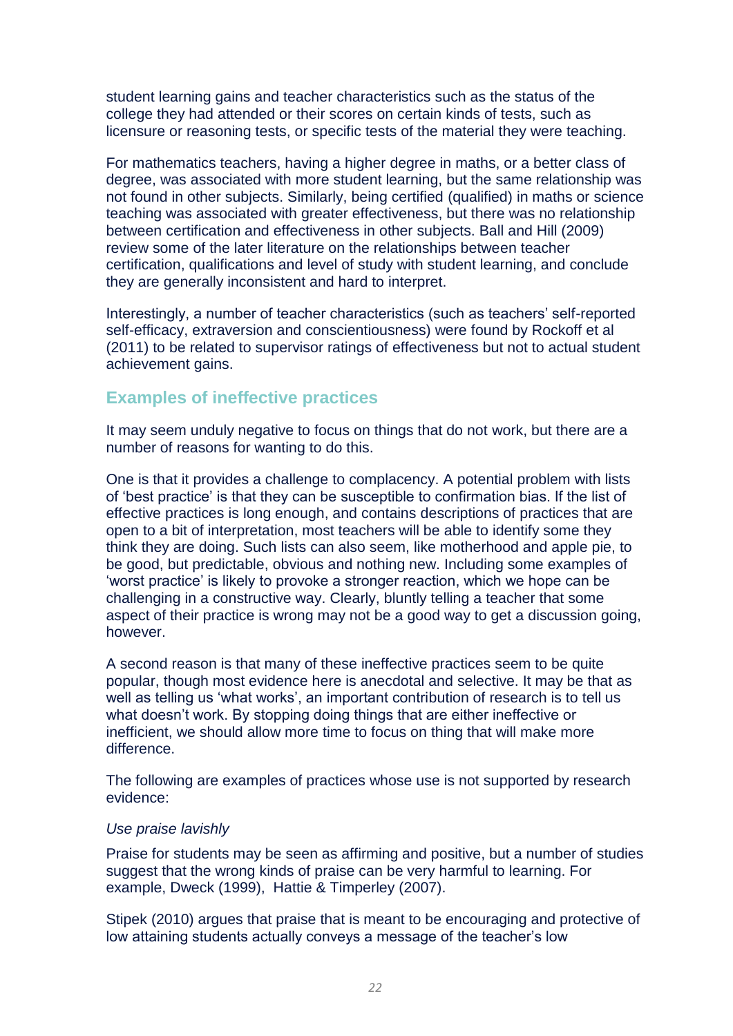student learning gains and teacher characteristics such as the status of the college they had attended or their scores on certain kinds of tests, such as licensure or reasoning tests, or specific tests of the material they were teaching.

For mathematics teachers, having a higher degree in maths, or a better class of degree, was associated with more student learning, but the same relationship was not found in other subjects. Similarly, being certified (qualified) in maths or science teaching was associated with greater effectiveness, but there was no relationship between certification and effectiveness in other subjects. Ball and Hill (2009) review some of the later literature on the relationships between teacher certification, qualifications and level of study with student learning, and conclude they are generally inconsistent and hard to interpret.

Interestingly, a number of teacher characteristics (such as teachers' self-reported self-efficacy, extraversion and conscientiousness) were found by Rockoff et al (2011) to be related to supervisor ratings of effectiveness but not to actual student achievement gains.

### <span id="page-22-0"></span>**Examples of ineffective practices**

It may seem unduly negative to focus on things that do not work, but there are a number of reasons for wanting to do this.

One is that it provides a challenge to complacency. A potential problem with lists of 'best practice' is that they can be susceptible to confirmation bias. If the list of effective practices is long enough, and contains descriptions of practices that are open to a bit of interpretation, most teachers will be able to identify some they think they are doing. Such lists can also seem, like motherhood and apple pie, to be good, but predictable, obvious and nothing new. Including some examples of 'worst practice' is likely to provoke a stronger reaction, which we hope can be challenging in a constructive way. Clearly, bluntly telling a teacher that some aspect of their practice is wrong may not be a good way to get a discussion going, however.

A second reason is that many of these ineffective practices seem to be quite popular, though most evidence here is anecdotal and selective. It may be that as well as telling us 'what works', an important contribution of research is to tell us what doesn't work. By stopping doing things that are either ineffective or inefficient, we should allow more time to focus on thing that will make more difference.

The following are examples of practices whose use is not supported by research evidence:

### *Use praise lavishly*

Praise for students may be seen as affirming and positive, but a number of studies suggest that the wrong kinds of praise can be very harmful to learning. For example, Dweck (1999), Hattie & Timperley (2007).

Stipek (2010) argues that praise that is meant to be encouraging and protective of low attaining students actually conveys a message of the teacher's low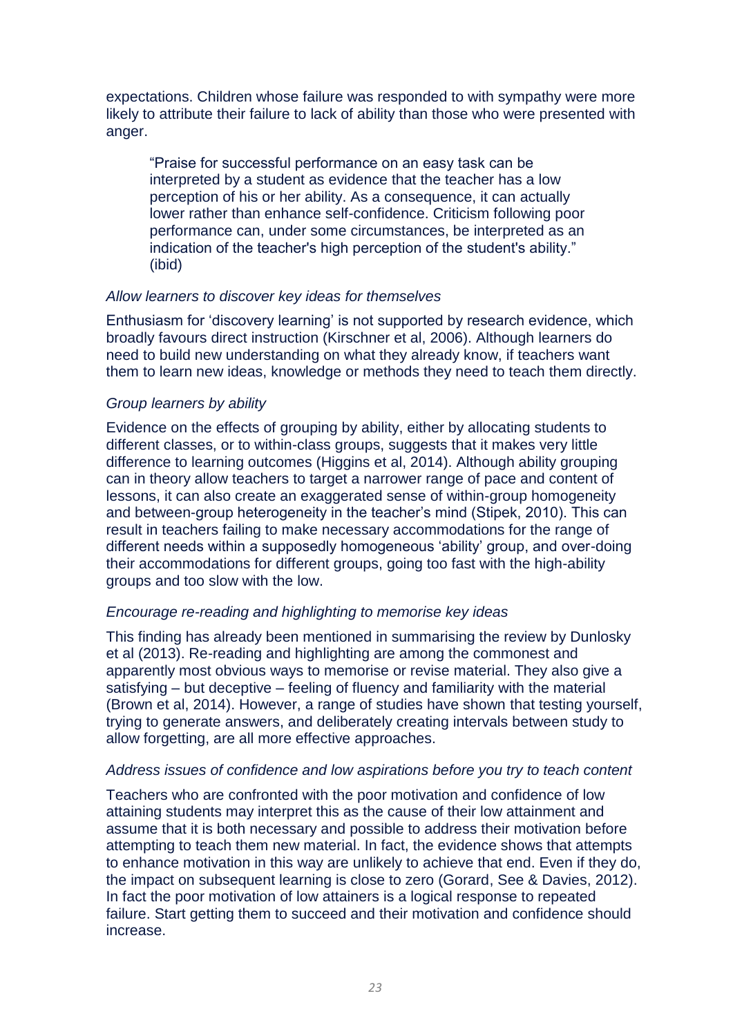expectations. Children whose failure was responded to with sympathy were more likely to attribute their failure to lack of ability than those who were presented with anger.

"Praise for successful performance on an easy task can be interpreted by a student as evidence that the teacher has a low perception of his or her ability. As a consequence, it can actually lower rather than enhance self-confidence. Criticism following poor performance can, under some circumstances, be interpreted as an indication of the teacher's high perception of the student's ability." (ibid)

#### *Allow learners to discover key ideas for themselves*

Enthusiasm for 'discovery learning' is not supported by research evidence, which broadly favours direct instruction (Kirschner et al, 2006). Although learners do need to build new understanding on what they already know, if teachers want them to learn new ideas, knowledge or methods they need to teach them directly.

### *Group learners by ability*

Evidence on the effects of grouping by ability, either by allocating students to different classes, or to within-class groups, suggests that it makes very little difference to learning outcomes (Higgins et al, 2014). Although ability grouping can in theory allow teachers to target a narrower range of pace and content of lessons, it can also create an exaggerated sense of within-group homogeneity and between-group heterogeneity in the teacher's mind (Stipek, 2010). This can result in teachers failing to make necessary accommodations for the range of different needs within a supposedly homogeneous 'ability' group, and over-doing their accommodations for different groups, going too fast with the high-ability groups and too slow with the low.

#### *Encourage re-reading and highlighting to memorise key ideas*

This finding has already been mentioned in summarising the review by Dunlosky et al (2013). Re-reading and highlighting are among the commonest and apparently most obvious ways to memorise or revise material. They also give a satisfying – but deceptive – feeling of fluency and familiarity with the material (Brown et al, 2014). However, a range of studies have shown that testing yourself, trying to generate answers, and deliberately creating intervals between study to allow forgetting, are all more effective approaches.

#### *Address issues of confidence and low aspirations before you try to teach content*

Teachers who are confronted with the poor motivation and confidence of low attaining students may interpret this as the cause of their low attainment and assume that it is both necessary and possible to address their motivation before attempting to teach them new material. In fact, the evidence shows that attempts to enhance motivation in this way are unlikely to achieve that end. Even if they do, the impact on subsequent learning is close to zero (Gorard, See & Davies, 2012). In fact the poor motivation of low attainers is a logical response to repeated failure. Start getting them to succeed and their motivation and confidence should increase.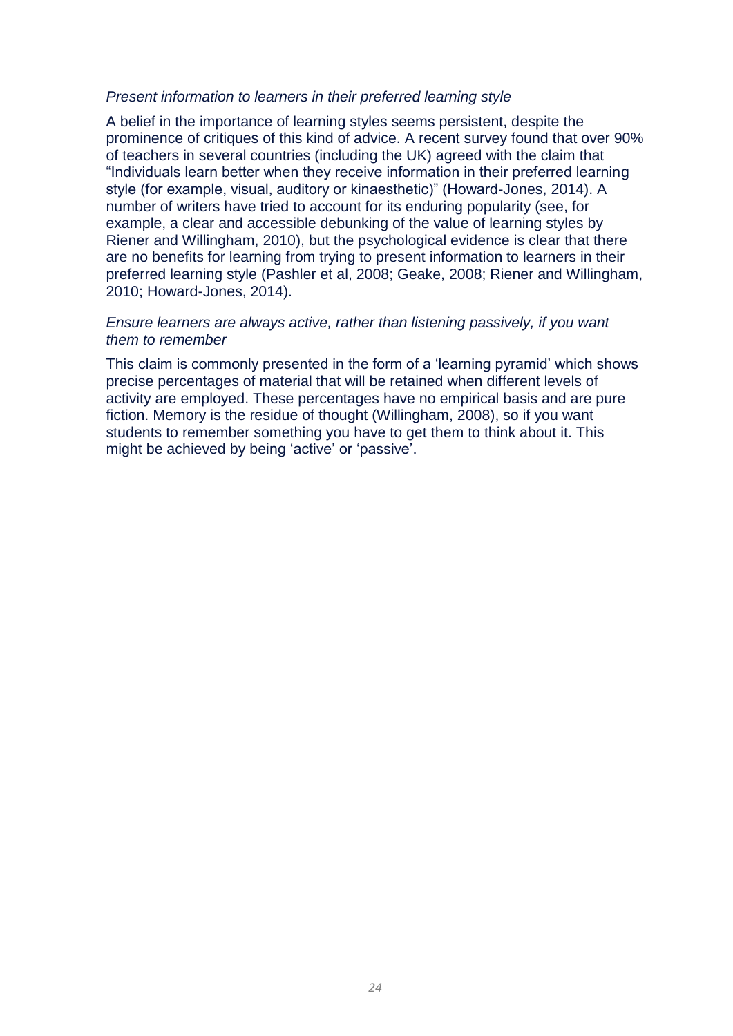#### *Present information to learners in their preferred learning style*

A belief in the importance of learning styles seems persistent, despite the prominence of critiques of this kind of advice. A recent survey found that over 90% of teachers in several countries (including the UK) agreed with the claim that "Individuals learn better when they receive information in their preferred learning style (for example, visual, auditory or kinaesthetic)" (Howard-Jones, 2014). A number of writers have tried to account for its enduring popularity (see, for example, a clear and accessible debunking of the value of learning styles by Riener and Willingham, 2010), but the psychological evidence is clear that there are no benefits for learning from trying to present information to learners in their preferred learning style (Pashler et al, 2008; Geake, 2008; Riener and Willingham, 2010; Howard-Jones, 2014).

### *Ensure learners are always active, rather than listening passively, if you want them to remember*

This claim is commonly presented in the form of a 'learning pyramid' which shows precise percentages of material that will be retained when different levels of activity are employed. These percentages have no empirical basis and are pure fiction. Memory is the residue of thought (Willingham, 2008), so if you want students to remember something you have to get them to think about it. This might be achieved by being 'active' or 'passive'.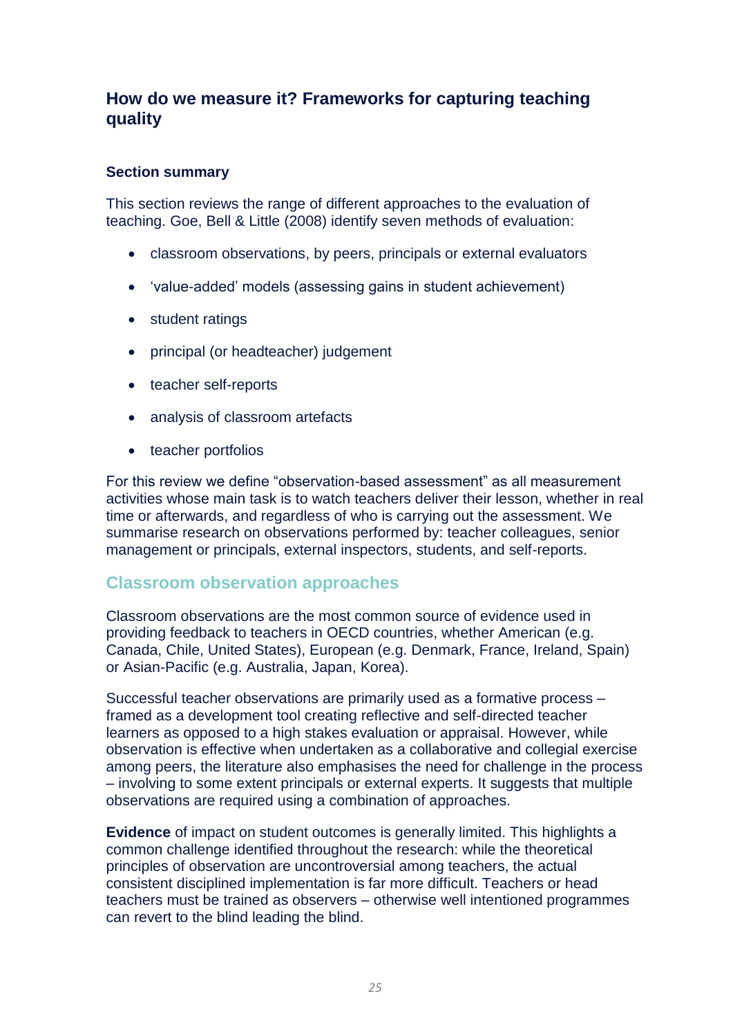### **How do we measure it? Frameworks for capturing teaching quality**

### **Section summary**

This section reviews the range of different approaches to the evaluation of teaching. Goe, Bell & Little (2008) identify seven methods of evaluation:

- classroom observations, by peers, principals or external evaluators
- 'value-added' models (assessing gains in student achievement)
- student ratings
- principal (or headteacher) judgement
- teacher self-reports
- analysis of classroom artefacts
- teacher portfolios

For this review we define "observation-based assessment" as all measurement activities whose main task is to watch teachers deliver their lesson, whether in real time or afterwards, and regardless of who is carrying out the assessment. We summarise research on observations performed by: teacher colleagues, senior management or principals, external inspectors, students, and self-reports.

### **Classroom observation approaches**

Classroom observations are the most common source of evidence used in providing feedback to teachers in OECD countries, whether American (e.g. Canada, Chile, United States), European (e.g. Denmark, France, Ireland, Spain) or Asian-Pacific (e.g. Australia, Japan, Korea).

Successful teacher observations are primarily used as a formative process – framed as a development tool creating reflective and self-directed teacher learners as opposed to a high stakes evaluation or appraisal. However, while observation is effective when undertaken as a collaborative and collegial exercise among peers, the literature also emphasises the need for challenge in the process – involving to some extent principals or external experts. It suggests that multiple observations are required using a combination of approaches.

**Evidence** of impact on student outcomes is generally limited. This highlights a common challenge identified throughout the research: while the theoretical principles of observation are uncontroversial among teachers, the actual consistent disciplined implementation is far more difficult. Teachers or head teachers must be trained as observers – otherwise well intentioned programmes can revert to the blind leading the blind.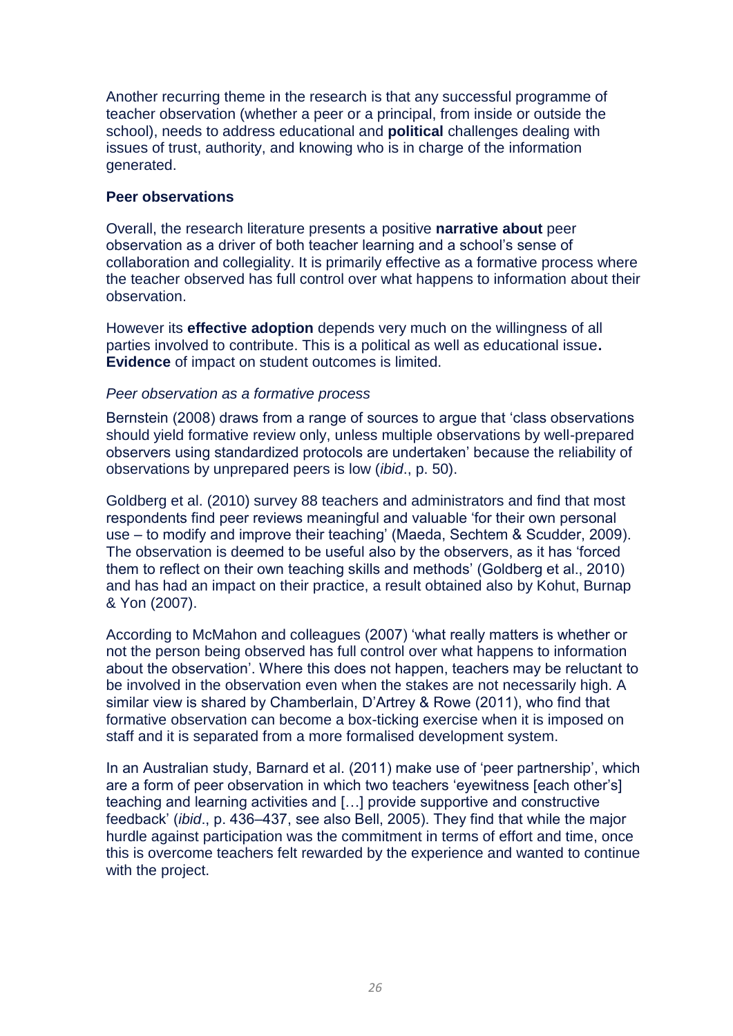Another recurring theme in the research is that any successful programme of teacher observation (whether a peer or a principal, from inside or outside the school), needs to address educational and **political** challenges dealing with issues of trust, authority, and knowing who is in charge of the information generated.

### **Peer observations**

Overall, the research literature presents a positive **narrative about** peer observation as a driver of both teacher learning and a school's sense of collaboration and collegiality. It is primarily effective as a formative process where the teacher observed has full control over what happens to information about their observation.

However its **effective adoption** depends very much on the willingness of all parties involved to contribute. This is a political as well as educational issue**. Evidence** of impact on student outcomes is limited.

### *Peer observation as a formative process*

Bernstein (2008) draws from a range of sources to argue that 'class observations should yield formative review only, unless multiple observations by well-prepared observers using standardized protocols are undertaken' because the reliability of observations by unprepared peers is low (*ibid*., p. 50).

Goldberg et al. (2010) survey 88 teachers and administrators and find that most respondents find peer reviews meaningful and valuable 'for their own personal use – to modify and improve their teaching' (Maeda, Sechtem & Scudder, 2009). The observation is deemed to be useful also by the observers, as it has 'forced them to reflect on their own teaching skills and methods' (Goldberg et al., 2010) and has had an impact on their practice, a result obtained also by Kohut, Burnap & Yon (2007).

According to McMahon and colleagues (2007) 'what really matters is whether or not the person being observed has full control over what happens to information about the observation'. Where this does not happen, teachers may be reluctant to be involved in the observation even when the stakes are not necessarily high. A similar view is shared by Chamberlain, D'Artrey & Rowe (2011), who find that formative observation can become a box-ticking exercise when it is imposed on staff and it is separated from a more formalised development system.

In an Australian study, Barnard et al. (2011) make use of 'peer partnership', which are a form of peer observation in which two teachers 'eyewitness [each other's] teaching and learning activities and […] provide supportive and constructive feedback' (*ibid., p. 436–437, see also Bell, 2005*). They find that while the major hurdle against participation was the commitment in terms of effort and time, once this is overcome teachers felt rewarded by the experience and wanted to continue with the project.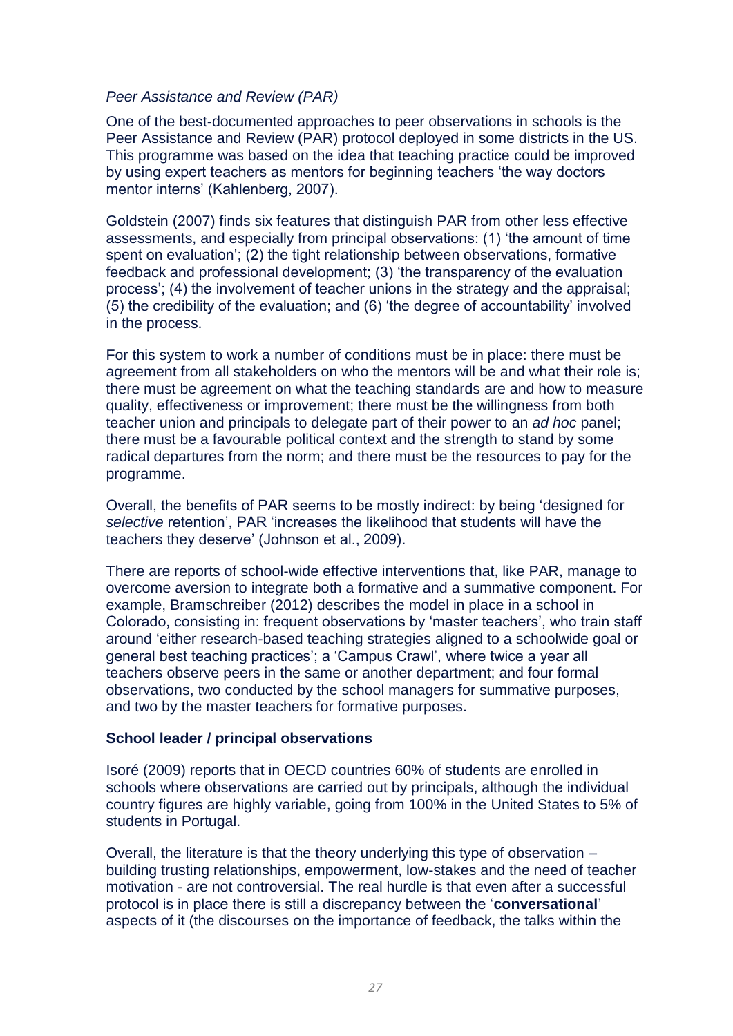### *Peer Assistance and Review (PAR)*

One of the best-documented approaches to peer observations in schools is the Peer Assistance and Review (PAR) protocol deployed in some districts in the US. This programme was based on the idea that teaching practice could be improved by using expert teachers as mentors for beginning teachers 'the way doctors mentor interns' (Kahlenberg, 2007).

Goldstein (2007) finds six features that distinguish PAR from other less effective assessments, and especially from principal observations: (1) 'the amount of time spent on evaluation'; (2) the tight relationship between observations, formative feedback and professional development; (3) 'the transparency of the evaluation process'; (4) the involvement of teacher unions in the strategy and the appraisal; (5) the credibility of the evaluation; and (6) 'the degree of accountability' involved in the process.

For this system to work a number of conditions must be in place: there must be agreement from all stakeholders on who the mentors will be and what their role is; there must be agreement on what the teaching standards are and how to measure quality, effectiveness or improvement; there must be the willingness from both teacher union and principals to delegate part of their power to an *ad hoc* panel; there must be a favourable political context and the strength to stand by some radical departures from the norm; and there must be the resources to pay for the programme.

Overall, the benefits of PAR seems to be mostly indirect: by being 'designed for *selective* retention', PAR 'increases the likelihood that students will have the teachers they deserve' (Johnson et al., 2009).

There are reports of school-wide effective interventions that, like PAR, manage to overcome aversion to integrate both a formative and a summative component. For example, Bramschreiber (2012) describes the model in place in a school in Colorado, consisting in: frequent observations by 'master teachers', who train staff around 'either research-based teaching strategies aligned to a schoolwide goal or general best teaching practices'; a 'Campus Crawl', where twice a year all teachers observe peers in the same or another department; and four formal observations, two conducted by the school managers for summative purposes, and two by the master teachers for formative purposes.

#### **School leader / principal observations**

Isoré (2009) reports that in OECD countries 60% of students are enrolled in schools where observations are carried out by principals, although the individual country figures are highly variable, going from 100% in the United States to 5% of students in Portugal.

Overall, the literature is that the theory underlying this type of observation – building trusting relationships, empowerment, low-stakes and the need of teacher motivation - are not controversial. The real hurdle is that even after a successful protocol is in place there is still a discrepancy between the '**conversational**' aspects of it (the discourses on the importance of feedback, the talks within the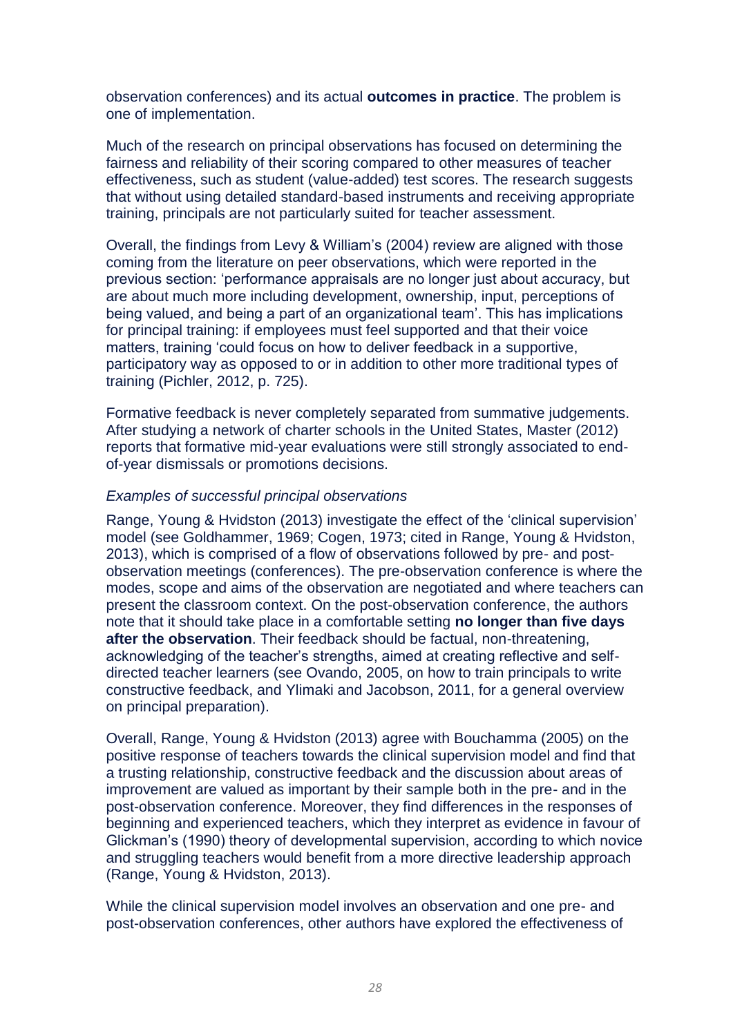observation conferences) and its actual **outcomes in practice**. The problem is one of implementation.

Much of the research on principal observations has focused on determining the fairness and reliability of their scoring compared to other measures of teacher effectiveness, such as student (value-added) test scores. The research suggests that without using detailed standard-based instruments and receiving appropriate training, principals are not particularly suited for teacher assessment.

Overall, the findings from Levy & William's (2004) review are aligned with those coming from the literature on peer observations, which were reported in the previous section: 'performance appraisals are no longer just about accuracy, but are about much more including development, ownership, input, perceptions of being valued, and being a part of an organizational team'. This has implications for principal training: if employees must feel supported and that their voice matters, training 'could focus on how to deliver feedback in a supportive, participatory way as opposed to or in addition to other more traditional types of training (Pichler, 2012, p. 725).

Formative feedback is never completely separated from summative judgements. After studying a network of charter schools in the United States, Master (2012) reports that formative mid-year evaluations were still strongly associated to endof-year dismissals or promotions decisions.

### *Examples of successful principal observations*

Range, Young & Hvidston (2013) investigate the effect of the 'clinical supervision' model (see Goldhammer, 1969; Cogen, 1973; cited in Range, Young & Hvidston, 2013), which is comprised of a flow of observations followed by pre- and postobservation meetings (conferences). The pre-observation conference is where the modes, scope and aims of the observation are negotiated and where teachers can present the classroom context. On the post-observation conference, the authors note that it should take place in a comfortable setting **no longer than five days after the observation**. Their feedback should be factual, non-threatening, acknowledging of the teacher's strengths, aimed at creating reflective and selfdirected teacher learners (see Ovando, 2005, on how to train principals to write constructive feedback, and Ylimaki and Jacobson, 2011, for a general overview on principal preparation).

Overall, Range, Young & Hvidston (2013) agree with Bouchamma (2005) on the positive response of teachers towards the clinical supervision model and find that a trusting relationship, constructive feedback and the discussion about areas of improvement are valued as important by their sample both in the pre- and in the post-observation conference. Moreover, they find differences in the responses of beginning and experienced teachers, which they interpret as evidence in favour of Glickman's (1990) theory of developmental supervision, according to which novice and struggling teachers would benefit from a more directive leadership approach (Range, Young & Hvidston, 2013).

While the clinical supervision model involves an observation and one pre- and post-observation conferences, other authors have explored the effectiveness of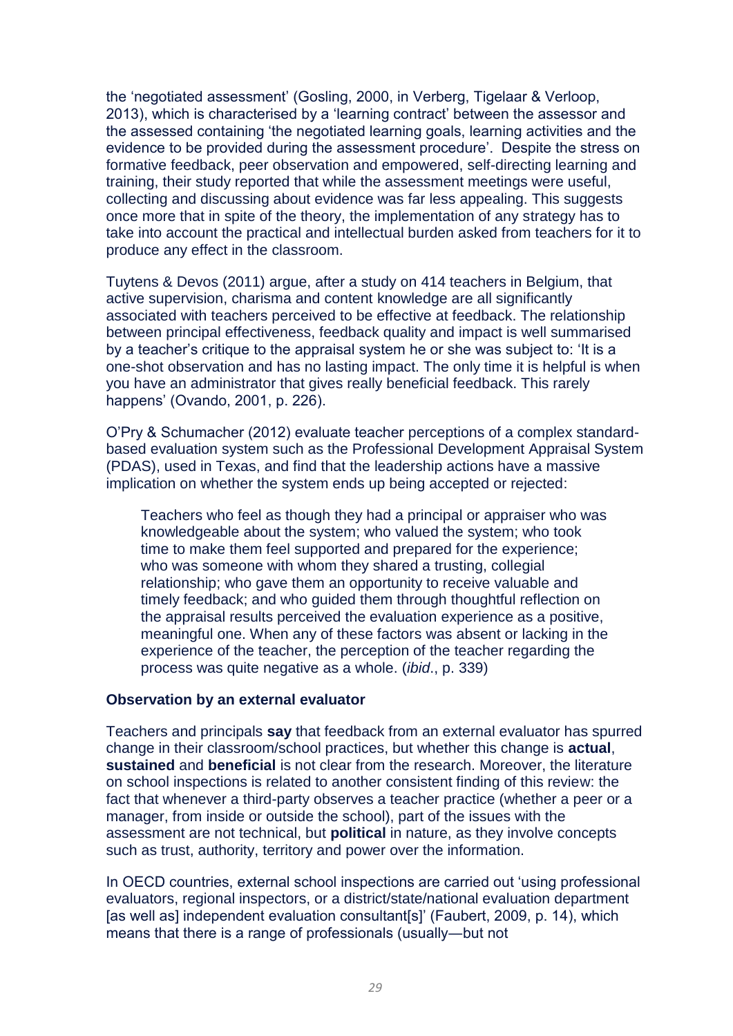the 'negotiated assessment' (Gosling, 2000, in Verberg, Tigelaar & Verloop, 2013), which is characterised by a 'learning contract' between the assessor and the assessed containing 'the negotiated learning goals, learning activities and the evidence to be provided during the assessment procedure'. Despite the stress on formative feedback, peer observation and empowered, self-directing learning and training, their study reported that while the assessment meetings were useful, collecting and discussing about evidence was far less appealing. This suggests once more that in spite of the theory, the implementation of any strategy has to take into account the practical and intellectual burden asked from teachers for it to produce any effect in the classroom.

Tuytens & Devos (2011) argue, after a study on 414 teachers in Belgium, that active supervision, charisma and content knowledge are all significantly associated with teachers perceived to be effective at feedback. The relationship between principal effectiveness, feedback quality and impact is well summarised by a teacher's critique to the appraisal system he or she was subject to: 'It is a one-shot observation and has no lasting impact. The only time it is helpful is when you have an administrator that gives really beneficial feedback. This rarely happens' (Ovando, 2001, p. 226).

O'Pry & Schumacher (2012) evaluate teacher perceptions of a complex standardbased evaluation system such as the Professional Development Appraisal System (PDAS), used in Texas, and find that the leadership actions have a massive implication on whether the system ends up being accepted or rejected:

Teachers who feel as though they had a principal or appraiser who was knowledgeable about the system; who valued the system; who took time to make them feel supported and prepared for the experience; who was someone with whom they shared a trusting, collegial relationship; who gave them an opportunity to receive valuable and timely feedback; and who guided them through thoughtful reflection on the appraisal results perceived the evaluation experience as a positive, meaningful one. When any of these factors was absent or lacking in the experience of the teacher, the perception of the teacher regarding the process was quite negative as a whole. (*ibid*., p. 339)

#### **Observation by an external evaluator**

Teachers and principals **say** that feedback from an external evaluator has spurred change in their classroom/school practices, but whether this change is **actual**, **sustained** and **beneficial** is not clear from the research. Moreover, the literature on school inspections is related to another consistent finding of this review: the fact that whenever a third-party observes a teacher practice (whether a peer or a manager, from inside or outside the school), part of the issues with the assessment are not technical, but **political** in nature, as they involve concepts such as trust, authority, territory and power over the information.

In OECD countries, external school inspections are carried out 'using professional evaluators, regional inspectors, or a district/state/national evaluation department [as well as] independent evaluation consultant[s]' (Faubert, 2009, p. 14), which means that there is a range of professionals (usually―but not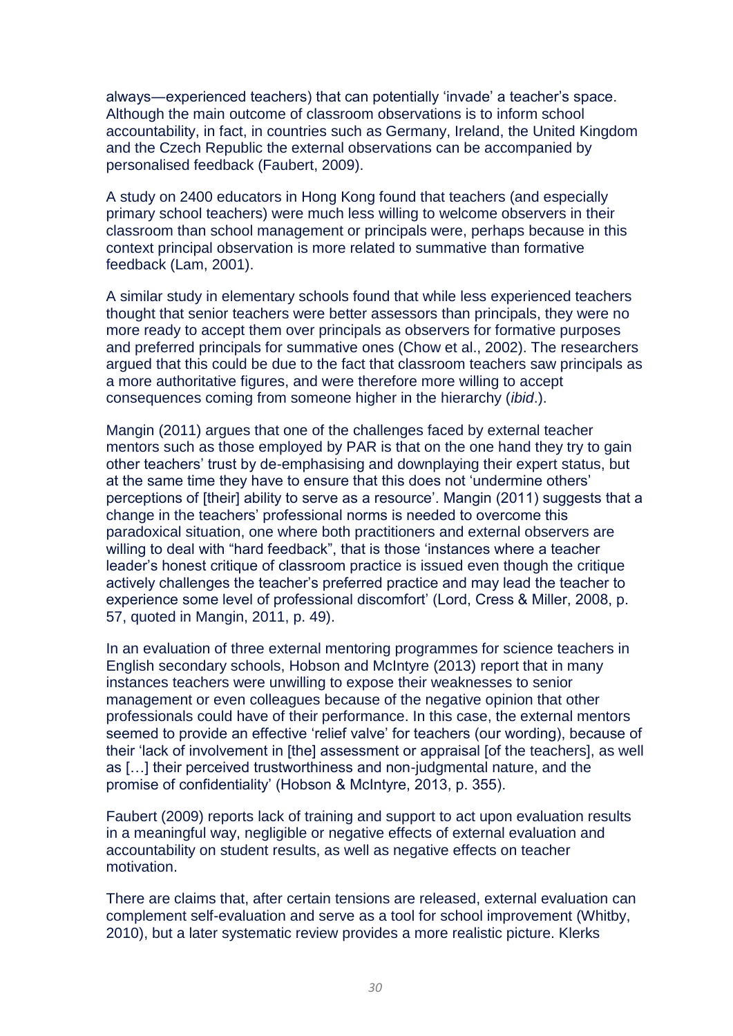always―experienced teachers) that can potentially 'invade' a teacher's space. Although the main outcome of classroom observations is to inform school accountability, in fact, in countries such as Germany, Ireland, the United Kingdom and the Czech Republic the external observations can be accompanied by personalised feedback (Faubert, 2009).

A study on 2400 educators in Hong Kong found that teachers (and especially primary school teachers) were much less willing to welcome observers in their classroom than school management or principals were, perhaps because in this context principal observation is more related to summative than formative feedback (Lam, 2001).

A similar study in elementary schools found that while less experienced teachers thought that senior teachers were better assessors than principals, they were no more ready to accept them over principals as observers for formative purposes and preferred principals for summative ones (Chow et al., 2002). The researchers argued that this could be due to the fact that classroom teachers saw principals as a more authoritative figures, and were therefore more willing to accept consequences coming from someone higher in the hierarchy (*ibid*.).

Mangin (2011) argues that one of the challenges faced by external teacher mentors such as those employed by PAR is that on the one hand they try to gain other teachers' trust by de-emphasising and downplaying their expert status, but at the same time they have to ensure that this does not 'undermine others' perceptions of [their] ability to serve as a resource'. Mangin (2011) suggests that a change in the teachers' professional norms is needed to overcome this paradoxical situation, one where both practitioners and external observers are willing to deal with "hard feedback", that is those 'instances where a teacher leader's honest critique of classroom practice is issued even though the critique actively challenges the teacher's preferred practice and may lead the teacher to experience some level of professional discomfort' (Lord, Cress & Miller, 2008, p. 57, quoted in Mangin, 2011, p. 49).

In an evaluation of three external mentoring programmes for science teachers in English secondary schools, Hobson and McIntyre (2013) report that in many instances teachers were unwilling to expose their weaknesses to senior management or even colleagues because of the negative opinion that other professionals could have of their performance. In this case, the external mentors seemed to provide an effective 'relief valve' for teachers (our wording), because of their 'lack of involvement in [the] assessment or appraisal [of the teachers], as well as […] their perceived trustworthiness and non-judgmental nature, and the promise of confidentiality' (Hobson & McIntyre, 2013, p. 355).

Faubert (2009) reports lack of training and support to act upon evaluation results in a meaningful way, negligible or negative effects of external evaluation and accountability on student results, as well as negative effects on teacher motivation.

There are claims that, after certain tensions are released, external evaluation can complement self-evaluation and serve as a tool for school improvement (Whitby, 2010), but a later systematic review provides a more realistic picture. Klerks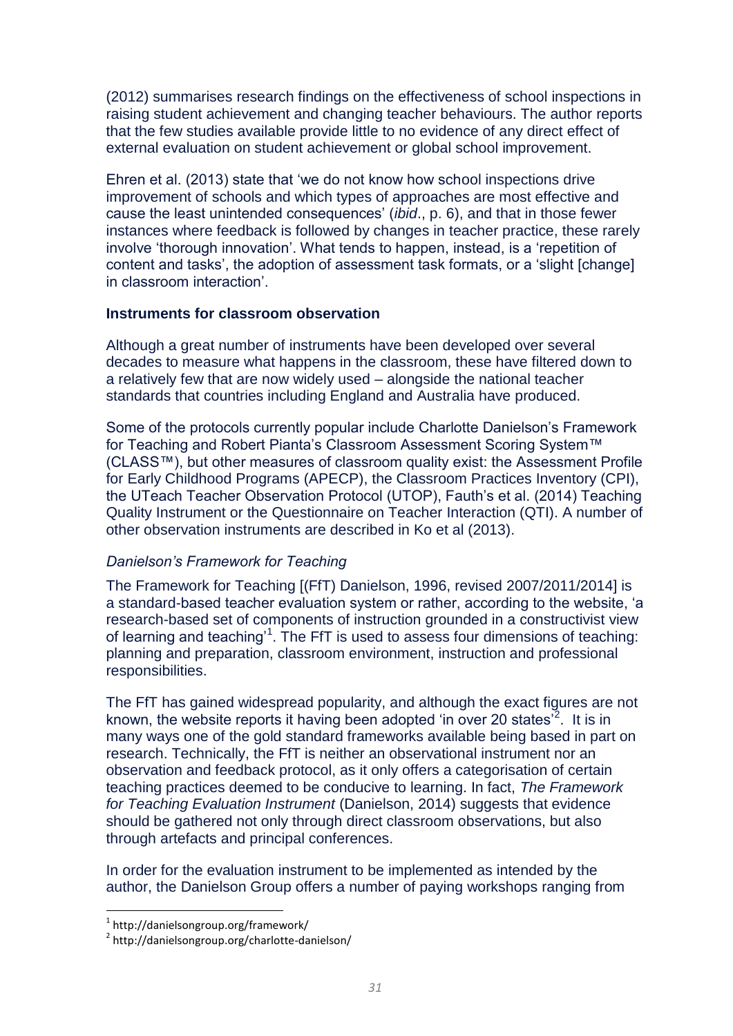(2012) summarises research findings on the effectiveness of school inspections in raising student achievement and changing teacher behaviours. The author reports that the few studies available provide little to no evidence of any direct effect of external evaluation on student achievement or global school improvement.

Ehren et al. (2013) state that 'we do not know how school inspections drive improvement of schools and which types of approaches are most effective and cause the least unintended consequences' (*ibid*., p. 6), and that in those fewer instances where feedback is followed by changes in teacher practice, these rarely involve 'thorough innovation'. What tends to happen, instead, is a 'repetition of content and tasks', the adoption of assessment task formats, or a 'slight [change] in classroom interaction'.

#### **Instruments for classroom observation**

Although a great number of instruments have been developed over several decades to measure what happens in the classroom, these have filtered down to a relatively few that are now widely used – alongside the national teacher standards that countries including England and Australia have produced.

Some of the protocols currently popular include Charlotte Danielson's Framework for Teaching and Robert Pianta's Classroom Assessment Scoring System™ (CLASS™), but other measures of classroom quality exist: the Assessment Profile for Early Childhood Programs (APECP), the Classroom Practices Inventory (CPI), the UTeach Teacher Observation Protocol (UTOP), Fauth's et al. (2014) Teaching Quality Instrument or the Questionnaire on Teacher Interaction (QTI). A number of other observation instruments are described in Ko et al (2013).

#### <span id="page-31-0"></span>*Danielson's Framework for Teaching*

The Framework for Teaching [(FfT) Danielson, 1996, revised 2007/2011/2014] is a standard-based teacher evaluation system or rather, according to the website, 'a research-based set of components of instruction grounded in a constructivist view of learning and teaching<sup>1</sup>. The FfT is used to assess four dimensions of teaching: planning and preparation, classroom environment, instruction and professional responsibilities.

The FfT has gained widespread popularity, and although the exact figures are not known, the website reports it having been adopted 'in over 20 states<sup> $2$ </sup>. It is in many ways one of the gold standard frameworks available being based in part on research. Technically, the FfT is neither an observational instrument nor an observation and feedback protocol, as it only offers a categorisation of certain teaching practices deemed to be conducive to learning. In fact, *The Framework for Teaching Evaluation Instrument* (Danielson, 2014) suggests that evidence should be gathered not only through direct classroom observations, but also through artefacts and principal conferences.

In order for the evaluation instrument to be implemented as intended by the author, the Danielson Group offers a number of paying workshops ranging from

 $\overline{a}$ 

<sup>1</sup> http://danielsongroup.org/framework/

<sup>&</sup>lt;sup>2</sup> http://danielsongroup.org/charlotte-danielson/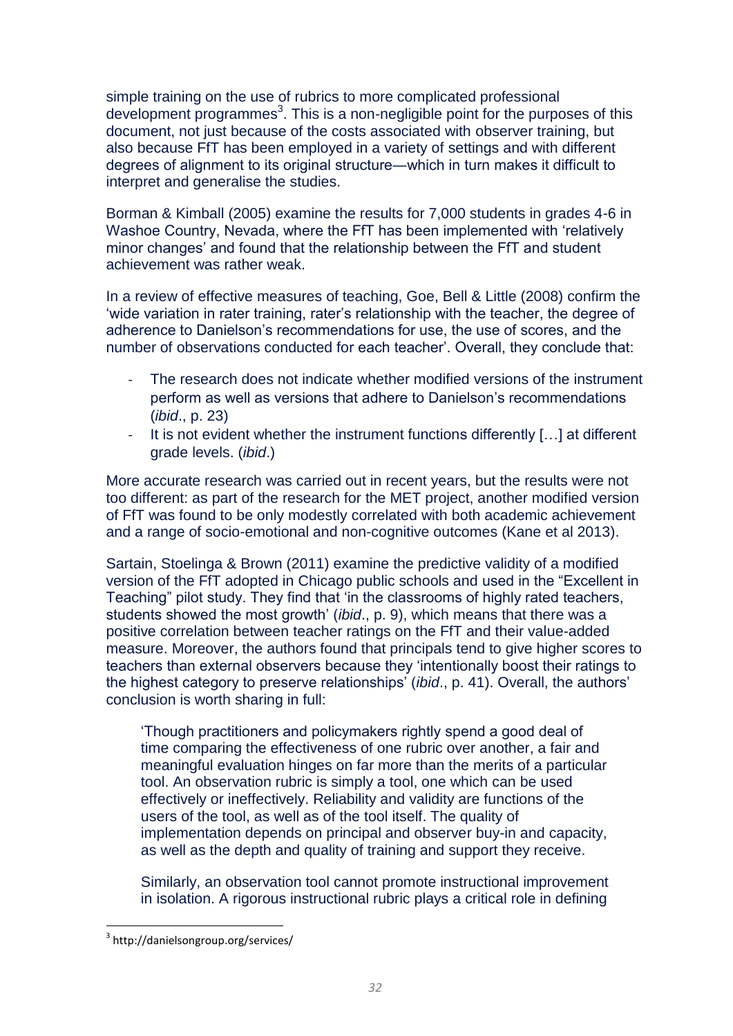simple training on the use of rubrics to more complicated professional development programmes<sup>3</sup>. This is a non-negligible point for the purposes of this document, not just because of the costs associated with observer training, but also because FfT has been employed in a variety of settings and with different degrees of alignment to its original structure―which in turn makes it difficult to interpret and generalise the studies.

Borman & Kimball (2005) examine the results for 7,000 students in grades 4-6 in Washoe Country, Nevada, where the FfT has been implemented with 'relatively minor changes' and found that the relationship between the FfT and student achievement was rather weak.

In a review of effective measures of teaching, Goe, Bell & Little (2008) confirm the 'wide variation in rater training, rater's relationship with the teacher, the degree of adherence to Danielson's recommendations for use, the use of scores, and the number of observations conducted for each teacher'. Overall, they conclude that:

- The research does not indicate whether modified versions of the instrument perform as well as versions that adhere to Danielson's recommendations (*ibid*., p. 23)
- It is not evident whether the instrument functions differently  $[...]$  at different grade levels. (*ibid*.)

More accurate research was carried out in recent years, but the results were not too different: as part of the research for the MET project, another modified version of FfT was found to be only modestly correlated with both academic achievement and a range of socio-emotional and non-cognitive outcomes (Kane et al 2013).

Sartain, Stoelinga & Brown (2011) examine the predictive validity of a modified version of the FfT adopted in Chicago public schools and used in the "Excellent in Teaching" pilot study. They find that 'in the classrooms of highly rated teachers, students showed the most growth' (*ibid*., p. 9), which means that there was a positive correlation between teacher ratings on the FfT and their value-added measure. Moreover, the authors found that principals tend to give higher scores to teachers than external observers because they 'intentionally boost their ratings to the highest category to preserve relationships' (*ibid*., p. 41). Overall, the authors' conclusion is worth sharing in full:

'Though practitioners and policymakers rightly spend a good deal of time comparing the effectiveness of one rubric over another, a fair and meaningful evaluation hinges on far more than the merits of a particular tool. An observation rubric is simply a tool, one which can be used effectively or ineffectively. Reliability and validity are functions of the users of the tool, as well as of the tool itself. The quality of implementation depends on principal and observer buy-in and capacity, as well as the depth and quality of training and support they receive.

Similarly, an observation tool cannot promote instructional improvement in isolation. A rigorous instructional rubric plays a critical role in defining

 $\overline{a}$ 

<sup>3</sup> http://danielsongroup.org/services/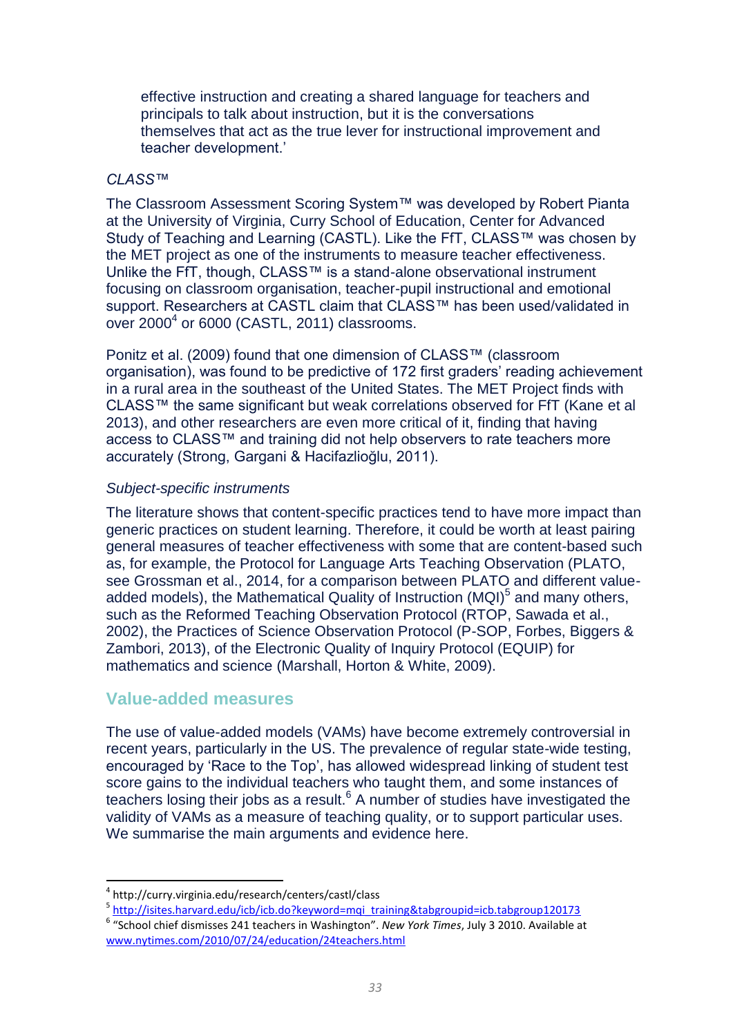effective instruction and creating a shared language for teachers and principals to talk about instruction, but it is the conversations themselves that act as the true lever for instructional improvement and teacher development.'

### *CLASS™*

The Classroom Assessment Scoring System™ was developed by Robert Pianta at the University of Virginia, Curry School of Education, Center for Advanced Study of Teaching and Learning (CASTL). Like the FfT, CLASS™ was chosen by the MET project as one of the instruments to measure teacher effectiveness. Unlike the FfT, though, CLASS™ is a stand-alone observational instrument focusing on classroom organisation, teacher-pupil instructional and emotional support. Researchers at CASTL claim that CLASS™ has been used/validated in over  $2000<sup>4</sup>$  or 6000 (CASTL, 2011) classrooms.

Ponitz et al. (2009) found that one dimension of CLASS™ (classroom organisation), was found to be predictive of 172 first graders' reading achievement in a rural area in the southeast of the United States. The MET Project finds with CLASS™ the same significant but weak correlations observed for FfT (Kane et al 2013), and other researchers are even more critical of it, finding that having access to CLASS™ and training did not help observers to rate teachers more accurately (Strong, Gargani & Hacifazlioğlu, 2011).

### *Subject-specific instruments*

The literature shows that content-specific practices tend to have more impact than generic practices on student learning. Therefore, it could be worth at least pairing general measures of teacher effectiveness with some that are content-based such as, for example, the Protocol for Language Arts Teaching Observation (PLATO, see Grossman et al., 2014, for a comparison between PLATO and different valueadded models), the Mathematical Quality of Instruction  $(MQI)^5$  and many others, such as the Reformed Teaching Observation Protocol (RTOP, Sawada et al., 2002), the Practices of Science Observation Protocol (P-SOP, Forbes, Biggers & Zambori, 2013), of the Electronic Quality of Inquiry Protocol (EQUIP) for mathematics and science (Marshall, Horton & White, 2009).

### **Value-added measures**

 $\overline{a}$ 

The use of value-added models (VAMs) have become extremely controversial in recent years, particularly in the US. The prevalence of regular state-wide testing, encouraged by 'Race to the Top', has allowed widespread linking of student test score gains to the individual teachers who taught them, and some instances of teachers losing their jobs as a result. $6$  A number of studies have investigated the validity of VAMs as a measure of teaching quality, or to support particular uses. We summarise the main arguments and evidence here.

<sup>4</sup> http://curry.virginia.edu/research/centers/castl/class

<sup>&</sup>lt;sup>5</sup> [http://isites.harvard.edu/icb/icb.do?keyword=mqi\\_training&tabgroupid=icb.tabgroup120173](http://isites.harvard.edu/icb/icb.do?keyword=mqi_training&tabgroupid=icb.tabgroup120173)

<sup>6</sup> "School chief dismisses 241 teachers in Washington". *New York Times*, July 3 2010. Available at [www.nytimes.com/2010/07/24/education/24teachers.html](http://www.nytimes.com/2010/07/24/education/24teachers.html)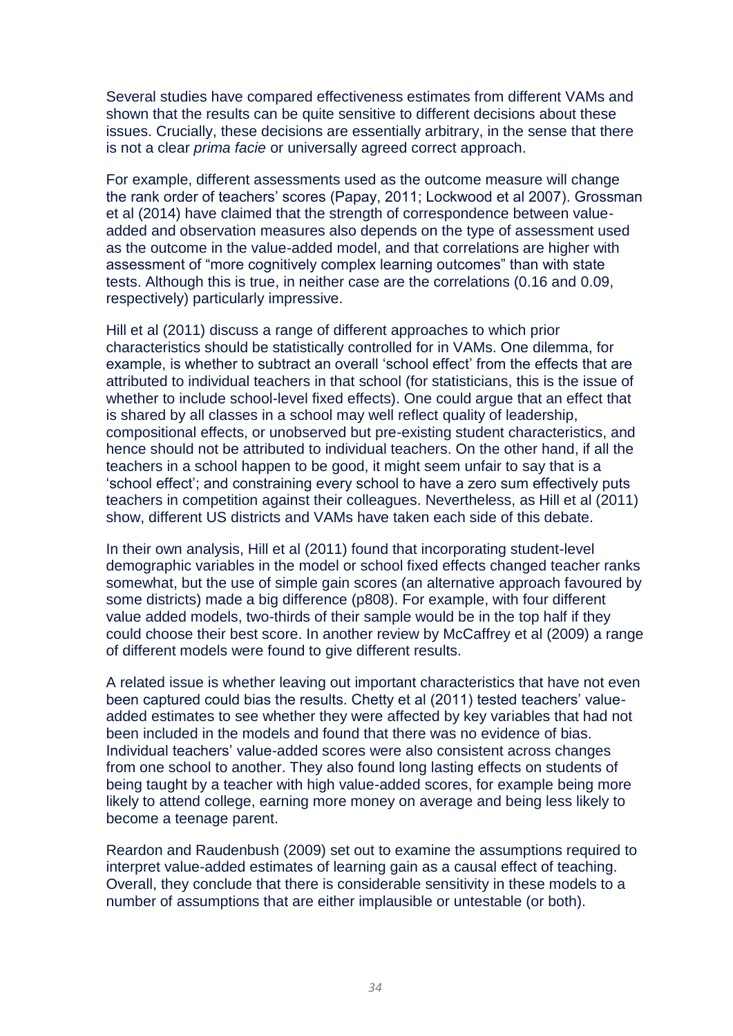Several studies have compared effectiveness estimates from different VAMs and shown that the results can be quite sensitive to different decisions about these issues. Crucially, these decisions are essentially arbitrary, in the sense that there is not a clear *prima facie* or universally agreed correct approach.

For example, different assessments used as the outcome measure will change the rank order of teachers' scores (Papay, 2011; Lockwood et al 2007). Grossman et al (2014) have claimed that the strength of correspondence between valueadded and observation measures also depends on the type of assessment used as the outcome in the value-added model, and that correlations are higher with assessment of "more cognitively complex learning outcomes" than with state tests. Although this is true, in neither case are the correlations (0.16 and 0.09, respectively) particularly impressive.

Hill et al (2011) discuss a range of different approaches to which prior characteristics should be statistically controlled for in VAMs. One dilemma, for example, is whether to subtract an overall 'school effect' from the effects that are attributed to individual teachers in that school (for statisticians, this is the issue of whether to include school-level fixed effects). One could argue that an effect that is shared by all classes in a school may well reflect quality of leadership, compositional effects, or unobserved but pre-existing student characteristics, and hence should not be attributed to individual teachers. On the other hand, if all the teachers in a school happen to be good, it might seem unfair to say that is a 'school effect'; and constraining every school to have a zero sum effectively puts teachers in competition against their colleagues. Nevertheless, as Hill et al (2011) show, different US districts and VAMs have taken each side of this debate.

In their own analysis, Hill et al (2011) found that incorporating student-level demographic variables in the model or school fixed effects changed teacher ranks somewhat, but the use of simple gain scores (an alternative approach favoured by some districts) made a big difference (p808). For example, with four different value added models, two-thirds of their sample would be in the top half if they could choose their best score. In another review by McCaffrey et al (2009) a range of different models were found to give different results.

A related issue is whether leaving out important characteristics that have not even been captured could bias the results. Chetty et al (2011) tested teachers' valueadded estimates to see whether they were affected by key variables that had not been included in the models and found that there was no evidence of bias. Individual teachers' value-added scores were also consistent across changes from one school to another. They also found long lasting effects on students of being taught by a teacher with high value-added scores, for example being more likely to attend college, earning more money on average and being less likely to become a teenage parent.

Reardon and Raudenbush (2009) set out to examine the assumptions required to interpret value-added estimates of learning gain as a causal effect of teaching. Overall, they conclude that there is considerable sensitivity in these models to a number of assumptions that are either implausible or untestable (or both).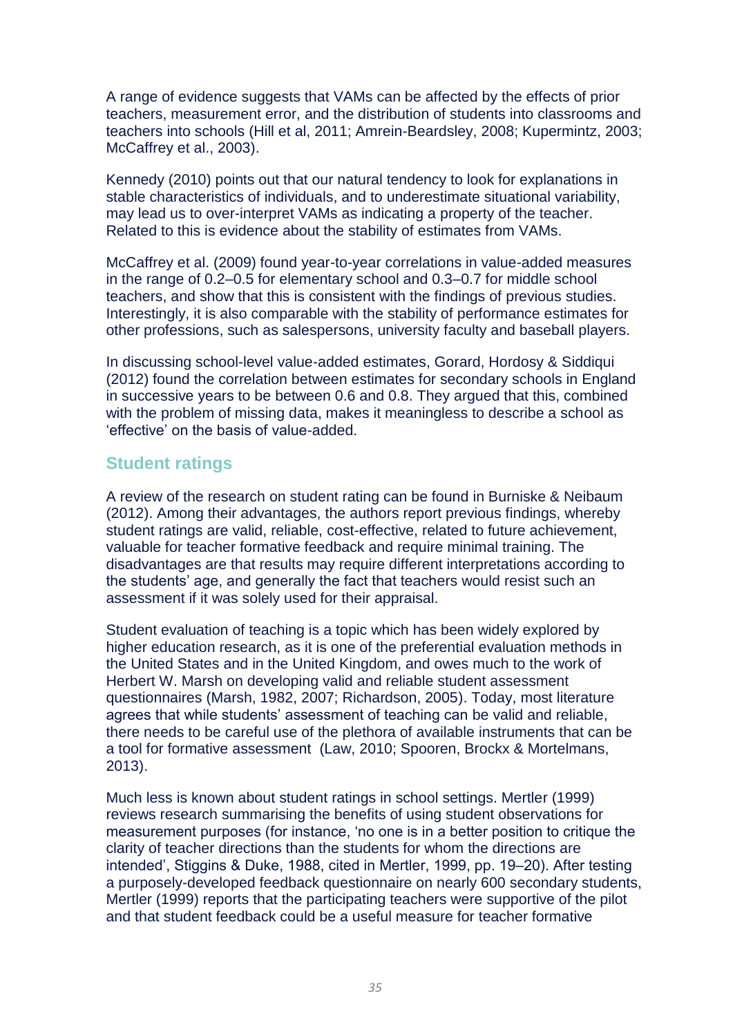A range of evidence suggests that VAMs can be affected by the effects of prior teachers, measurement error, and the distribution of students into classrooms and teachers into schools (Hill et al, 2011; Amrein-Beardsley, 2008; Kupermintz, 2003; McCaffrey et al., 2003).

Kennedy (2010) points out that our natural tendency to look for explanations in stable characteristics of individuals, and to underestimate situational variability, may lead us to over-interpret VAMs as indicating a property of the teacher. Related to this is evidence about the stability of estimates from VAMs.

McCaffrey et al. (2009) found year-to-year correlations in value-added measures in the range of 0.2–0.5 for elementary school and 0.3–0.7 for middle school teachers, and show that this is consistent with the findings of previous studies. Interestingly, it is also comparable with the stability of performance estimates for other professions, such as salespersons, university faculty and baseball players.

In discussing school-level value-added estimates, Gorard, Hordosy & Siddiqui (2012) found the correlation between estimates for secondary schools in England in successive years to be between 0.6 and 0.8. They argued that this, combined with the problem of missing data, makes it meaningless to describe a school as 'effective' on the basis of value-added.

### **Student ratings**

A review of the research on student rating can be found in Burniske & Neibaum (2012). Among their advantages, the authors report previous findings, whereby student ratings are valid, reliable, cost-effective, related to future achievement, valuable for teacher formative feedback and require minimal training. The disadvantages are that results may require different interpretations according to the students' age, and generally the fact that teachers would resist such an assessment if it was solely used for their appraisal.

Student evaluation of teaching is a topic which has been widely explored by higher education research, as it is one of the preferential evaluation methods in the United States and in the United Kingdom, and owes much to the work of Herbert W. Marsh on developing valid and reliable student assessment questionnaires (Marsh, 1982, 2007; Richardson, 2005). Today, most literature agrees that while students' assessment of teaching can be valid and reliable, there needs to be careful use of the plethora of available instruments that can be a tool for formative assessment (Law, 2010; Spooren, Brockx & Mortelmans, 2013).

Much less is known about student ratings in school settings. Mertler (1999) reviews research summarising the benefits of using student observations for measurement purposes (for instance, 'no one is in a better position to critique the clarity of teacher directions than the students for whom the directions are intended', Stiggins & Duke, 1988, cited in Mertler, 1999, pp. 19–20). After testing a purposely-developed feedback questionnaire on nearly 600 secondary students, Mertler (1999) reports that the participating teachers were supportive of the pilot and that student feedback could be a useful measure for teacher formative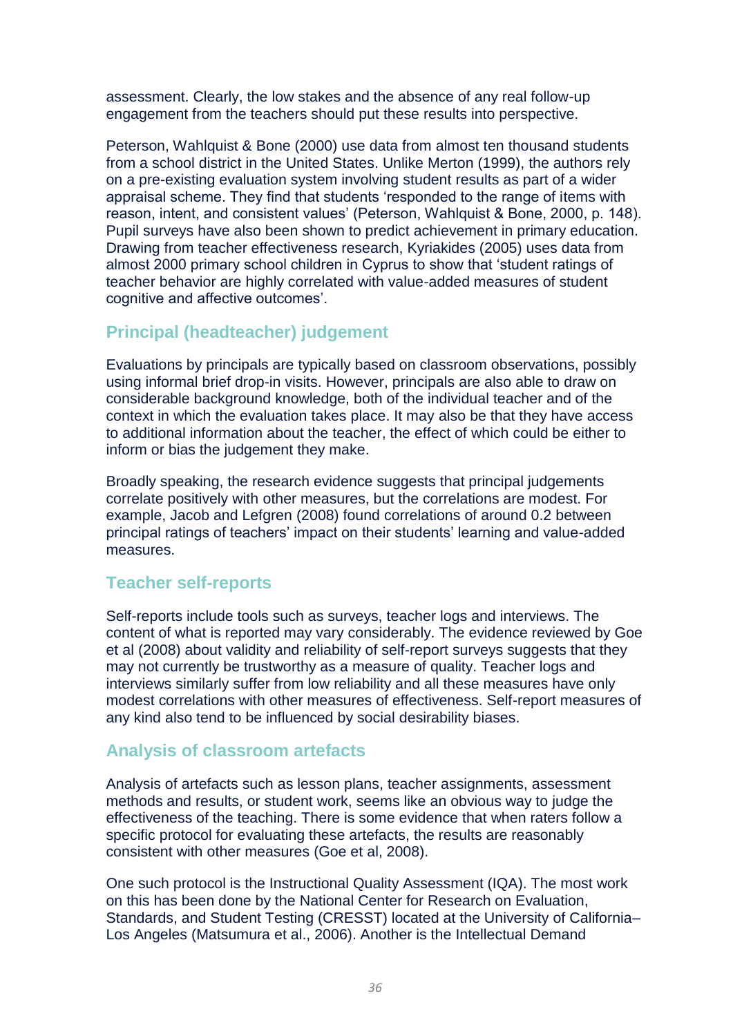assessment. Clearly, the low stakes and the absence of any real follow-up engagement from the teachers should put these results into perspective.

Peterson, Wahlquist & Bone (2000) use data from almost ten thousand students from a school district in the United States. Unlike Merton (1999), the authors rely on a pre-existing evaluation system involving student results as part of a wider appraisal scheme. They find that students 'responded to the range of items with reason, intent, and consistent values' (Peterson, Wahlquist & Bone, 2000, p. 148). Pupil surveys have also been shown to predict achievement in primary education. Drawing from teacher effectiveness research, Kyriakides (2005) uses data from almost 2000 primary school children in Cyprus to show that 'student ratings of teacher behavior are highly correlated with value-added measures of student cognitive and affective outcomes'.

### **Principal (headteacher) judgement**

Evaluations by principals are typically based on classroom observations, possibly using informal brief drop-in visits. However, principals are also able to draw on considerable background knowledge, both of the individual teacher and of the context in which the evaluation takes place. It may also be that they have access to additional information about the teacher, the effect of which could be either to inform or bias the judgement they make.

Broadly speaking, the research evidence suggests that principal judgements correlate positively with other measures, but the correlations are modest. For example, Jacob and Lefgren (2008) found correlations of around 0.2 between principal ratings of teachers' impact on their students' learning and value-added measures.

### **Teacher self-reports**

Self-reports include tools such as surveys, teacher logs and interviews. The content of what is reported may vary considerably. The evidence reviewed by Goe et al (2008) about validity and reliability of self-report surveys suggests that they may not currently be trustworthy as a measure of quality. Teacher logs and interviews similarly suffer from low reliability and all these measures have only modest correlations with other measures of effectiveness. Self-report measures of any kind also tend to be influenced by social desirability biases.

### **Analysis of classroom artefacts**

Analysis of artefacts such as lesson plans, teacher assignments, assessment methods and results, or student work, seems like an obvious way to judge the effectiveness of the teaching. There is some evidence that when raters follow a specific protocol for evaluating these artefacts, the results are reasonably consistent with other measures (Goe et al, 2008).

One such protocol is the Instructional Quality Assessment (IQA). The most work on this has been done by the National Center for Research on Evaluation, Standards, and Student Testing (CRESST) located at the University of California– Los Angeles (Matsumura et al., 2006). Another is the Intellectual Demand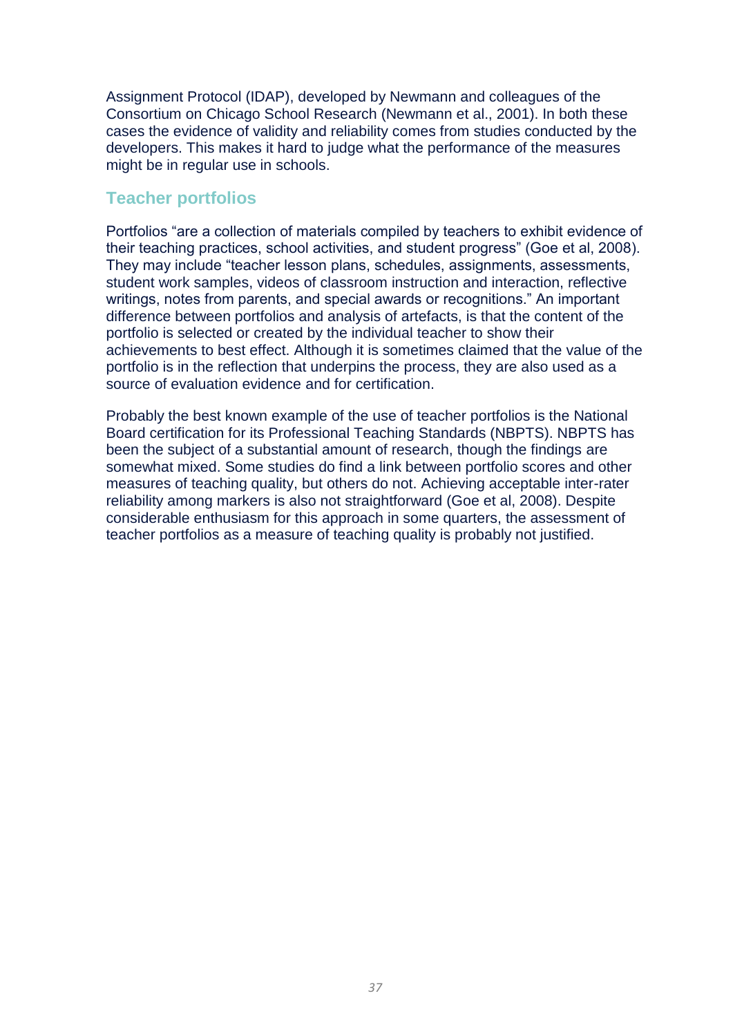Assignment Protocol (IDAP), developed by Newmann and colleagues of the Consortium on Chicago School Research (Newmann et al., 2001). In both these cases the evidence of validity and reliability comes from studies conducted by the developers. This makes it hard to judge what the performance of the measures might be in regular use in schools.

### **Teacher portfolios**

Portfolios "are a collection of materials compiled by teachers to exhibit evidence of their teaching practices, school activities, and student progress" (Goe et al, 2008). They may include "teacher lesson plans, schedules, assignments, assessments, student work samples, videos of classroom instruction and interaction, reflective writings, notes from parents, and special awards or recognitions." An important difference between portfolios and analysis of artefacts, is that the content of the portfolio is selected or created by the individual teacher to show their achievements to best effect. Although it is sometimes claimed that the value of the portfolio is in the reflection that underpins the process, they are also used as a source of evaluation evidence and for certification.

Probably the best known example of the use of teacher portfolios is the National Board certification for its Professional Teaching Standards (NBPTS). NBPTS has been the subject of a substantial amount of research, though the findings are somewhat mixed. Some studies do find a link between portfolio scores and other measures of teaching quality, but others do not. Achieving acceptable inter-rater reliability among markers is also not straightforward (Goe et al, 2008). Despite considerable enthusiasm for this approach in some quarters, the assessment of teacher portfolios as a measure of teaching quality is probably not justified.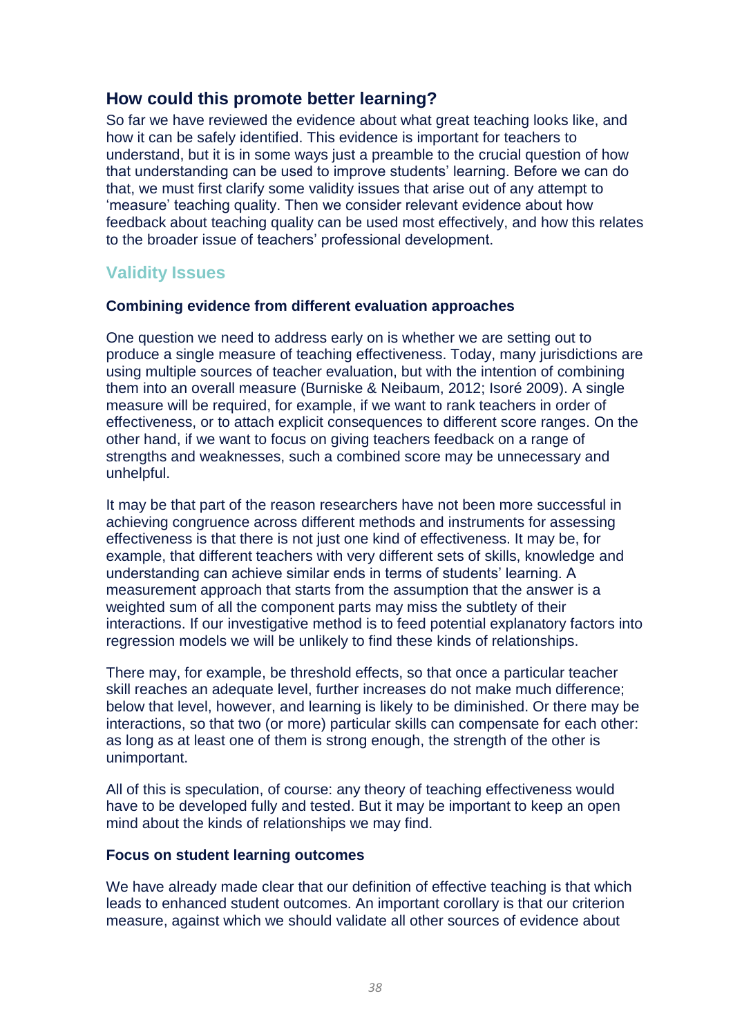### **How could this promote better learning?**

So far we have reviewed the evidence about what great teaching looks like, and how it can be safely identified. This evidence is important for teachers to understand, but it is in some ways just a preamble to the crucial question of how that understanding can be used to improve students' learning. Before we can do that, we must first clarify some validity issues that arise out of any attempt to 'measure' teaching quality. Then we consider relevant evidence about how feedback about teaching quality can be used most effectively, and how this relates to the broader issue of teachers' professional development.

### **Validity Issues**

### **Combining evidence from different evaluation approaches**

One question we need to address early on is whether we are setting out to produce a single measure of teaching effectiveness. Today, many jurisdictions are using multiple sources of teacher evaluation, but with the intention of combining them into an overall measure (Burniske & Neibaum, 2012; Isoré 2009). A single measure will be required, for example, if we want to rank teachers in order of effectiveness, or to attach explicit consequences to different score ranges. On the other hand, if we want to focus on giving teachers feedback on a range of strengths and weaknesses, such a combined score may be unnecessary and unhelpful.

It may be that part of the reason researchers have not been more successful in achieving congruence across different methods and instruments for assessing effectiveness is that there is not just one kind of effectiveness. It may be, for example, that different teachers with very different sets of skills, knowledge and understanding can achieve similar ends in terms of students' learning. A measurement approach that starts from the assumption that the answer is a weighted sum of all the component parts may miss the subtlety of their interactions. If our investigative method is to feed potential explanatory factors into regression models we will be unlikely to find these kinds of relationships.

There may, for example, be threshold effects, so that once a particular teacher skill reaches an adequate level, further increases do not make much difference; below that level, however, and learning is likely to be diminished. Or there may be interactions, so that two (or more) particular skills can compensate for each other: as long as at least one of them is strong enough, the strength of the other is unimportant.

All of this is speculation, of course: any theory of teaching effectiveness would have to be developed fully and tested. But it may be important to keep an open mind about the kinds of relationships we may find.

### **Focus on student learning outcomes**

We have already made clear that our definition of effective teaching is that which leads to enhanced student outcomes. An important corollary is that our criterion measure, against which we should validate all other sources of evidence about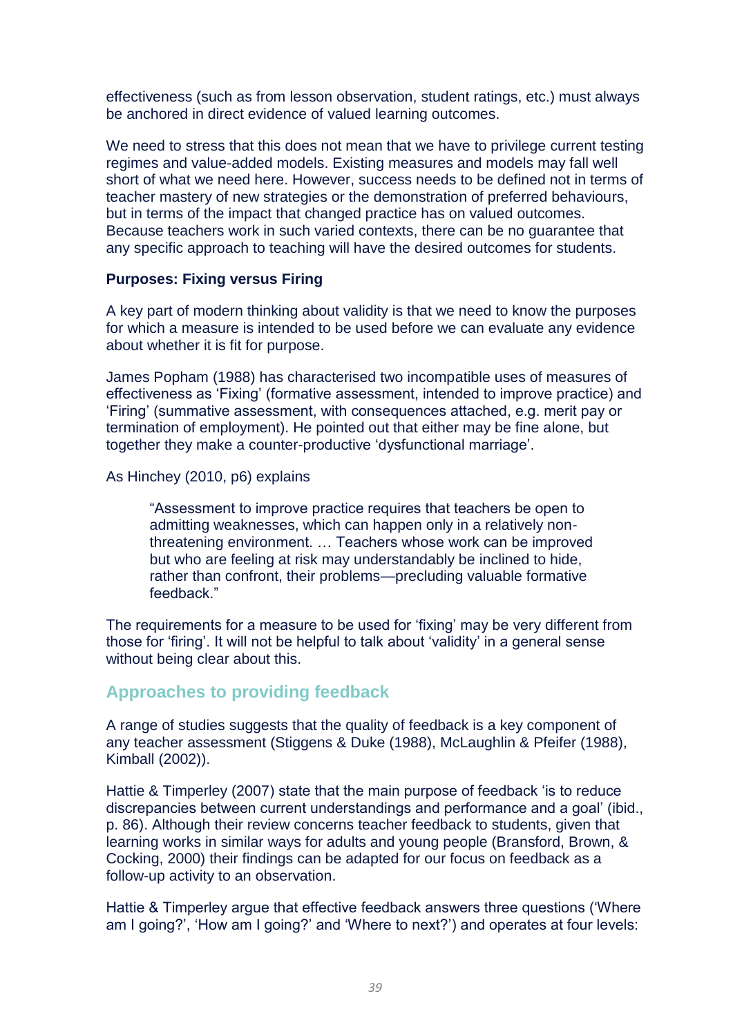effectiveness (such as from lesson observation, student ratings, etc.) must always be anchored in direct evidence of valued learning outcomes.

We need to stress that this does not mean that we have to privilege current testing regimes and value-added models. Existing measures and models may fall well short of what we need here. However, success needs to be defined not in terms of teacher mastery of new strategies or the demonstration of preferred behaviours, but in terms of the impact that changed practice has on valued outcomes. Because teachers work in such varied contexts, there can be no guarantee that any specific approach to teaching will have the desired outcomes for students.

### **Purposes: Fixing versus Firing**

A key part of modern thinking about validity is that we need to know the purposes for which a measure is intended to be used before we can evaluate any evidence about whether it is fit for purpose.

James Popham (1988) has characterised two incompatible uses of measures of effectiveness as 'Fixing' (formative assessment, intended to improve practice) and 'Firing' (summative assessment, with consequences attached, e.g. merit pay or termination of employment). He pointed out that either may be fine alone, but together they make a counter-productive 'dysfunctional marriage'.

As Hinchey (2010, p6) explains

"Assessment to improve practice requires that teachers be open to admitting weaknesses, which can happen only in a relatively nonthreatening environment. … Teachers whose work can be improved but who are feeling at risk may understandably be inclined to hide, rather than confront, their problems—precluding valuable formative feedback."

The requirements for a measure to be used for 'fixing' may be very different from those for 'firing'. It will not be helpful to talk about 'validity' in a general sense without being clear about this.

### **Approaches to providing feedback**

A range of studies suggests that the quality of feedback is a key component of any teacher assessment (Stiggens & Duke (1988), McLaughlin & Pfeifer (1988), Kimball (2002)).

Hattie & Timperley (2007) state that the main purpose of feedback 'is to reduce discrepancies between current understandings and performance and a goal' (ibid., p. 86). Although their review concerns teacher feedback to students, given that learning works in similar ways for adults and young people (Bransford, Brown, & Cocking, 2000) their findings can be adapted for our focus on feedback as a follow-up activity to an observation.

Hattie & Timperley argue that effective feedback answers three questions ('Where am I going?', 'How am I going?' and 'Where to next?') and operates at four levels: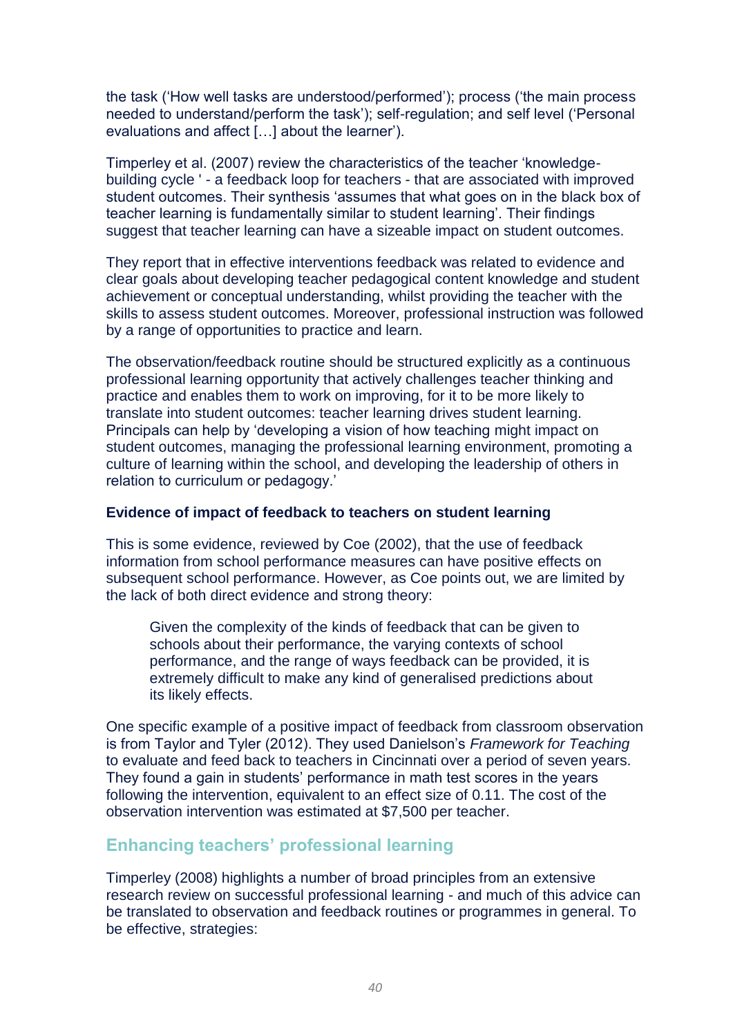the task ('How well tasks are understood/performed'); process ('the main process needed to understand/perform the task'); self-regulation; and self level ('Personal evaluations and affect […] about the learner').

Timperley et al. (2007) review the characteristics of the teacher 'knowledgebuilding cycle ' - a feedback loop for teachers - that are associated with improved student outcomes. Their synthesis 'assumes that what goes on in the black box of teacher learning is fundamentally similar to student learning'. Their findings suggest that teacher learning can have a sizeable impact on student outcomes.

They report that in effective interventions feedback was related to evidence and clear goals about developing teacher pedagogical content knowledge and student achievement or conceptual understanding, whilst providing the teacher with the skills to assess student outcomes. Moreover, professional instruction was followed by a range of opportunities to practice and learn.

The observation/feedback routine should be structured explicitly as a continuous professional learning opportunity that actively challenges teacher thinking and practice and enables them to work on improving, for it to be more likely to translate into student outcomes: teacher learning drives student learning. Principals can help by 'developing a vision of how teaching might impact on student outcomes, managing the professional learning environment, promoting a culture of learning within the school, and developing the leadership of others in relation to curriculum or pedagogy.'

### **Evidence of impact of feedback to teachers on student learning**

This is some evidence, reviewed by Coe (2002), that the use of feedback information from school performance measures can have positive effects on subsequent school performance. However, as Coe points out, we are limited by the lack of both direct evidence and strong theory:

Given the complexity of the kinds of feedback that can be given to schools about their performance, the varying contexts of school performance, and the range of ways feedback can be provided, it is extremely difficult to make any kind of generalised predictions about its likely effects.

One specific example of a positive impact of feedback from classroom observation is from Taylor and Tyler (2012). They used Danielson's *Framework for Teaching* to evaluate and feed back to teachers in Cincinnati over a period of seven years. They found a gain in students' performance in math test scores in the years following the intervention, equivalent to an effect size of 0.11. The cost of the observation intervention was estimated at \$7,500 per teacher.

### **Enhancing teachers' professional learning**

Timperley (2008) highlights a number of broad principles from an extensive research review on successful professional learning - and much of this advice can be translated to observation and feedback routines or programmes in general. To be effective, strategies: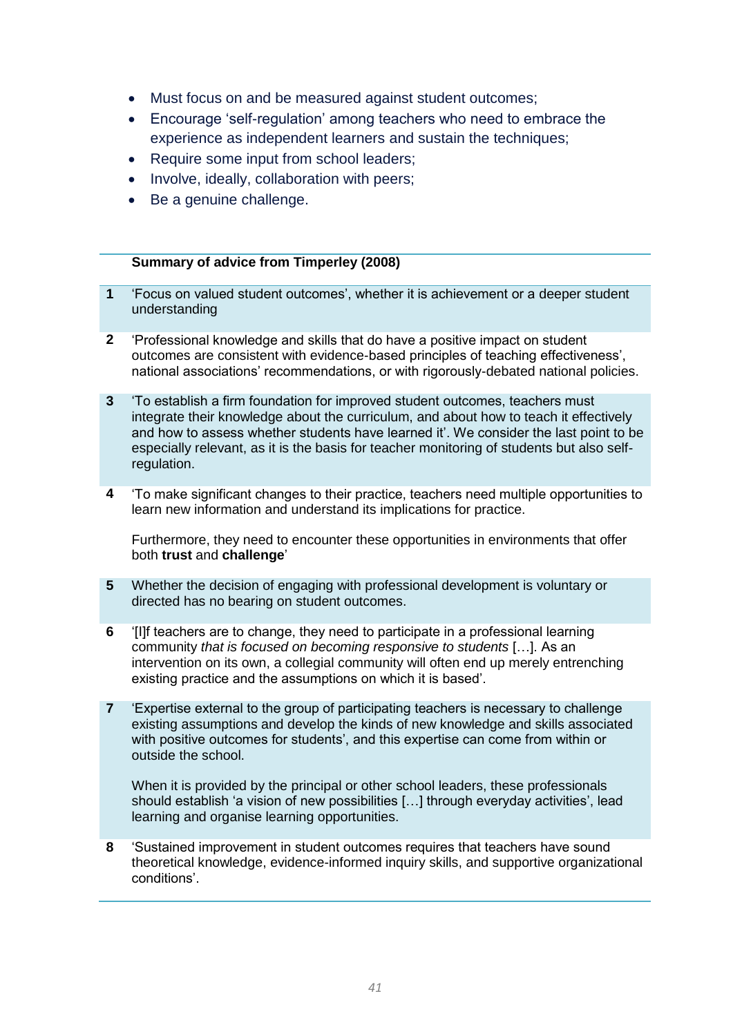- Must focus on and be measured against student outcomes;
- Encourage 'self-regulation' among teachers who need to embrace the experience as independent learners and sustain the techniques;
- Require some input from school leaders;
- Involve, ideally, collaboration with peers;
- Be a genuine challenge.

#### **Summary of advice from Timperley (2008)**

- **1** 'Focus on valued student outcomes', whether it is achievement or a deeper student understanding
- **2** 'Professional knowledge and skills that do have a positive impact on student outcomes are consistent with evidence-based principles of teaching effectiveness', national associations' recommendations, or with rigorously-debated national policies.
- **3** 'To establish a firm foundation for improved student outcomes, teachers must integrate their knowledge about the curriculum, and about how to teach it effectively and how to assess whether students have learned it'. We consider the last point to be especially relevant, as it is the basis for teacher monitoring of students but also selfregulation.
- **4** 'To make significant changes to their practice, teachers need multiple opportunities to learn new information and understand its implications for practice.

Furthermore, they need to encounter these opportunities in environments that offer both **trust** and **challenge**'

- **5** Whether the decision of engaging with professional development is voluntary or directed has no bearing on student outcomes.
- **6** '[I]f teachers are to change, they need to participate in a professional learning community *that is focused on becoming responsive to students* […]. As an intervention on its own, a collegial community will often end up merely entrenching existing practice and the assumptions on which it is based'.
- **7** 'Expertise external to the group of participating teachers is necessary to challenge existing assumptions and develop the kinds of new knowledge and skills associated with positive outcomes for students', and this expertise can come from within or outside the school.

When it is provided by the principal or other school leaders, these professionals should establish 'a vision of new possibilities […] through everyday activities', lead learning and organise learning opportunities.

**8** 'Sustained improvement in student outcomes requires that teachers have sound theoretical knowledge, evidence-informed inquiry skills, and supportive organizational conditions'.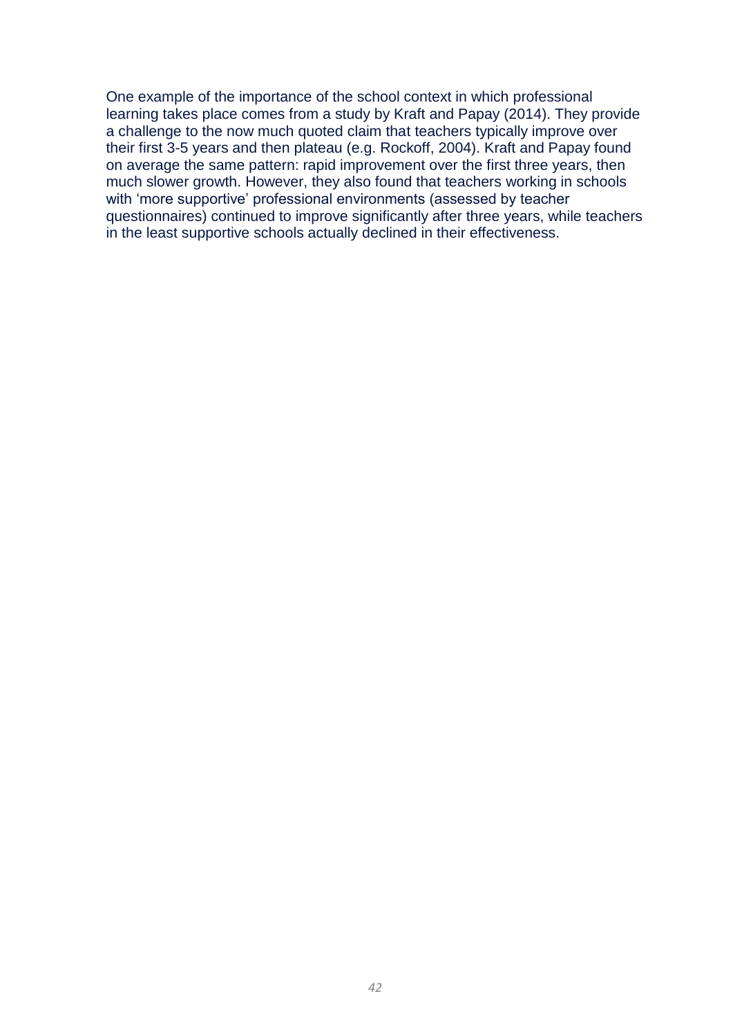One example of the importance of the school context in which professional learning takes place comes from a study by Kraft and Papay (2014). They provide a challenge to the now much quoted claim that teachers typically improve over their first 3-5 years and then plateau (e.g. Rockoff, 2004). Kraft and Papay found on average the same pattern: rapid improvement over the first three years, then much slower growth. However, they also found that teachers working in schools with 'more supportive' professional environments (assessed by teacher questionnaires) continued to improve significantly after three years, while teachers in the least supportive schools actually declined in their effectiveness.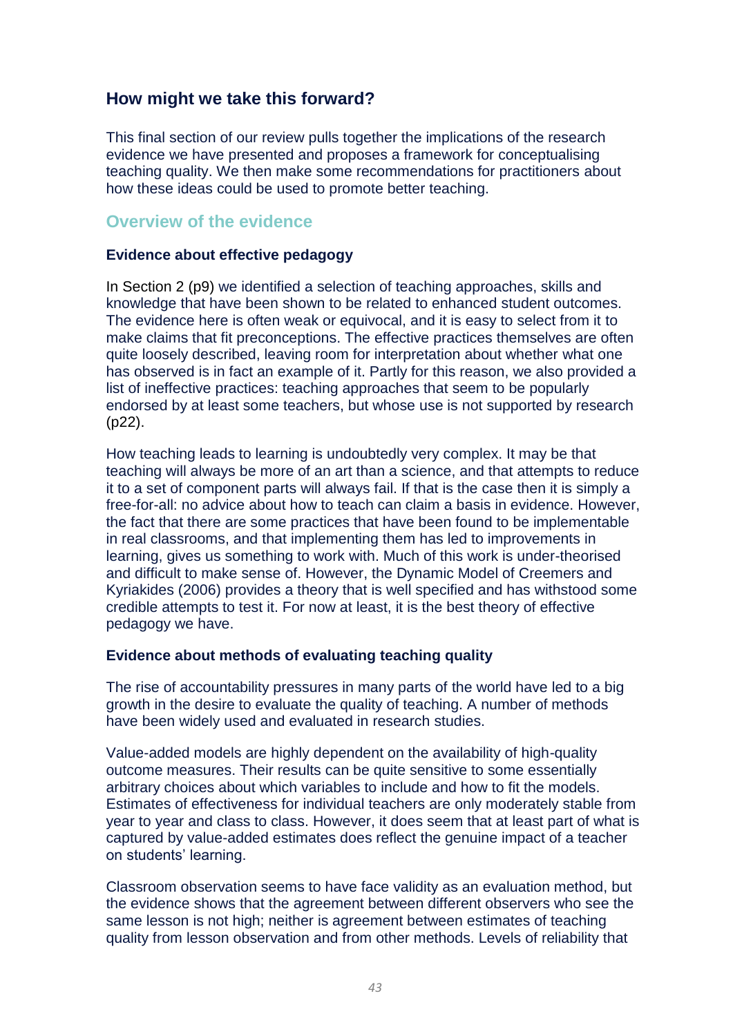### **How might we take this forward?**

This final section of our review pulls together the implications of the research evidence we have presented and proposes a framework for conceptualising teaching quality. We then make some recommendations for practitioners about how these ideas could be used to promote better teaching.

### **Overview of the evidence**

### **Evidence about effective pedagogy**

In Section 2 (p9) we identified a selection of teaching approaches, skills and knowledge that have been shown to be related to enhanced student outcomes. The evidence here is often weak or equivocal, and it is easy to select from it to make claims that fit preconceptions. The effective practices themselves are often quite loosely described, leaving room for interpretation about whether what one has observed is in fact an example of it. Partly for this reason, we also provided a list of ineffective practices: teaching approaches that seem to be popularly endorsed by at least some teachers, but whose use is not supported by research ([p22\)](#page-22-0).

How teaching leads to learning is undoubtedly very complex. It may be that teaching will always be more of an art than a science, and that attempts to reduce it to a set of component parts will always fail. If that is the case then it is simply a free-for-all: no advice about how to teach can claim a basis in evidence. However, the fact that there are some practices that have been found to be implementable in real classrooms, and that implementing them has led to improvements in learning, gives us something to work with. Much of this work is under-theorised and difficult to make sense of. However, the Dynamic Model of Creemers and Kyriakides (2006) provides a theory that is well specified and has withstood some credible attempts to test it. For now at least, it is the best theory of effective pedagogy we have.

### **Evidence about methods of evaluating teaching quality**

The rise of accountability pressures in many parts of the world have led to a big growth in the desire to evaluate the quality of teaching. A number of methods have been widely used and evaluated in research studies.

Value-added models are highly dependent on the availability of high-quality outcome measures. Their results can be quite sensitive to some essentially arbitrary choices about which variables to include and how to fit the models. Estimates of effectiveness for individual teachers are only moderately stable from year to year and class to class. However, it does seem that at least part of what is captured by value-added estimates does reflect the genuine impact of a teacher on students' learning.

Classroom observation seems to have face validity as an evaluation method, but the evidence shows that the agreement between different observers who see the same lesson is not high; neither is agreement between estimates of teaching quality from lesson observation and from other methods. Levels of reliability that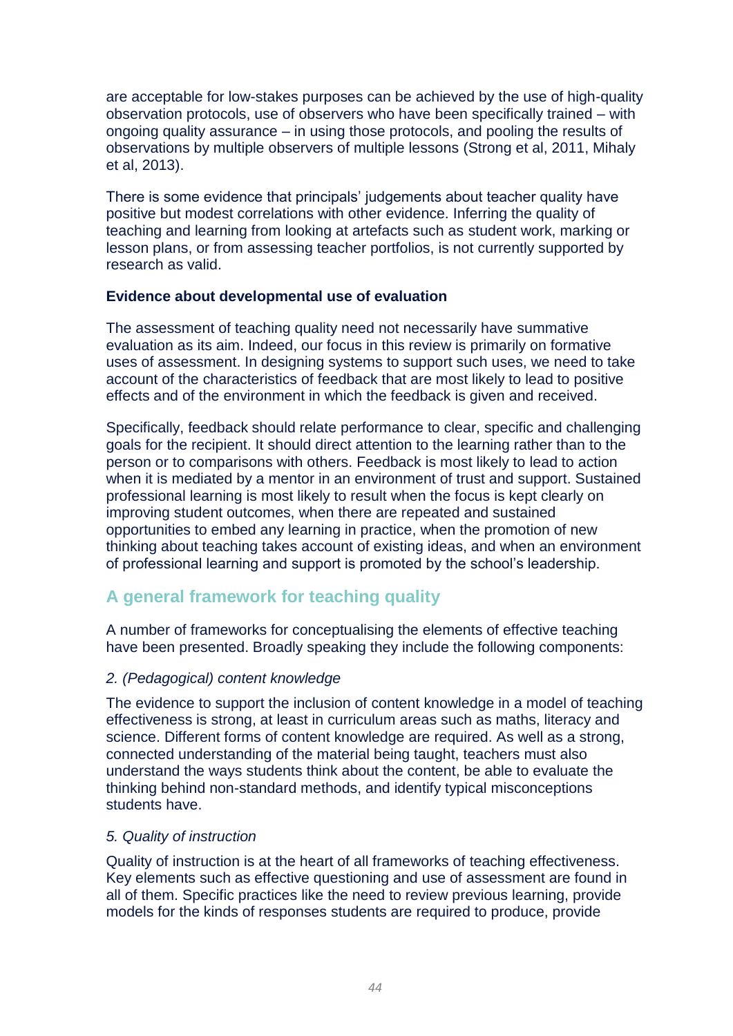are acceptable for low-stakes purposes can be achieved by the use of high-quality observation protocols, use of observers who have been specifically trained – with ongoing quality assurance – in using those protocols, and pooling the results of observations by multiple observers of multiple lessons (Strong et al, 2011, Mihaly et al, 2013).

There is some evidence that principals' judgements about teacher quality have positive but modest correlations with other evidence. Inferring the quality of teaching and learning from looking at artefacts such as student work, marking or lesson plans, or from assessing teacher portfolios, is not currently supported by research as valid.

### **Evidence about developmental use of evaluation**

The assessment of teaching quality need not necessarily have summative evaluation as its aim. Indeed, our focus in this review is primarily on formative uses of assessment. In designing systems to support such uses, we need to take account of the characteristics of feedback that are most likely to lead to positive effects and of the environment in which the feedback is given and received.

Specifically, feedback should relate performance to clear, specific and challenging goals for the recipient. It should direct attention to the learning rather than to the person or to comparisons with others. Feedback is most likely to lead to action when it is mediated by a mentor in an environment of trust and support. Sustained professional learning is most likely to result when the focus is kept clearly on improving student outcomes, when there are repeated and sustained opportunities to embed any learning in practice, when the promotion of new thinking about teaching takes account of existing ideas, and when an environment of professional learning and support is promoted by the school's leadership.

### **A general framework for teaching quality**

A number of frameworks for conceptualising the elements of effective teaching have been presented. Broadly speaking they include the following components:

### *2. (Pedagogical) content knowledge*

The evidence to support the inclusion of content knowledge in a model of teaching effectiveness is strong, at least in curriculum areas such as maths, literacy and science. Different forms of content knowledge are required. As well as a strong, connected understanding of the material being taught, teachers must also understand the ways students think about the content, be able to evaluate the thinking behind non-standard methods, and identify typical misconceptions students have.

### *5. Quality of instruction*

Quality of instruction is at the heart of all frameworks of teaching effectiveness. Key elements such as effective questioning and use of assessment are found in all of them. Specific practices like the need to review previous learning, provide models for the kinds of responses students are required to produce, provide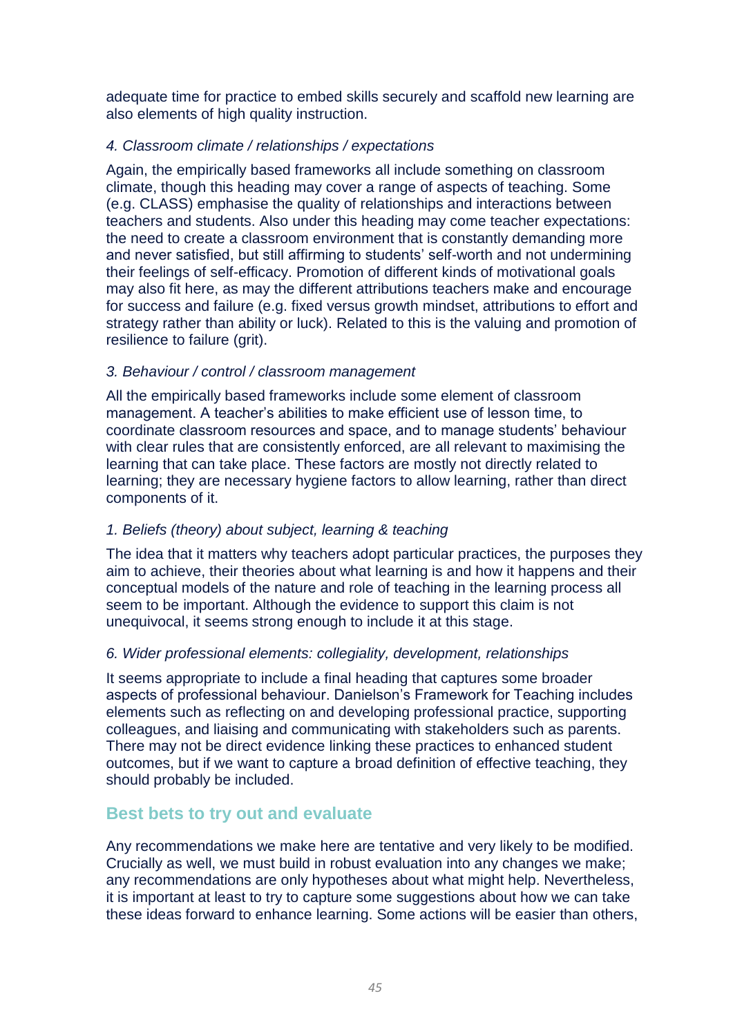adequate time for practice to embed skills securely and scaffold new learning are also elements of high quality instruction.

### *4. Classroom climate / relationships / expectations*

Again, the empirically based frameworks all include something on classroom climate, though this heading may cover a range of aspects of teaching. Some (e.g. CLASS) emphasise the quality of relationships and interactions between teachers and students. Also under this heading may come teacher expectations: the need to create a classroom environment that is constantly demanding more and never satisfied, but still affirming to students' self-worth and not undermining their feelings of self-efficacy. Promotion of different kinds of motivational goals may also fit here, as may the different attributions teachers make and encourage for success and failure (e.g. fixed versus growth mindset, attributions to effort and strategy rather than ability or luck). Related to this is the valuing and promotion of resilience to failure (grit).

### *3. Behaviour / control / classroom management*

All the empirically based frameworks include some element of classroom management. A teacher's abilities to make efficient use of lesson time, to coordinate classroom resources and space, and to manage students' behaviour with clear rules that are consistently enforced, are all relevant to maximising the learning that can take place. These factors are mostly not directly related to learning; they are necessary hygiene factors to allow learning, rather than direct components of it.

### *1. Beliefs (theory) about subject, learning & teaching*

The idea that it matters why teachers adopt particular practices, the purposes they aim to achieve, their theories about what learning is and how it happens and their conceptual models of the nature and role of teaching in the learning process all seem to be important. Although the evidence to support this claim is not unequivocal, it seems strong enough to include it at this stage.

### *6. Wider professional elements: collegiality, development, relationships*

It seems appropriate to include a final heading that captures some broader aspects of professional behaviour. Danielson's Framework for Teaching includes elements such as reflecting on and developing professional practice, supporting colleagues, and liaising and communicating with stakeholders such as parents. There may not be direct evidence linking these practices to enhanced student outcomes, but if we want to capture a broad definition of effective teaching, they should probably be included.

### **Best bets to try out and evaluate**

Any recommendations we make here are tentative and very likely to be modified. Crucially as well, we must build in robust evaluation into any changes we make; any recommendations are only hypotheses about what might help. Nevertheless, it is important at least to try to capture some suggestions about how we can take these ideas forward to enhance learning. Some actions will be easier than others,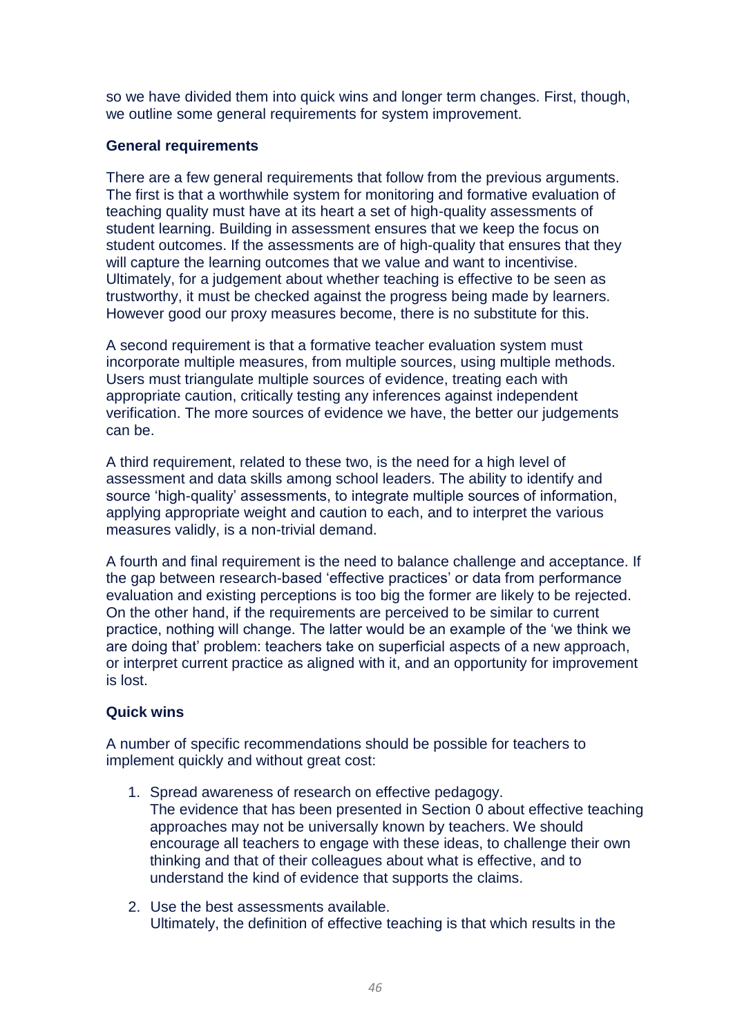so we have divided them into quick wins and longer term changes. First, though, we outline some general requirements for system improvement.

### **General requirements**

There are a few general requirements that follow from the previous arguments. The first is that a worthwhile system for monitoring and formative evaluation of teaching quality must have at its heart a set of high-quality assessments of student learning. Building in assessment ensures that we keep the focus on student outcomes. If the assessments are of high-quality that ensures that they will capture the learning outcomes that we value and want to incentivise. Ultimately, for a judgement about whether teaching is effective to be seen as trustworthy, it must be checked against the progress being made by learners. However good our proxy measures become, there is no substitute for this.

A second requirement is that a formative teacher evaluation system must incorporate multiple measures, from multiple sources, using multiple methods. Users must triangulate multiple sources of evidence, treating each with appropriate caution, critically testing any inferences against independent verification. The more sources of evidence we have, the better our judgements can be.

A third requirement, related to these two, is the need for a high level of assessment and data skills among school leaders. The ability to identify and source 'high-quality' assessments, to integrate multiple sources of information, applying appropriate weight and caution to each, and to interpret the various measures validly, is a non-trivial demand.

A fourth and final requirement is the need to balance challenge and acceptance. If the gap between research-based 'effective practices' or data from performance evaluation and existing perceptions is too big the former are likely to be rejected. On the other hand, if the requirements are perceived to be similar to current practice, nothing will change. The latter would be an example of the 'we think we are doing that' problem: teachers take on superficial aspects of a new approach, or interpret current practice as aligned with it, and an opportunity for improvement is lost.

### **Quick wins**

A number of specific recommendations should be possible for teachers to implement quickly and without great cost:

- 1. Spread awareness of research on effective pedagogy. The evidence that has been presented in Section [0](#page-8-0) about effective teaching approaches may not be universally known by teachers. We should encourage all teachers to engage with these ideas, to challenge their own thinking and that of their colleagues about what is effective, and to understand the kind of evidence that supports the claims.
- 2. Use the best assessments available. Ultimately, the definition of effective teaching is that which results in the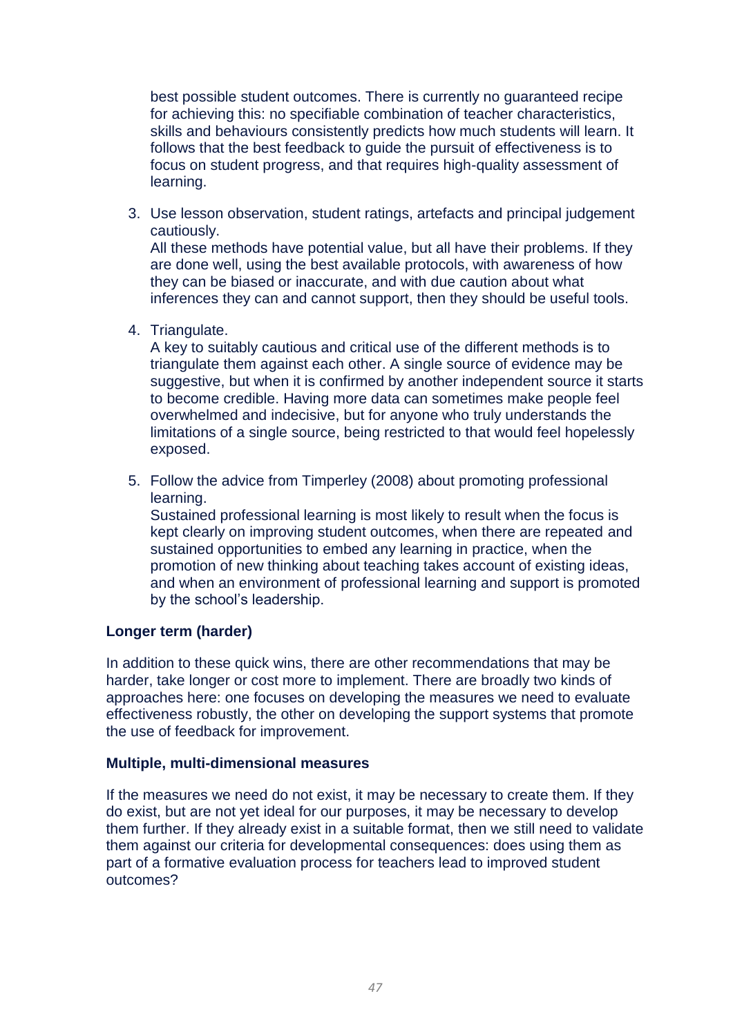best possible student outcomes. There is currently no guaranteed recipe for achieving this: no specifiable combination of teacher characteristics, skills and behaviours consistently predicts how much students will learn. It follows that the best feedback to guide the pursuit of effectiveness is to focus on student progress, and that requires high-quality assessment of learning.

3. Use lesson observation, student ratings, artefacts and principal judgement cautiously.

All these methods have potential value, but all have their problems. If they are done well, using the best available protocols, with awareness of how they can be biased or inaccurate, and with due caution about what inferences they can and cannot support, then they should be useful tools.

4. Triangulate.

A key to suitably cautious and critical use of the different methods is to triangulate them against each other. A single source of evidence may be suggestive, but when it is confirmed by another independent source it starts to become credible. Having more data can sometimes make people feel overwhelmed and indecisive, but for anyone who truly understands the limitations of a single source, being restricted to that would feel hopelessly exposed.

5. Follow the advice from Timperley (2008) about promoting professional learning.

Sustained professional learning is most likely to result when the focus is kept clearly on improving student outcomes, when there are repeated and sustained opportunities to embed any learning in practice, when the promotion of new thinking about teaching takes account of existing ideas, and when an environment of professional learning and support is promoted by the school's leadership.

### **Longer term (harder)**

In addition to these quick wins, there are other recommendations that may be harder, take longer or cost more to implement. There are broadly two kinds of approaches here: one focuses on developing the measures we need to evaluate effectiveness robustly, the other on developing the support systems that promote the use of feedback for improvement.

### **Multiple, multi-dimensional measures**

If the measures we need do not exist, it may be necessary to create them. If they do exist, but are not yet ideal for our purposes, it may be necessary to develop them further. If they already exist in a suitable format, then we still need to validate them against our criteria for developmental consequences: does using them as part of a formative evaluation process for teachers lead to improved student outcomes?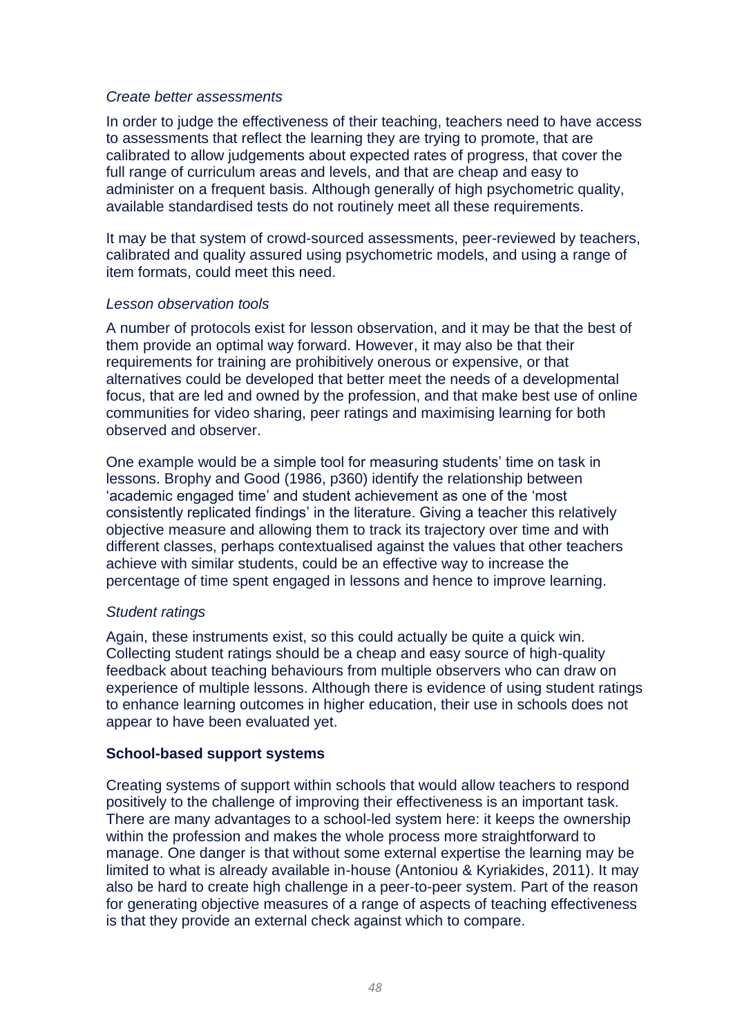### *Create better assessments*

In order to judge the effectiveness of their teaching, teachers need to have access to assessments that reflect the learning they are trying to promote, that are calibrated to allow judgements about expected rates of progress, that cover the full range of curriculum areas and levels, and that are cheap and easy to administer on a frequent basis. Although generally of high psychometric quality, available standardised tests do not routinely meet all these requirements.

It may be that system of crowd-sourced assessments, peer-reviewed by teachers, calibrated and quality assured using psychometric models, and using a range of item formats, could meet this need.

### *Lesson observation tools*

A number of protocols exist for lesson observation, and it may be that the best of them provide an optimal way forward. However, it may also be that their requirements for training are prohibitively onerous or expensive, or that alternatives could be developed that better meet the needs of a developmental focus, that are led and owned by the profession, and that make best use of online communities for video sharing, peer ratings and maximising learning for both observed and observer.

One example would be a simple tool for measuring students' time on task in lessons. Brophy and Good (1986, p360) identify the relationship between 'academic engaged time' and student achievement as one of the 'most consistently replicated findings' in the literature. Giving a teacher this relatively objective measure and allowing them to track its trajectory over time and with different classes, perhaps contextualised against the values that other teachers achieve with similar students, could be an effective way to increase the percentage of time spent engaged in lessons and hence to improve learning.

### *Student ratings*

Again, these instruments exist, so this could actually be quite a quick win. Collecting student ratings should be a cheap and easy source of high-quality feedback about teaching behaviours from multiple observers who can draw on experience of multiple lessons. Although there is evidence of using student ratings to enhance learning outcomes in higher education, their use in schools does not appear to have been evaluated yet.

### **School-based support systems**

Creating systems of support within schools that would allow teachers to respond positively to the challenge of improving their effectiveness is an important task. There are many advantages to a school-led system here: it keeps the ownership within the profession and makes the whole process more straightforward to manage. One danger is that without some external expertise the learning may be limited to what is already available in-house (Antoniou & Kyriakides, 2011). It may also be hard to create high challenge in a peer-to-peer system. Part of the reason for generating objective measures of a range of aspects of teaching effectiveness is that they provide an external check against which to compare.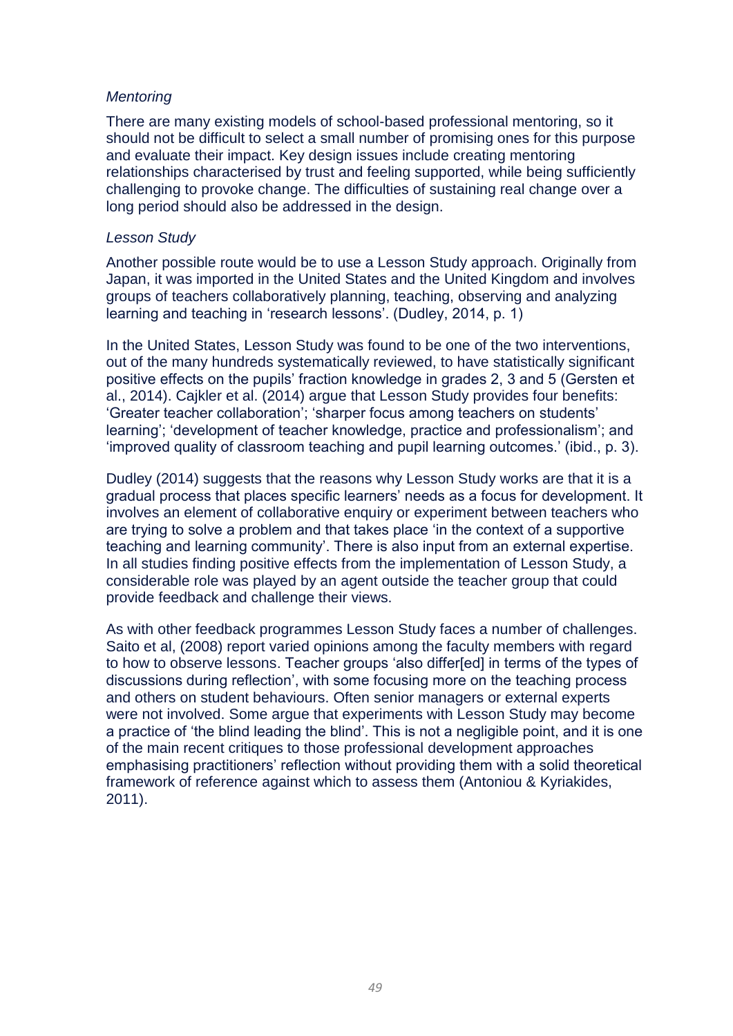### *Mentoring*

There are many existing models of school-based professional mentoring, so it should not be difficult to select a small number of promising ones for this purpose and evaluate their impact. Key design issues include creating mentoring relationships characterised by trust and feeling supported, while being sufficiently challenging to provoke change. The difficulties of sustaining real change over a long period should also be addressed in the design.

### *Lesson Study*

Another possible route would be to use a Lesson Study approach. Originally from Japan, it was imported in the United States and the United Kingdom and involves groups of teachers collaboratively planning, teaching, observing and analyzing learning and teaching in 'research lessons'. (Dudley, 2014, p. 1)

In the United States, Lesson Study was found to be one of the two interventions, out of the many hundreds systematically reviewed, to have statistically significant positive effects on the pupils' fraction knowledge in grades 2, 3 and 5 (Gersten et al., 2014). Cajkler et al. (2014) argue that Lesson Study provides four benefits: 'Greater teacher collaboration'; 'sharper focus among teachers on students' learning'; 'development of teacher knowledge, practice and professionalism'; and 'improved quality of classroom teaching and pupil learning outcomes.' (ibid., p. 3).

Dudley (2014) suggests that the reasons why Lesson Study works are that it is a gradual process that places specific learners' needs as a focus for development. It involves an element of collaborative enquiry or experiment between teachers who are trying to solve a problem and that takes place 'in the context of a supportive teaching and learning community'. There is also input from an external expertise. In all studies finding positive effects from the implementation of Lesson Study, a considerable role was played by an agent outside the teacher group that could provide feedback and challenge their views.

As with other feedback programmes Lesson Study faces a number of challenges. Saito et al, (2008) report varied opinions among the faculty members with regard to how to observe lessons. Teacher groups 'also differ[ed] in terms of the types of discussions during reflection', with some focusing more on the teaching process and others on student behaviours. Often senior managers or external experts were not involved. Some argue that experiments with Lesson Study may become a practice of 'the blind leading the blind'. This is not a negligible point, and it is one of the main recent critiques to those professional development approaches emphasising practitioners' reflection without providing them with a solid theoretical framework of reference against which to assess them (Antoniou & Kyriakides, 2011).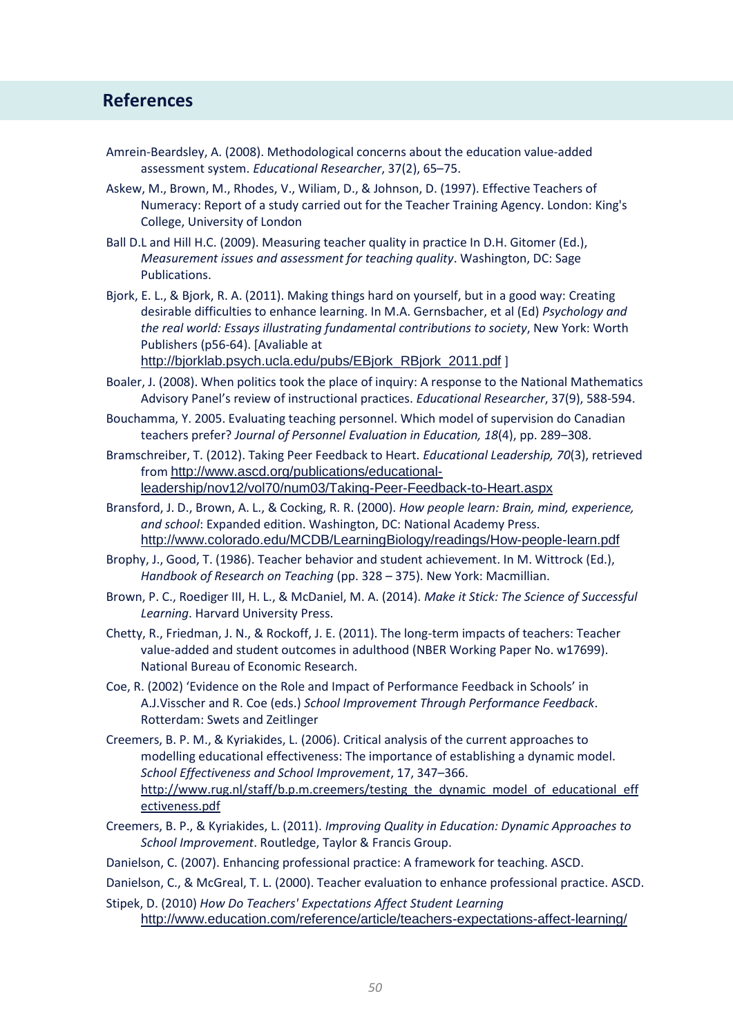### **References References**

- Amrein-Beardsley, A. (2008). Methodological concerns about the education value-added assessment system. *Educational Researcher*, 37(2), 65–75.
- Askew, M., Brown, M., Rhodes, V., Wiliam, D., & Johnson, D. (1997). Effective Teachers of Numeracy: Report of a study carried out for the Teacher Training Agency. London: King's College, University of London
- Ball D.L and Hill H.C. (2009). Measuring teacher quality in practice In D.H. Gitomer (Ed.), *Measurement issues and assessment for teaching quality*. Washington, DC: Sage Publications.
- Bjork, E. L., & Bjork, R. A. (2011). Making things hard on yourself, but in a good way: Creating desirable difficulties to enhance learning. In M.A. Gernsbacher, et al (Ed) *Psychology and the real world: Essays illustrating fundamental contributions to society*, New York: Worth Publishers (p56-64). [Avaliable at

[http://bjorklab.psych.ucla.edu/pubs/EBjork\\_RBjork\\_2011.pdf](http://bjorklab.psych.ucla.edu/pubs/EBjork_RBjork_2011.pdf) ]

- Boaler, J. (2008). When politics took the place of inquiry: A response to the National Mathematics Advisory Panel's review of instructional practices. *Educational Researcher*, 37(9), 588-594.
- Bouchamma, Y. 2005. Evaluating teaching personnel. Which model of supervision do Canadian teachers prefer? *Journal of Personnel Evaluation in Education, 18*(4), pp. 289-308.
- Bramschreiber, T. (2012). Taking Peer Feedback to Heart. *Educational Leadership, 70*(3), retrieved from [http://www.ascd.org/publications/educational](http://www.ascd.org/publications/educational-leadership/nov12/vol70/num03/Taking-Peer-Feedback-to-Heart.aspx)[leadership/nov12/vol70/num03/Taking-Peer-Feedback-to-Heart.aspx](http://www.ascd.org/publications/educational-leadership/nov12/vol70/num03/Taking-Peer-Feedback-to-Heart.aspx)
- Bransford, J. D., Brown, A. L., & Cocking, R. R. (2000). *How people learn: Brain, mind, experience, and school*: Expanded edition. Washington, DC: National Academy Press. <http://www.colorado.edu/MCDB/LearningBiology/readings/How-people-learn.pdf>
- Brophy, J., Good, T. (1986). Teacher behavior and student achievement. In M. Wittrock (Ed.), *Handbook of Research on Teaching* (pp. 328 – 375). New York: Macmillian.
- Brown, P. C., Roediger III, H. L., & McDaniel, M. A. (2014). *Make it Stick: The Science of Successful Learning*. Harvard University Press.
- Chetty, R., Friedman, J. N., & Rockoff, J. E. (2011). The long-term impacts of teachers: Teacher value-added and student outcomes in adulthood (NBER Working Paper No. w17699). National Bureau of Economic Research.
- Coe, R. (2002) 'Evidence on the Role and Impact of Performance Feedback in Schools' in A.J.Visscher and R. Coe (eds.) *School Improvement Through Performance Feedback*. Rotterdam: Swets and Zeitlinger
- Creemers, B. P. M., & Kyriakides, L. (2006). Critical analysis of the current approaches to modelling educational effectiveness: The importance of establishing a dynamic model. *School Effectiveness and School Improvement*, 17, 347–366. [http://www.rug.nl/staff/b.p.m.creemers/testing\\_the\\_dynamic\\_model\\_of\\_educational\\_eff](http://www.rug.nl/staff/b.p.m.creemers/testing_the_dynamic_model_of_educational_effectiveness.pdf) [ectiveness.pdf](http://www.rug.nl/staff/b.p.m.creemers/testing_the_dynamic_model_of_educational_effectiveness.pdf)
- Creemers, B. P., & Kyriakides, L. (2011). *Improving Quality in Education: Dynamic Approaches to School Improvement*. Routledge, Taylor & Francis Group.
- Danielson, C. (2007). Enhancing professional practice: A framework for teaching. ASCD.

Danielson, C., & McGreal, T. L. (2000). Teacher evaluation to enhance professional practice. ASCD.

Stipek, D. (2010) *How Do Teachers' Expectations Affect Student Learning* <http://www.education.com/reference/article/teachers-expectations-affect-learning/>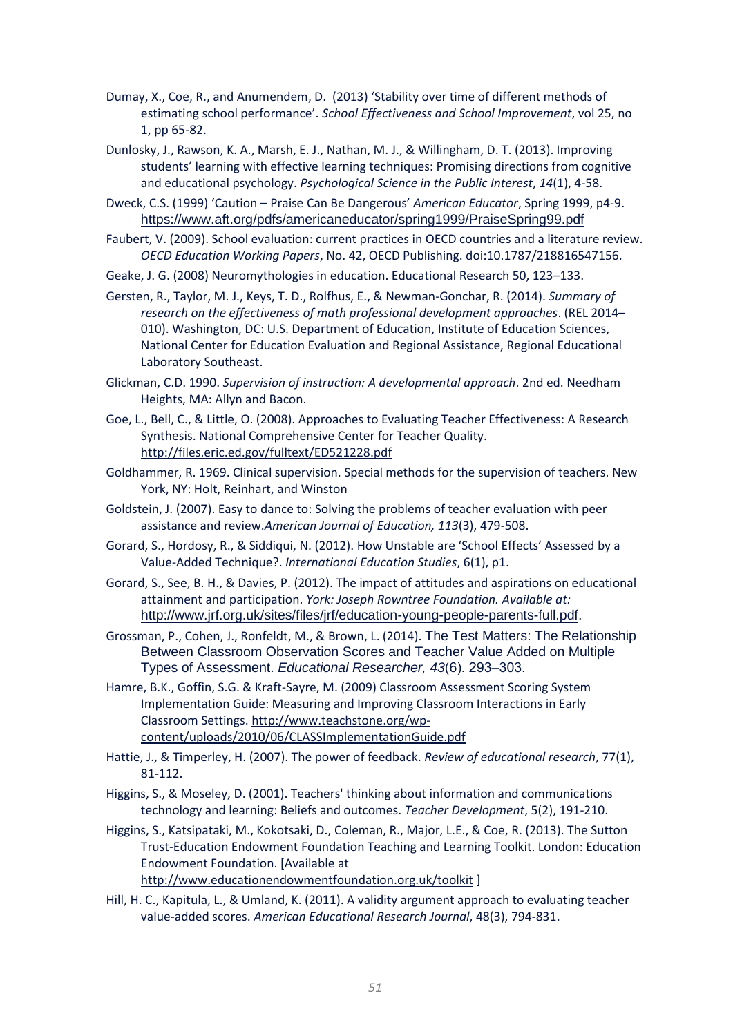- Dumay, X., Coe, R., and Anumendem, D. (2013) 'Stability over time of different methods of estimating school performance'. *School Effectiveness and School Improvement*, vol 25, no 1, pp 65-82.
- Dunlosky, J., Rawson, K. A., Marsh, E. J., Nathan, M. J., & Willingham, D. T. (2013). Improving students' learning with effective learning techniques: Promising directions from cognitive and educational psychology. *Psychological Science in the Public Interest*, *14*(1), 4-58.
- Dweck, C.S. (1999) 'Caution Praise Can Be Dangerous' *American Educator*, Spring 1999, p4-9. <https://www.aft.org/pdfs/americaneducator/spring1999/PraiseSpring99.pdf>
- Faubert, V. (2009). School evaluation: current practices in OECD countries and a literature review. *OECD Education Working Papers*, No. 42, OECD Publishing. doi:10.1787/218816547156.
- Geake, J. G. (2008) Neuromythologies in education. Educational Research 50, 123–133.
- Gersten, R., Taylor, M. J., Keys, T. D., Rolfhus, E., & Newman-Gonchar, R. (2014). *Summary of research on the effectiveness of math professional development approaches*. (REL 2014– 010). Washington, DC: U.S. Department of Education, Institute of Education Sciences, National Center for Education Evaluation and Regional Assistance, Regional Educational Laboratory Southeast.
- Glickman, C.D. 1990. *Supervision of instruction: A developmental approach*. 2nd ed. Needham Heights, MA: Allyn and Bacon.
- Goe, L., Bell, C., & Little, O. (2008). Approaches to Evaluating Teacher Effectiveness: A Research Synthesis. National Comprehensive Center for Teacher Quality. <http://files.eric.ed.gov/fulltext/ED521228.pdf>
- Goldhammer, R. 1969. Clinical supervision. Special methods for the supervision of teachers. New York, NY: Holt, Reinhart, and Winston
- Goldstein, J. (2007). Easy to dance to: Solving the problems of teacher evaluation with peer assistance and review.*American Journal of Education, 113*(3), 479-508.
- Gorard, S., Hordosy, R., & Siddiqui, N. (2012). How Unstable are 'School Effects' Assessed by a Value-Added Technique?. *International Education Studies*, 6(1), p1.
- Gorard, S., See, B. H., & Davies, P. (2012). The impact of attitudes and aspirations on educational attainment and participation. *York: Joseph Rowntree Foundation. Available at:*  <http://www.jrf.org.uk/sites/files/jrf/education-young-people-parents-full.pdf>.
- Grossman, P., Cohen, J., Ronfeldt, M., & Brown, L. (2014). The Test Matters: The Relationship Between Classroom Observation Scores and Teacher Value Added on Multiple Types of Assessment. *Educational Researcher, 43*(6). 293‒303.
- Hamre, B.K., Goffin, S.G. & Kraft-Sayre, M. (2009) Classroom Assessment Scoring System Implementation Guide: Measuring and Improving Classroom Interactions in Early Classroom Settings. [http://www.teachstone.org/wp](http://www.teachstone.org/wp-content/uploads/2010/06/CLASSImplementationGuide.pdf)[content/uploads/2010/06/CLASSImplementationGuide.pdf](http://www.teachstone.org/wp-content/uploads/2010/06/CLASSImplementationGuide.pdf)
- Hattie, J., & Timperley, H. (2007). The power of feedback. *Review of educational research*, 77(1), 81-112.
- Higgins, S., & Moseley, D. (2001). Teachers' thinking about information and communications technology and learning: Beliefs and outcomes. *Teacher Development*, 5(2), 191-210.
- Higgins, S., Katsipataki, M., Kokotsaki, D., Coleman, R., Major, L.E., & Coe, R. (2013). The Sutton Trust-Education Endowment Foundation Teaching and Learning Toolkit. London: Education Endowment Foundation. [Available at <http://www.educationendowmentfoundation.org.uk/toolkit> ]
- Hill, H. C., Kapitula, L., & Umland, K. (2011). A validity argument approach to evaluating teacher value-added scores. *American Educational Research Journal*, 48(3), 794-831.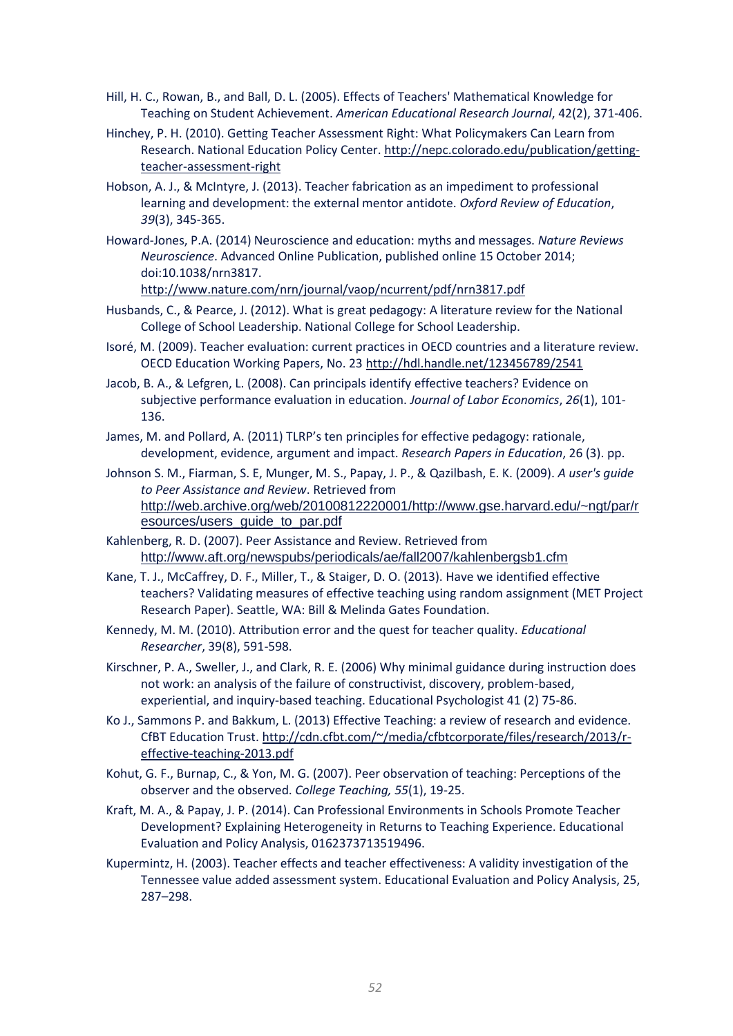- Hill, H. C., Rowan, B., and Ball, D. L. (2005). Effects of Teachers' Mathematical Knowledge for Teaching on Student Achievement. *American Educational Research Journal*, 42(2), 371-406.
- Hinchey, P. H. (2010). Getting Teacher Assessment Right: What Policymakers Can Learn from Research. National Education Policy Center. [http://nepc.colorado.edu/publication/getting](http://nepc.colorado.edu/publication/getting-teacher-assessment-right)[teacher-assessment-right](http://nepc.colorado.edu/publication/getting-teacher-assessment-right)
- Hobson, A. J., & McIntyre, J. (2013). Teacher fabrication as an impediment to professional learning and development: the external mentor antidote. *Oxford Review of Education*, *39*(3), 345-365.
- Howard-Jones, P.A. (2014) Neuroscience and education: myths and messages. *Nature Reviews Neuroscience*. Advanced Online Publication, published online 15 October 2014; doi:10.1038/nrn3817.

<http://www.nature.com/nrn/journal/vaop/ncurrent/pdf/nrn3817.pdf>

- Husbands, C., & Pearce, J. (2012). What is great pedagogy: A literature review for the National College of School Leadership. National College for School Leadership.
- Isoré, M. (2009). Teacher evaluation: current practices in OECD countries and a literature review. OECD Education Working Papers, No. 23<http://hdl.handle.net/123456789/2541>
- Jacob, B. A., & Lefgren, L. (2008). Can principals identify effective teachers? Evidence on subjective performance evaluation in education. *Journal of Labor Economics*, *26*(1), 101- 136.
- James, M. and Pollard, A. (2011) TLRP's ten principles for effective pedagogy: rationale, development, evidence, argument and impact. *Research Papers in Education*, 26 (3). pp.
- Johnson S. M., Fiarman, S. E, Munger, M. S., Papay, J. P., & Qazilbash, E. K. (2009). *A user's guide to Peer Assistance and Review*. Retrieved from [http://web.archive.org/web/20100812220001/http://www.gse.harvard.edu/~ngt/par/r](http://web.archive.org/web/20100812220001/http:/www.gse.harvard.edu/~ngt/par/resources/users_guide_to_par.pdf) [esources/users\\_guide\\_to\\_par.pdf](http://web.archive.org/web/20100812220001/http:/www.gse.harvard.edu/~ngt/par/resources/users_guide_to_par.pdf)
- Kahlenberg, R. D. (2007). Peer Assistance and Review. Retrieved from <http://www.aft.org/newspubs/periodicals/ae/fall2007/kahlenbergsb1.cfm>
- Kane, T. J., McCaffrey, D. F., Miller, T., & Staiger, D. O. (2013). Have we identified effective teachers? Validating measures of effective teaching using random assignment (MET Project Research Paper). Seattle, WA: Bill & Melinda Gates Foundation.
- Kennedy, M. M. (2010). Attribution error and the quest for teacher quality. *Educational Researcher*, 39(8), 591-598.
- Kirschner, P. A., Sweller, J., and Clark, R. E. (2006) Why minimal guidance during instruction does not work: an analysis of the failure of constructivist, discovery, problem-based, experiential, and inquiry-based teaching. Educational Psychologist 41 (2) 75-86.
- Ko J., Sammons P. and Bakkum, L. (2013) Effective Teaching: a review of research and evidence. CfBT Education Trust. [http://cdn.cfbt.com/~/media/cfbtcorporate/files/research/2013/r](http://cdn.cfbt.com/~/media/cfbtcorporate/files/research/2013/r-effective-teaching-2013.pdf)[effective-teaching-2013.pdf](http://cdn.cfbt.com/~/media/cfbtcorporate/files/research/2013/r-effective-teaching-2013.pdf)
- Kohut, G. F., Burnap, C., & Yon, M. G. (2007). Peer observation of teaching: Perceptions of the observer and the observed. *College Teaching, 55*(1), 19-25.
- Kraft, M. A., & Papay, J. P. (2014). Can Professional Environments in Schools Promote Teacher Development? Explaining Heterogeneity in Returns to Teaching Experience. Educational Evaluation and Policy Analysis, 0162373713519496.
- Kupermintz, H. (2003). Teacher effects and teacher effectiveness: A validity investigation of the Tennessee value added assessment system. Educational Evaluation and Policy Analysis, 25, 287–298.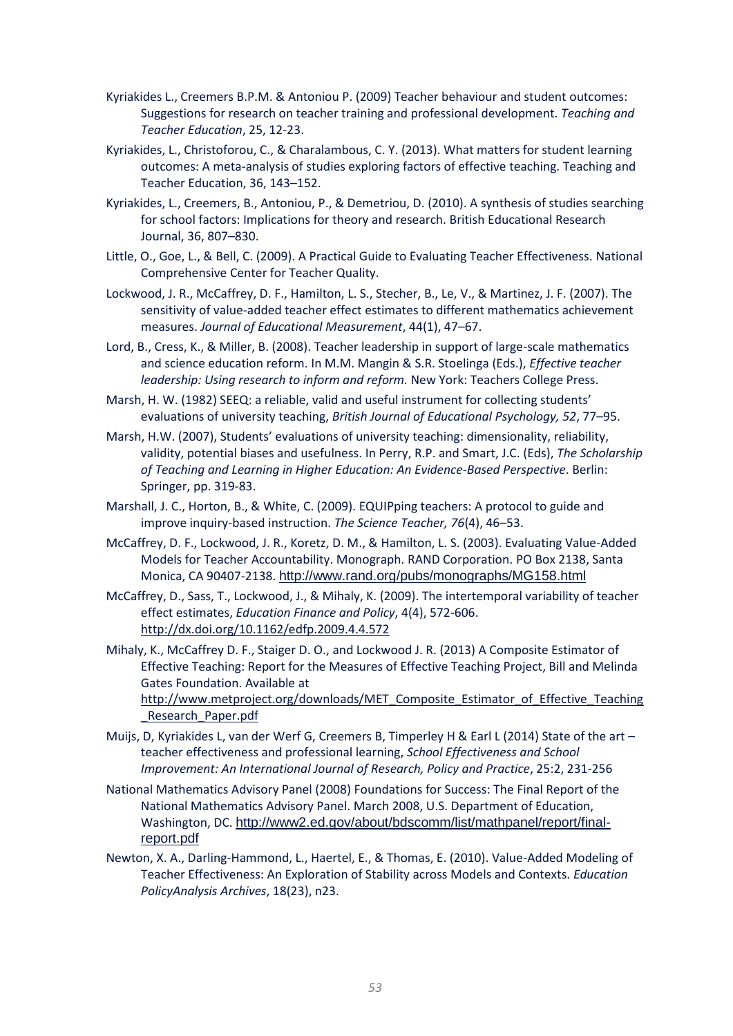- Kyriakides L., Creemers B.P.M. & Antoniou P. (2009) Teacher behaviour and student outcomes: Suggestions for research on teacher training and professional development. *Teaching and Teacher Education*, 25, 12-23.
- Kyriakides, L., Christoforou, C., & Charalambous, C. Y. (2013). What matters for student learning outcomes: A meta-analysis of studies exploring factors of effective teaching. Teaching and Teacher Education, 36, 143–152.
- Kyriakides, L., Creemers, B., Antoniou, P., & Demetriou, D. (2010). A synthesis of studies searching for school factors: Implications for theory and research. British Educational Research Journal, 36, 807–830.
- Little, O., Goe, L., & Bell, C. (2009). A Practical Guide to Evaluating Teacher Effectiveness. National Comprehensive Center for Teacher Quality.
- Lockwood, J. R., McCaffrey, D. F., Hamilton, L. S., Stecher, B., Le, V., & Martinez, J. F. (2007). The sensitivity of value-added teacher effect estimates to different mathematics achievement measures. *Journal of Educational Measurement*, 44(1), 47–67.
- Lord, B., Cress, K., & Miller, B. (2008). Teacher leadership in support of large-scale mathematics and science education reform. In M.M. Mangin & S.R. Stoelinga (Eds.), *Effective teacher leadership: Using research to inform and reform.* New York: Teachers College Press.
- Marsh, H. W. (1982) SEEQ: a reliable, valid and useful instrument for collecting students' evaluations of university teaching, *British Journal of Educational Psychology, 52*, 77–95.
- Marsh, H.W. (2007), Students' evaluations of university teaching: dimensionality, reliability, validity, potential biases and usefulness. In Perry, R.P. and Smart, J.C. (Eds), *The Scholarship of Teaching and Learning in Higher Education: An Evidence-Based Perspective*. Berlin: Springer, pp. 319-83.
- Marshall, J. C., Horton, B., & White, C. (2009). EQUIPping teachers: A protocol to guide and improve inquiry-based instruction. *The Science Teacher, 76*(4), 46–53.
- McCaffrey, D. F., Lockwood, J. R., Koretz, D. M., & Hamilton, L. S. (2003). Evaluating Value-Added Models for Teacher Accountability. Monograph. RAND Corporation. PO Box 2138, Santa Monica, CA 90407-2138. <http://www.rand.org/pubs/monographs/MG158.html>
- McCaffrey, D., Sass, T., Lockwood, J., & Mihaly, K. (2009). The intertemporal variability of teacher effect estimates, *Education Finance and Policy*, 4(4), 572-606. <http://dx.doi.org/10.1162/edfp.2009.4.4.572>
- Mihaly, K., McCaffrey D. F., Staiger D. O., and Lockwood J. R. (2013) A Composite Estimator of Effective Teaching: Report for the Measures of Effective Teaching Project, Bill and Melinda Gates Foundation. Available at [http://www.metproject.org/downloads/MET\\_Composite\\_Estimator\\_of\\_Effective\\_Teaching](http://www.metproject.org/downloads/MET_Composite_Estimator_of_Effective_Teaching_Research_Paper.pdf)
	- Research Paper.pdf
- Muijs, D, Kyriakides L, van der Werf G, Creemers B, Timperley H & Earl L (2014) State of the art teacher effectiveness and professional learning, *School Effectiveness and School Improvement: An International Journal of Research, Policy and Practice*, 25:2, 231-256
- National Mathematics Advisory Panel (2008) Foundations for Success: The Final Report of the National Mathematics Advisory Panel. March 2008, U.S. Department of Education, Washington, DC. [http://www2.ed.gov/about/bdscomm/list/mathpanel/report/final](http://www2.ed.gov/about/bdscomm/list/mathpanel/report/final-report.pdf)[report.pdf](http://www2.ed.gov/about/bdscomm/list/mathpanel/report/final-report.pdf)
- Newton, X. A., Darling-Hammond, L., Haertel, E., & Thomas, E. (2010). Value-Added Modeling of Teacher Effectiveness: An Exploration of Stability across Models and Contexts. *Education PolicyAnalysis Archives*, 18(23), n23.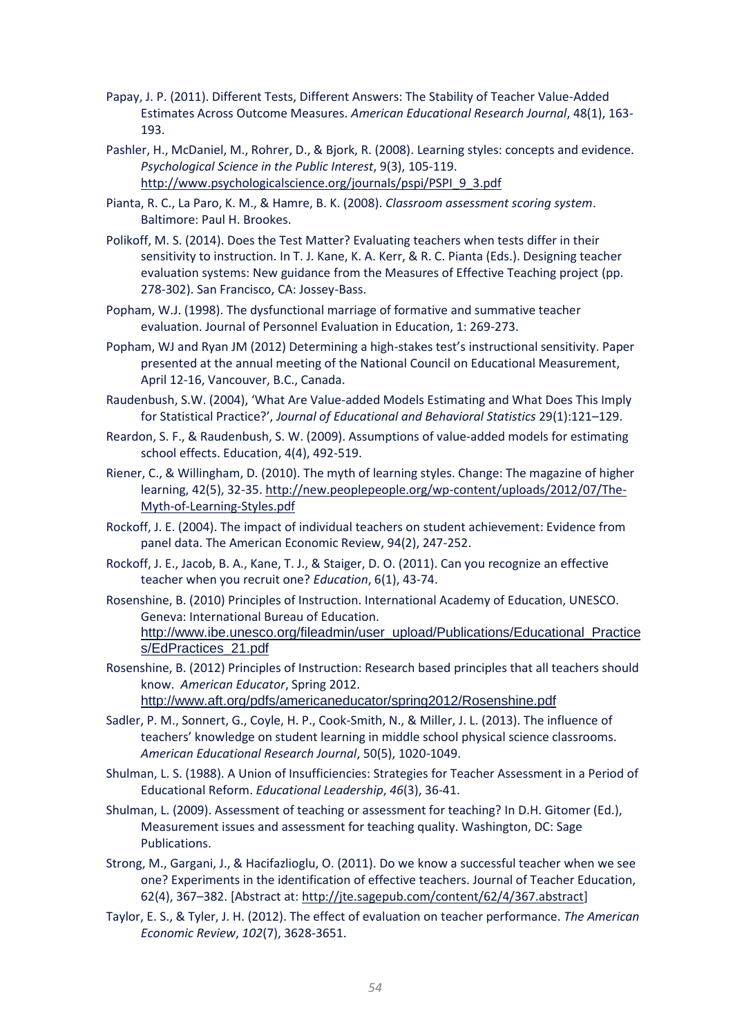- Papay, J. P. (2011). Different Tests, Different Answers: The Stability of Teacher Value-Added Estimates Across Outcome Measures. *American Educational Research Journal*, 48(1), 163- 193.
- Pashler, H., McDaniel, M., Rohrer, D., & Bjork, R. (2008). Learning styles: concepts and evidence. *Psychological Science in the Public Interest*, 9(3), 105-119. [http://www.psychologicalscience.org/journals/pspi/PSPI\\_9\\_3.pdf](http://www.psychologicalscience.org/journals/pspi/PSPI_9_3.pdf)
- Pianta, R. C., La Paro, K. M., & Hamre, B. K. (2008). *Classroom assessment scoring system*. Baltimore: Paul H. Brookes.
- Polikoff, M. S. (2014). Does the Test Matter? Evaluating teachers when tests differ in their sensitivity to instruction. In T. J. Kane, K. A. Kerr, & R. C. Pianta (Eds.). Designing teacher evaluation systems: New guidance from the Measures of Effective Teaching project (pp. 278-302). San Francisco, CA: Jossey-Bass.
- Popham, W.J. (1998). The dysfunctional marriage of formative and summative teacher evaluation. Journal of Personnel Evaluation in Education, 1: 269-273.
- Popham, WJ and Ryan JM (2012) Determining a high-stakes test's instructional sensitivity. Paper presented at the annual meeting of the National Council on Educational Measurement, April 12-16, Vancouver, B.C., Canada.
- Raudenbush, S.W. (2004), 'What Are Value-added Models Estimating and What Does This Imply for Statistical Practice?', *Journal of Educational and Behavioral Statistics* 29(1):121–129.
- Reardon, S. F., & Raudenbush, S. W. (2009). Assumptions of value-added models for estimating school effects. Education, 4(4), 492-519.
- Riener, C., & Willingham, D. (2010). The myth of learning styles. Change: The magazine of higher learning, 42(5), 32-35[. http://new.peoplepeople.org/wp-content/uploads/2012/07/The-](http://new.peoplepeople.org/wp-content/uploads/2012/07/The-Myth-of-Learning-Styles.pdf)[Myth-of-Learning-Styles.pdf](http://new.peoplepeople.org/wp-content/uploads/2012/07/The-Myth-of-Learning-Styles.pdf)
- Rockoff, J. E. (2004). The impact of individual teachers on student achievement: Evidence from panel data. The American Economic Review, 94(2), 247-252.
- Rockoff, J. E., Jacob, B. A., Kane, T. J., & Staiger, D. O. (2011). Can you recognize an effective teacher when you recruit one? *Education*, 6(1), 43-74.

Rosenshine, B. (2010) Principles of Instruction. International Academy of Education, UNESCO. Geneva: International Bureau of Education. [http://www.ibe.unesco.org/fileadmin/user\\_upload/Publications/Educational\\_Practice](http://www.ibe.unesco.org/fileadmin/user_upload/Publications/Educational_Practices/EdPractices_21.pdf) [s/EdPractices\\_21.pdf](http://www.ibe.unesco.org/fileadmin/user_upload/Publications/Educational_Practices/EdPractices_21.pdf)

Rosenshine, B. (2012) Principles of Instruction: Research based principles that all teachers should know. *American Educator*, Spring 2012.

<http://www.aft.org/pdfs/americaneducator/spring2012/Rosenshine.pdf>

- Sadler, P. M., Sonnert, G., Coyle, H. P., Cook-Smith, N., & Miller, J. L. (2013). The influence of teachers' knowledge on student learning in middle school physical science classrooms. *American Educational Research Journal*, 50(5), 1020-1049.
- Shulman, L. S. (1988). A Union of Insufficiencies: Strategies for Teacher Assessment in a Period of Educational Reform. *Educational Leadership*, *46*(3), 36-41.
- Shulman, L. (2009). Assessment of teaching or assessment for teaching? In D.H. Gitomer (Ed.), Measurement issues and assessment for teaching quality. Washington, DC: Sage Publications.
- Strong, M., Gargani, J., & Hacifazlioglu, O. (2011). Do we know a successful teacher when we see one? Experiments in the identification of effective teachers. Journal of Teacher Education, 62(4), 367–382. [Abstract at: [http://jte.sagepub.com/content/62/4/367.abstract\]](http://jte.sagepub.com/content/62/4/367.abstract)
- Taylor, E. S., & Tyler, J. H. (2012). The effect of evaluation on teacher performance. *The American Economic Review*, *102*(7), 3628-3651.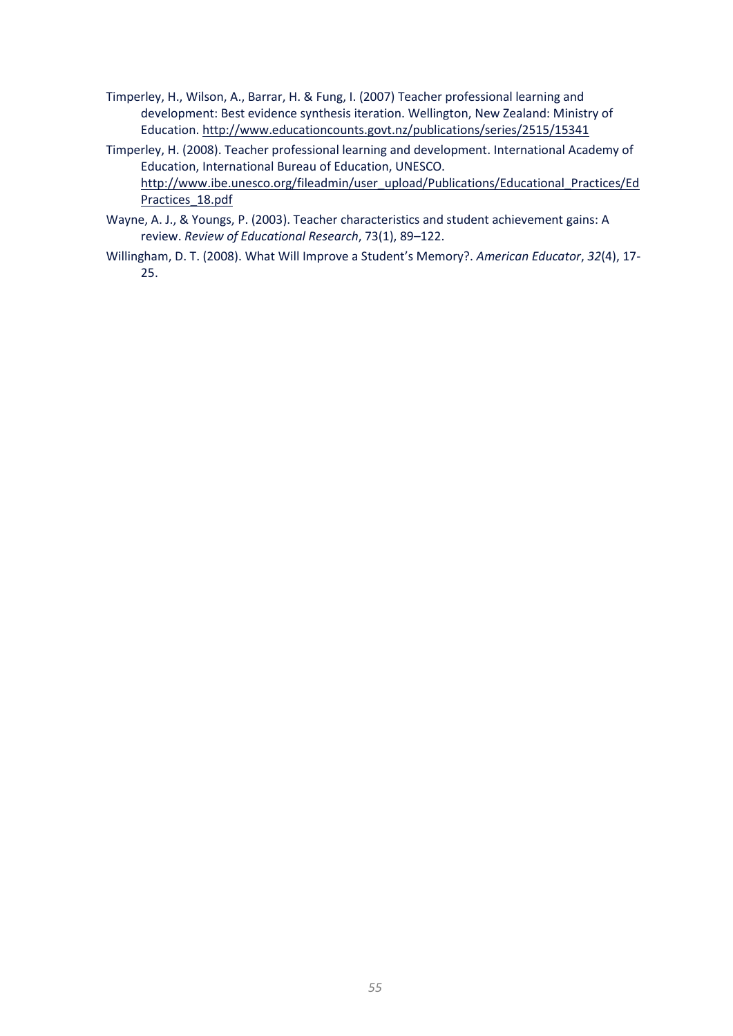- Timperley, H., Wilson, A., Barrar, H. & Fung, I. (2007) Teacher professional learning and development: Best evidence synthesis iteration. Wellington, New Zealand: Ministry of Education[. http://www.educationcounts.govt.nz/publications/series/2515/15341](http://www.educationcounts.govt.nz/publications/series/2515/15341)
- Timperley, H. (2008). Teacher professional learning and development. International Academy of Education, International Bureau of Education, UNESCO. [http://www.ibe.unesco.org/fileadmin/user\\_upload/Publications/Educational\\_Practices/Ed](http://www.ibe.unesco.org/fileadmin/user_upload/Publications/Educational_Practices/EdPractices_18.pdf) [Practices\\_18.pdf](http://www.ibe.unesco.org/fileadmin/user_upload/Publications/Educational_Practices/EdPractices_18.pdf)
- Wayne, A. J., & Youngs, P. (2003). Teacher characteristics and student achievement gains: A review. *Review of Educational Research*, 73(1), 89–122.
- Willingham, D. T. (2008). What Will Improve a Student's Memory?. *American Educator*, *32*(4), 17- 25.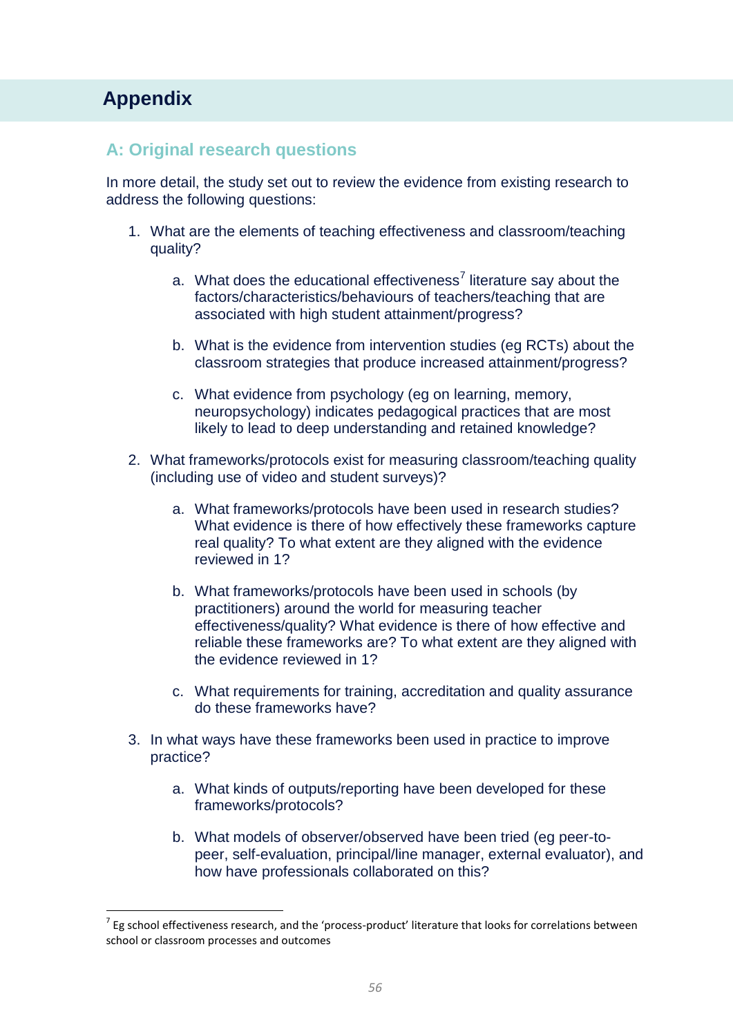# **Appendix Appendix**

 $\overline{a}$ 

### **A: Original research questions**

In more detail, the study set out to review the evidence from existing research to address the following questions:

- 1. What are the elements of teaching effectiveness and classroom/teaching quality?
	- a. What does the educational effectiveness<sup>7</sup> literature say about the factors/characteristics/behaviours of teachers/teaching that are associated with high student attainment/progress?
	- b. What is the evidence from intervention studies (eg RCTs) about the classroom strategies that produce increased attainment/progress?
	- c. What evidence from psychology (eg on learning, memory, neuropsychology) indicates pedagogical practices that are most likely to lead to deep understanding and retained knowledge?
- 2. What frameworks/protocols exist for measuring classroom/teaching quality (including use of video and student surveys)?
	- a. What frameworks/protocols have been used in research studies? What evidence is there of how effectively these frameworks capture real quality? To what extent are they aligned with the evidence reviewed in 1?
	- b. What frameworks/protocols have been used in schools (by practitioners) around the world for measuring teacher effectiveness/quality? What evidence is there of how effective and reliable these frameworks are? To what extent are they aligned with the evidence reviewed in 1?
	- c. What requirements for training, accreditation and quality assurance do these frameworks have?
- 3. In what ways have these frameworks been used in practice to improve practice?
	- a. What kinds of outputs/reporting have been developed for these frameworks/protocols?
	- b. What models of observer/observed have been tried (eg peer-topeer, self-evaluation, principal/line manager, external evaluator), and how have professionals collaborated on this?

 $^7$  Eg school effectiveness research, and the 'process-product' literature that looks for correlations between school or classroom processes and outcomes